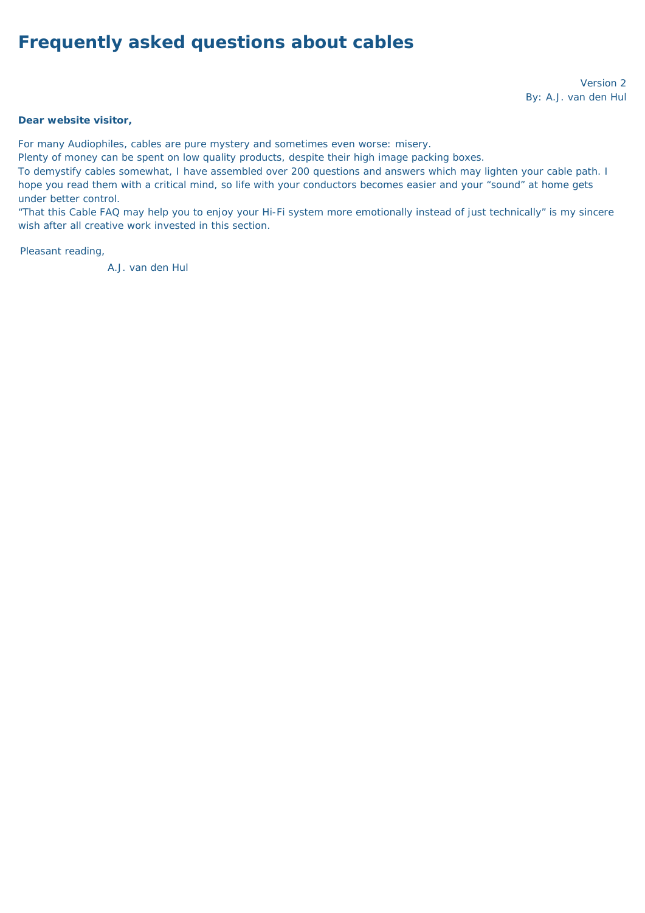# **Frequently asked questions about cables**

*Version 2 By: A.J. van den Hul*

#### **Dear website visitor,**

For many Audiophiles, cables are pure mystery and sometimes even worse: misery.

Plenty of money can be spent on low quality products, despite their high image packing boxes.

To demystify cables somewhat, I have assembled over 200 questions and answers which may lighten your cable path. I hope you read them with a critical mind, so life with your conductors becomes easier and your "sound" at home gets under better control.

"That this Cable FAQ may help you to enjoy your Hi-Fi system more emotionally instead of just technically" is my sincere wish after all creative work invested in this section.

Pleasant reading,

A.J. van den Hul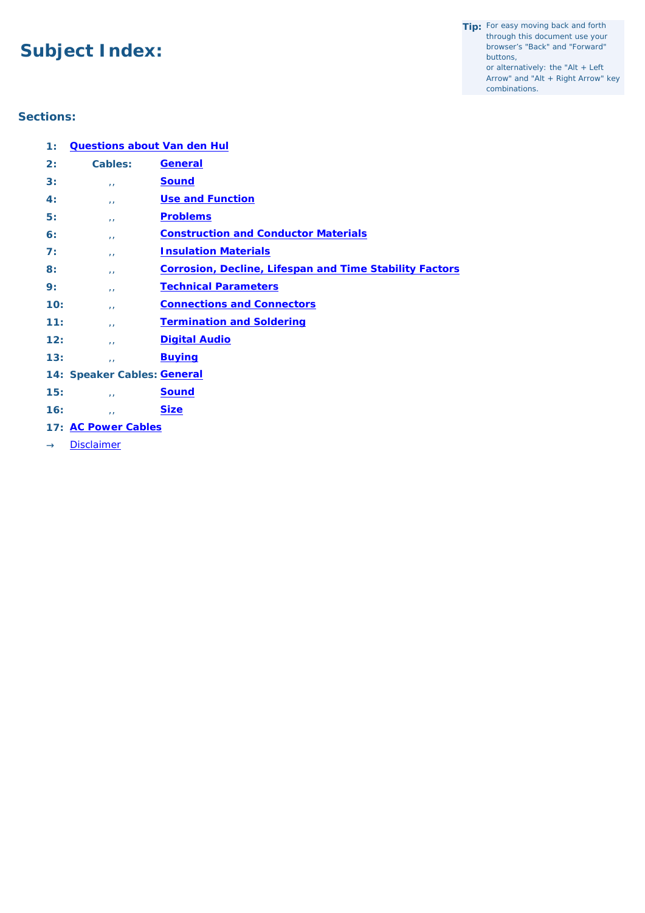# **Subject Index:**

- **Tip:** For easy moving back and forth through this document use your browser's "Back" and "Forward" buttons, or alternatively: the "Alt + Left
	- Arrow" and "Alt + Right Arrow" key combinations.

### **Sections:**

| 1:  | <b>Questions about Van den Hul</b> |                                                                |
|-----|------------------------------------|----------------------------------------------------------------|
| 2:  | <b>Cables:</b>                     | <b>General</b>                                                 |
| 3:  | $\overline{1}$                     | <b>Sound</b>                                                   |
| 4:  | $\mathbf{L}$                       | <b>Use and Function</b>                                        |
| 5:  | $\mathbf{L}$                       | <b>Problems</b>                                                |
| 6:  | $\mathbf{L}$                       | <b>Construction and Conductor Materials</b>                    |
| 7:  | $\mathbf{L}$                       | <b>Insulation Materials</b>                                    |
| 8:  | $\mathbf{L}$                       | <b>Corrosion, Decline, Lifespan and Time Stability Factors</b> |
| 9:  | $\mathbf{L}$                       | <b>Technical Parameters</b>                                    |
| 10: | $\mathbf{I}$                       | <b>Connections and Connectors</b>                              |
| 11: | $\mathbf{L}$                       | <b>Termination and Soldering</b>                               |
| 12: | $\mathbf{I}$                       | <b>Digital Audio</b>                                           |
| 13: | $\mathbf{L}$                       | <b>Buying</b>                                                  |
|     | 14: Speaker Cables: General        |                                                                |
| 15: | $\mathbf{L}$                       | <b>Sound</b>                                                   |
| 16: | $\mathbf{I}$                       | <b>Size</b>                                                    |
|     |                                    |                                                                |

- **17: [AC Power Cables](#page-11-2)**
- → *[Disclaimer](#page-72-0)*

<span id="page-1-0"></span>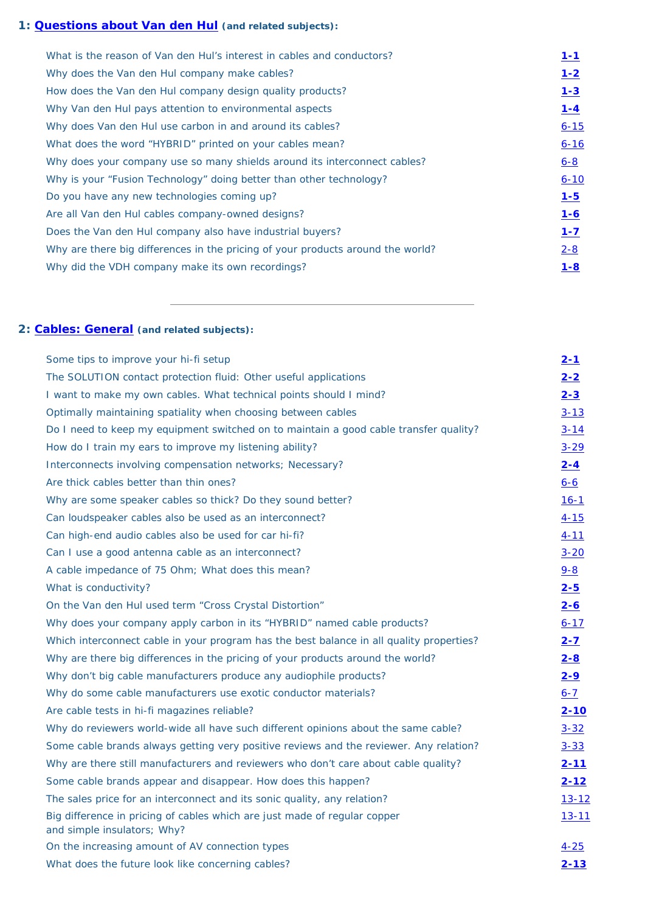### **1: [Questions about Van den Hul](#page-13-0) (and related subjects):**

| What is the reason of Van den Hul's interest in cables and conductors?          | $1 - 1$  |
|---------------------------------------------------------------------------------|----------|
| Why does the Van den Hul company make cables?                                   | $1 - 2$  |
| How does the Van den Hul company design quality products?                       | $1 - 3$  |
| Why Van den Hul pays attention to environmental aspects                         | $1 - 4$  |
| Why does Van den Hul use carbon in and around its cables?                       | $6 - 15$ |
| What does the word "HYBRID" printed on your cables mean?                        | $6 - 16$ |
| Why does your company use so many shields around its interconnect cables?       | $6 - 8$  |
| Why is your "Fusion Technology" doing better than other technology?             | $6 - 10$ |
| Do you have any new technologies coming up?                                     | $1 - 5$  |
| Are all Van den Hul cables company-owned designs?                               | $1 - 6$  |
| Does the Van den Hul company also have industrial buyers?                       | $1 - 7$  |
| Why are there big differences in the pricing of your products around the world? | $2 - 8$  |
| Why did the VDH company make its own recordings?                                | $1 - 8$  |

# <span id="page-2-0"></span>**2: [Cables: General](#page-14-3) (and related subjects):**

| Some tips to improve your hi-fi setup                                                                    | $2 - 1$      |
|----------------------------------------------------------------------------------------------------------|--------------|
| The SOLUTION contact protection fluid: Other useful applications                                         | $2 - 2$      |
| I want to make my own cables. What technical points should I mind?                                       | $2 - 3$      |
| Optimally maintaining spatiality when choosing between cables                                            | $3 - 13$     |
| Do I need to keep my equipment switched on to maintain a good cable transfer quality?                    | $3 - 14$     |
| How do I train my ears to improve my listening ability?                                                  | $3 - 29$     |
| Interconnects involving compensation networks; Necessary?                                                | $2 - 4$      |
| Are thick cables better than thin ones?                                                                  | <u>6-6</u>   |
| Why are some speaker cables so thick? Do they sound better?                                              | $16-1$       |
| Can loudspeaker cables also be used as an interconnect?                                                  | $4 - 15$     |
| Can high-end audio cables also be used for car hi-fi?                                                    | $4 - 11$     |
| Can I use a good antenna cable as an interconnect?                                                       | $3 - 20$     |
| A cable impedance of 75 Ohm; What does this mean?                                                        | $9 - 8$      |
| What is conductivity?                                                                                    | $2 - 5$      |
| On the Van den Hul used term "Cross Crystal Distortion"                                                  | $2 - 6$      |
| Why does your company apply carbon in its "HYBRID" named cable products?                                 | $6 - 17$     |
| Which interconnect cable in your program has the best balance in all quality properties?                 | $2 - 7$      |
| Why are there big differences in the pricing of your products around the world?                          | $2 - 8$      |
| Why don't big cable manufacturers produce any audiophile products?                                       | $2 - 9$      |
| Why do some cable manufacturers use exotic conductor materials?                                          | $6 - 7$      |
| Are cable tests in hi-fi magazines reliable?                                                             | $2 - 10$     |
| Why do reviewers world-wide all have such different opinions about the same cable?                       | $3 - 32$     |
| Some cable brands always getting very positive reviews and the reviewer. Any relation?                   | $3 - 33$     |
| Why are there still manufacturers and reviewers who don't care about cable quality?                      | <u>2-11</u>  |
| Some cable brands appear and disappear. How does this happen?                                            | $2 - 12$     |
| The sales price for an interconnect and its sonic quality, any relation?                                 | <u>13-12</u> |
| Big difference in pricing of cables which are just made of regular copper<br>and simple insulators; Why? | <u>13-11</u> |
| On the increasing amount of AV connection types                                                          | $4 - 25$     |
| What does the future look like concerning cables?                                                        | $2 - 13$     |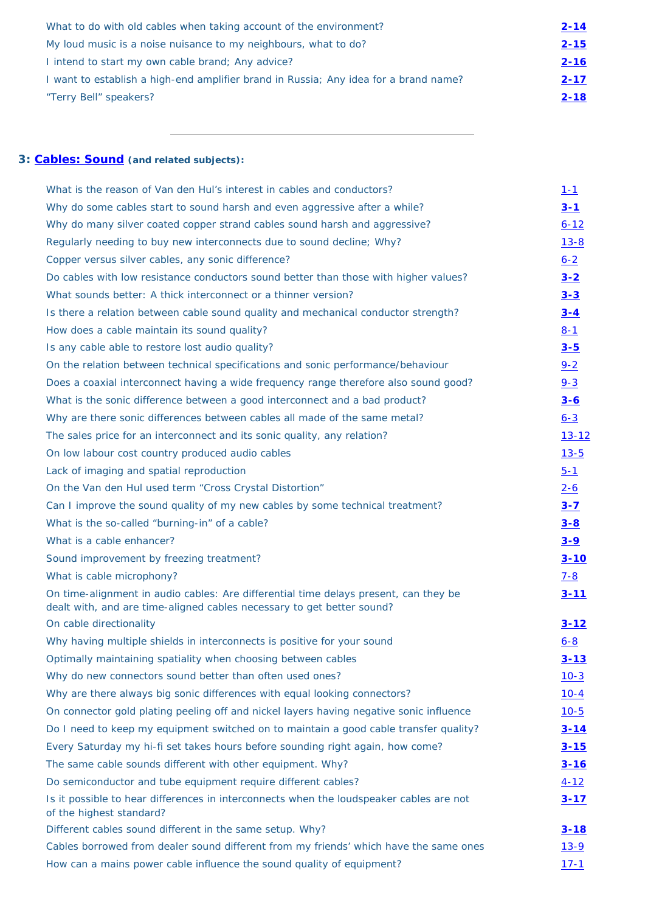| What to do with old cables when taking account of the environment?                   | $2 - 14$ |
|--------------------------------------------------------------------------------------|----------|
| My loud music is a noise nuisance to my neighbours, what to do?                      | $2 - 15$ |
| I intend to start my own cable brand; Any advice?                                    | $2 - 16$ |
| I want to establish a high-end amplifier brand in Russia; Any idea for a brand name? | $2 - 17$ |
| "Terry Bell" speakers?                                                               | $2 - 18$ |

### <span id="page-3-0"></span>**3: [Cables: Sound](#page-18-6) (and related subjects):**

| What is the reason of Van den Hul's interest in cables and conductors?                                                                                         | <u>1-1</u>    |
|----------------------------------------------------------------------------------------------------------------------------------------------------------------|---------------|
| Why do some cables start to sound harsh and even aggressive after a while?                                                                                     | $3 - 1$       |
| Why do many silver coated copper strand cables sound harsh and aggressive?                                                                                     | $6 - 12$      |
| Regularly needing to buy new interconnects due to sound decline; Why?                                                                                          | $13 - 8$      |
| Copper versus silver cables, any sonic difference?                                                                                                             | $6 - 2$       |
| Do cables with low resistance conductors sound better than those with higher values?                                                                           | $3 - 2$       |
| What sounds better: A thick interconnect or a thinner version?                                                                                                 | $3 - 3$       |
| Is there a relation between cable sound quality and mechanical conductor strength?                                                                             | $3 - 4$       |
| How does a cable maintain its sound quality?                                                                                                                   | $8 - 1$       |
| Is any cable able to restore lost audio quality?                                                                                                               | $3 - 5$       |
| On the relation between technical specifications and sonic performance/behaviour                                                                               | $9 - 2$       |
| Does a coaxial interconnect having a wide frequency range therefore also sound good?                                                                           | $9 - 3$       |
| What is the sonic difference between a good interconnect and a bad product?                                                                                    | $3 - 6$       |
| Why are there sonic differences between cables all made of the same metal?                                                                                     | $6 - 3$       |
| The sales price for an interconnect and its sonic quality, any relation?                                                                                       | <u>13-12</u>  |
| On low labour cost country produced audio cables                                                                                                               | $13 - 5$      |
| Lack of imaging and spatial reproduction                                                                                                                       | $5 - 1$       |
| On the Van den Hul used term "Cross Crystal Distortion"                                                                                                        | $2 - 6$       |
| Can I improve the sound quality of my new cables by some technical treatment?                                                                                  | $3 - 7$       |
| What is the so-called "burning-in" of a cable?                                                                                                                 | $3 - 8$       |
| What is a cable enhancer?                                                                                                                                      | $3 - 9$       |
| Sound improvement by freezing treatment?                                                                                                                       | $3 - 10$      |
| What is cable microphony?                                                                                                                                      | $7 - 8$       |
| On time-alignment in audio cables: Are differential time delays present, can they be<br>dealt with, and are time-aligned cables necessary to get better sound? | $3 - 11$      |
| On cable directionality                                                                                                                                        | $3 - 12$      |
| Why having multiple shields in interconnects is positive for your sound                                                                                        | <u>6-8</u>    |
| Optimally maintaining spatiality when choosing between cables                                                                                                  | $3 - 13$      |
| Why do new connectors sound better than often used ones?                                                                                                       | $10-3$        |
| Why are there always big sonic differences with equal looking connectors?                                                                                      | $10-4$        |
| On connector gold plating peeling off and nickel layers having negative sonic influence                                                                        | $10-5$        |
| Do I need to keep my equipment switched on to maintain a good cable transfer quality?                                                                          | $3 - 14$      |
| Every Saturday my hi-fi set takes hours before sounding right again, how come?                                                                                 | $3 - 15$      |
| The same cable sounds different with other equipment. Why?                                                                                                     | $3 - 16$      |
| Do semiconductor and tube equipment require different cables?                                                                                                  | <u>4-12</u>   |
| Is it possible to hear differences in interconnects when the loudspeaker cables are not<br>of the highest standard?                                            | $3 - 17$      |
| Different cables sound different in the same setup. Why?                                                                                                       | <u>3-18</u>   |
| Cables borrowed from dealer sound different from my friends' which have the same ones                                                                          | <u> 13-9 </u> |
| How can a mains power cable influence the sound quality of equipment?                                                                                          | $17 - 1$      |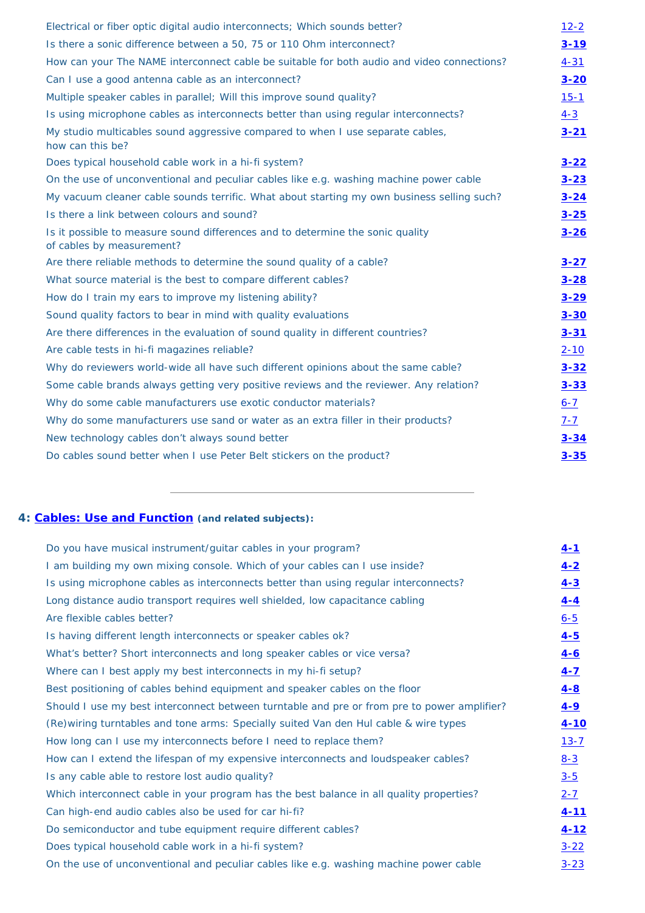| Electrical or fiber optic digital audio interconnects; Which sounds better?                                 | $12 - 2$ |
|-------------------------------------------------------------------------------------------------------------|----------|
| Is there a sonic difference between a 50, 75 or 110 Ohm interconnect?                                       | $3 - 19$ |
| How can your The NAME interconnect cable be suitable for both audio and video connections?                  | $4 - 31$ |
| Can I use a good antenna cable as an interconnect?                                                          | $3 - 20$ |
| Multiple speaker cables in parallel; Will this improve sound quality?                                       | $15 - 1$ |
| Is using microphone cables as interconnects better than using regular interconnects?                        | $4 - 3$  |
| My studio multicables sound aggressive compared to when I use separate cables,<br>how can this be?          | $3 - 21$ |
| Does typical household cable work in a hi-fi system?                                                        | $3 - 22$ |
| On the use of unconventional and peculiar cables like e.g. washing machine power cable                      | $3 - 23$ |
| My vacuum cleaner cable sounds terrific. What about starting my own business selling such?                  | $3 - 24$ |
| Is there a link between colours and sound?                                                                  | $3 - 25$ |
| Is it possible to measure sound differences and to determine the sonic quality<br>of cables by measurement? | $3 - 26$ |
| Are there reliable methods to determine the sound quality of a cable?                                       | $3 - 27$ |
| What source material is the best to compare different cables?                                               | $3 - 28$ |
| How do I train my ears to improve my listening ability?                                                     | $3 - 29$ |
| Sound quality factors to bear in mind with quality evaluations                                              | $3 - 30$ |
| Are there differences in the evaluation of sound quality in different countries?                            | $3 - 31$ |
| Are cable tests in hi-fi magazines reliable?                                                                | $2 - 10$ |
| Why do reviewers world-wide all have such different opinions about the same cable?                          | $3 - 32$ |
| Some cable brands always getting very positive reviews and the reviewer. Any relation?                      | $3 - 33$ |
| Why do some cable manufacturers use exotic conductor materials?                                             | $6 - 7$  |
| Why do some manufacturers use sand or water as an extra filler in their products?                           | $7 - 7$  |
| New technology cables don't always sound better                                                             | $3 - 34$ |
| Do cables sound better when I use Peter Belt stickers on the product?                                       | $3 - 35$ |

### <span id="page-4-0"></span>**4: [Cables: Use and Function](#page-26-3) (and related subjects):**

| Do you have musical instrument/guitar cables in your program?                               | $4 - 1$  |
|---------------------------------------------------------------------------------------------|----------|
| I am building my own mixing console. Which of your cables can I use inside?                 | $4 - 2$  |
| Is using microphone cables as interconnects better than using regular interconnects?        | $4 - 3$  |
| Long distance audio transport requires well shielded, low capacitance cabling               | $4 - 4$  |
| Are flexible cables better?                                                                 | $6 - 5$  |
| Is having different length interconnects or speaker cables ok?                              | $4 - 5$  |
| What's better? Short interconnects and long speaker cables or vice versa?                   | $4 - 6$  |
| Where can I best apply my best interconnects in my hi-fi setup?                             | $4 - 7$  |
| Best positioning of cables behind equipment and speaker cables on the floor                 | $4 - 8$  |
| Should I use my best interconnect between turntable and pre or from pre to power amplifier? | $4 - 9$  |
| (Re) wiring turntables and tone arms: Specially suited Van den Hul cable & wire types       | $4 - 10$ |
| How long can I use my interconnects before I need to replace them?                          | $13 - 7$ |
| How can I extend the lifespan of my expensive interconnects and loudspeaker cables?         | $8 - 3$  |
| Is any cable able to restore lost audio quality?                                            | $3 - 5$  |
| Which interconnect cable in your program has the best balance in all quality properties?    | $2 - 7$  |
| Can high-end audio cables also be used for car hi-fi?                                       | $4 - 11$ |
| Do semiconductor and tube equipment require different cables?                               | $4 - 12$ |
| Does typical household cable work in a hi-fi system?                                        | $3 - 22$ |
| On the use of unconventional and peculiar cables like e.g. washing machine power cable      | $3 - 23$ |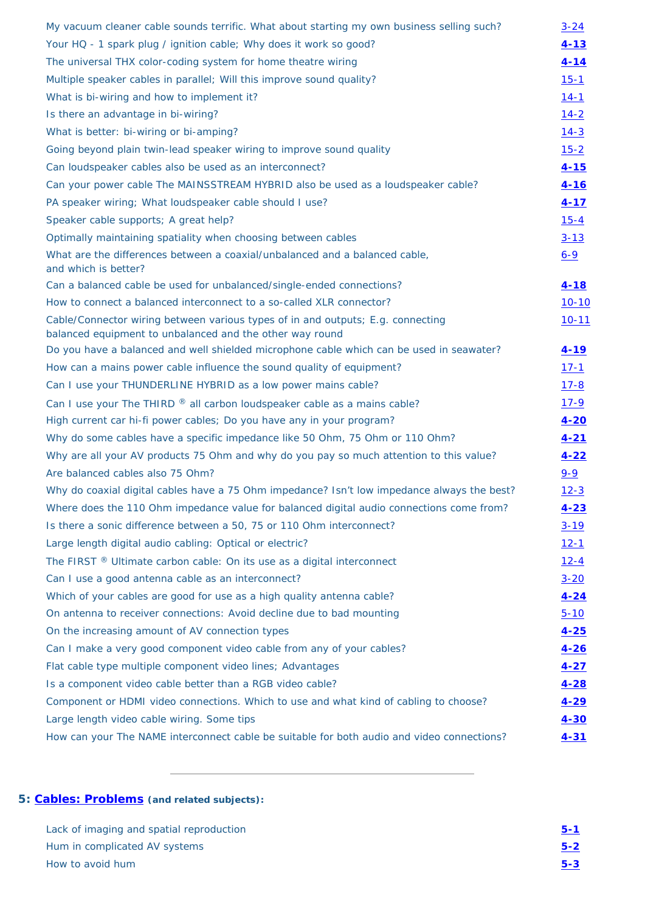| My vacuum cleaner cable sounds terrific. What about starting my own business selling such?                                                  | $3 - 24$    |
|---------------------------------------------------------------------------------------------------------------------------------------------|-------------|
| Your HQ - 1 spark plug / ignition cable; Why does it work so good?                                                                          | $4 - 13$    |
| The universal THX color-coding system for home theatre wiring                                                                               | $4 - 14$    |
| Multiple speaker cables in parallel; Will this improve sound quality?                                                                       | $15 - 1$    |
| What is bi-wiring and how to implement it?                                                                                                  | $14-1$      |
| Is there an advantage in bi-wiring?                                                                                                         | $14 - 2$    |
| What is better: bi-wiring or bi-amping?                                                                                                     | $14 - 3$    |
| Going beyond plain twin-lead speaker wiring to improve sound quality                                                                        | $15 - 2$    |
| Can loudspeaker cables also be used as an interconnect?                                                                                     | $4 - 15$    |
| Can your power cable The MAINSSTREAM HYBRID also be used as a loudspeaker cable?                                                            | $4 - 16$    |
| PA speaker wiring; What loudspeaker cable should I use?                                                                                     | $4 - 17$    |
| Speaker cable supports; A great help?                                                                                                       | $15 - 4$    |
| Optimally maintaining spatiality when choosing between cables                                                                               | $3 - 13$    |
| What are the differences between a coaxial/unbalanced and a balanced cable,<br>and which is better?                                         | $6 - 9$     |
| Can a balanced cable be used for unbalanced/single-ended connections?                                                                       | $4 - 18$    |
| How to connect a balanced interconnect to a so-called XLR connector?                                                                        | $10 - 10$   |
| Cable/Connector wiring between various types of in and outputs; E.g. connecting<br>balanced equipment to unbalanced and the other way round | $10 - 11$   |
| Do you have a balanced and well shielded microphone cable which can be used in seawater?                                                    | <u>4-19</u> |
| How can a mains power cable influence the sound quality of equipment?                                                                       | $17 - 1$    |
| Can I use your THUNDERLINE HYBRID as a low power mains cable?                                                                               | $17 - 8$    |
| Can I use your The THIRD $\mathcal{R}$ all carbon loudspeaker cable as a mains cable?                                                       | $17 - 9$    |
| High current car hi-fi power cables; Do you have any in your program?                                                                       | $4 - 20$    |
| Why do some cables have a specific impedance like 50 Ohm, 75 Ohm or 110 Ohm?                                                                | $4 - 21$    |
| Why are all your AV products 75 Ohm and why do you pay so much attention to this value?                                                     | $4 - 22$    |
| Are balanced cables also 75 Ohm?                                                                                                            | $9 - 9$     |
| Why do coaxial digital cables have a 75 Ohm impedance? Isn't low impedance always the best?                                                 | $12 - 3$    |
| Where does the 110 Ohm impedance value for balanced digital audio connections come from?                                                    | $4 - 23$    |
| Is there a sonic difference between a 50, 75 or 110 Ohm interconnect?                                                                       | $3 - 19$    |
| Large length digital audio cabling: Optical or electric?                                                                                    | $12 - 1$    |
| The FIRST $\mathcal{R}$ Ultimate carbon cable: On its use as a digital interconnect                                                         | $12 - 4$    |
| Can I use a good antenna cable as an interconnect?                                                                                          | $3 - 20$    |

| Which of your cables are good for use as a high quality antenna cable?                     | $4 - 24$ |
|--------------------------------------------------------------------------------------------|----------|
| On antenna to receiver connections: Avoid decline due to bad mounting                      | $5 - 10$ |
| On the increasing amount of AV connection types                                            | $4 - 25$ |
| Can I make a very good component video cable from any of your cables?                      | $4 - 26$ |
| Flat cable type multiple component video lines; Advantages                                 | $4 - 27$ |
| Is a component video cable better than a RGB video cable?                                  | $4 - 28$ |
| Component or HDMI video connections. Which to use and what kind of cabling to choose?      | $4 - 29$ |
| Large length video cable wiring. Some tips                                                 | $4 - 30$ |
| How can your The NAME interconnect cable be suitable for both audio and video connections? | $4 - 31$ |

# <span id="page-5-0"></span>**5: [Cables: Problems](#page-34-1) (and related subjects):**

| Lack of imaging and spatial reproduction | $5 - 1$ |
|------------------------------------------|---------|
| Hum in complicated AV systems            | $5 - 2$ |
| How to avoid hum                         | $5 - 3$ |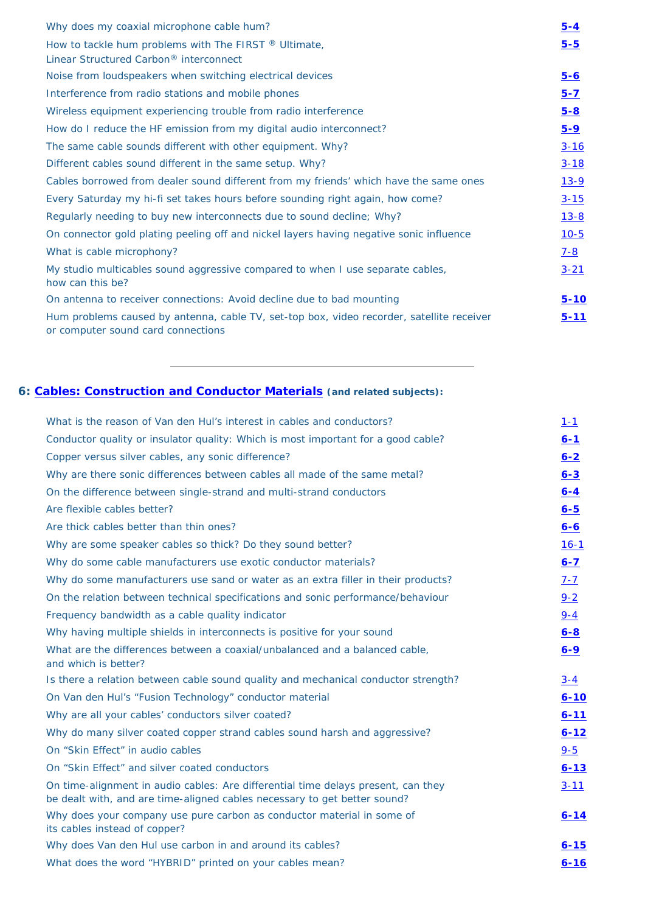| Why does my coaxial microphone cable hum?                                                                                       | $5 - 4$  |
|---------------------------------------------------------------------------------------------------------------------------------|----------|
| How to tackle hum problems with The FIRST $\mathbb{B}$ Ultimate,<br>Linear Structured Carbon <sup>®</sup> interconnect          | $5 - 5$  |
| Noise from loudspeakers when switching electrical devices                                                                       | $5 - 6$  |
| Interference from radio stations and mobile phones                                                                              | $5 - 7$  |
| Wireless equipment experiencing trouble from radio interference                                                                 | $5 - 8$  |
| How do I reduce the HF emission from my digital audio interconnect?                                                             | $5 - 9$  |
| The same cable sounds different with other equipment. Why?                                                                      | $3 - 16$ |
| Different cables sound different in the same setup. Why?                                                                        | $3 - 18$ |
| Cables borrowed from dealer sound different from my friends' which have the same ones                                           | $13 - 9$ |
| Every Saturday my hi-fi set takes hours before sounding right again, how come?                                                  | $3 - 15$ |
| Regularly needing to buy new interconnects due to sound decline; Why?                                                           | $13 - 8$ |
| On connector gold plating peeling off and nickel layers having negative sonic influence                                         | $10 - 5$ |
| What is cable microphony?                                                                                                       | $7 - 8$  |
| My studio multicables sound aggressive compared to when I use separate cables,<br>how can this be?                              | $3 - 21$ |
| On antenna to receiver connections: Avoid decline due to bad mounting                                                           | $5 - 10$ |
| Hum problems caused by antenna, cable TV, set-top box, video recorder, satellite receiver<br>or computer sound card connections | $5 - 11$ |

# <span id="page-6-0"></span>**6: [Cables: Construction and Conductor Materials](#page-39-0) (and related subjects):**

| What is the reason of Van den Hul's interest in cables and conductors?            | $1 - 1$  |
|-----------------------------------------------------------------------------------|----------|
| Conductor quality or insulator quality: Which is most important for a good cable? | $6 - 1$  |
| Copper versus silver cables, any sonic difference?                                | $6 - 2$  |
| Why are there sonic differences between cables all made of the same metal?        | $6 - 3$  |
| On the difference between single-strand and multi-strand conductors               | $6 - 4$  |
| Are flexible cables better?                                                       | $6 - 5$  |
| Are thick cables better than thin ones?                                           | $6 - 6$  |
| Why are some speaker cables so thick? Do they sound better?                       | $16 - 1$ |
| Why do some cable manufacturers use exotic conductor materials?                   | $6 - 7$  |
| Why do some manufacturers use sand or water as an extra filler in their products? | $7 - 7$  |

| On the relation between technical specifications and sonic performance/behaviour                                                                               | $9 - 2$  |
|----------------------------------------------------------------------------------------------------------------------------------------------------------------|----------|
| Frequency bandwidth as a cable quality indicator                                                                                                               | $9 - 4$  |
| Why having multiple shields in interconnects is positive for your sound                                                                                        | $6 - 8$  |
| What are the differences between a coaxial/unbalanced and a balanced cable,<br>and which is better?                                                            | $6 - 9$  |
| Is there a relation between cable sound quality and mechanical conductor strength?                                                                             | $3 - 4$  |
| On Van den Hul's "Fusion Technology" conductor material                                                                                                        | $6 - 10$ |
| Why are all your cables' conductors silver coated?                                                                                                             | $6 - 11$ |
| Why do many silver coated copper strand cables sound harsh and aggressive?                                                                                     | $6 - 12$ |
| On "Skin Effect" in audio cables                                                                                                                               | $9 - 5$  |
| On "Skin Effect" and silver coated conductors                                                                                                                  | $6 - 13$ |
| On time-alignment in audio cables: Are differential time delays present, can they<br>be dealt with, and are time-aligned cables necessary to get better sound? | $3 - 11$ |
| Why does your company use pure carbon as conductor material in some of<br>its cables instead of copper?                                                        | $6 - 14$ |
| Why does Van den Hul use carbon in and around its cables?                                                                                                      | $6 - 15$ |
| What does the word "HYBRID" printed on your cables mean?                                                                                                       | $6 - 16$ |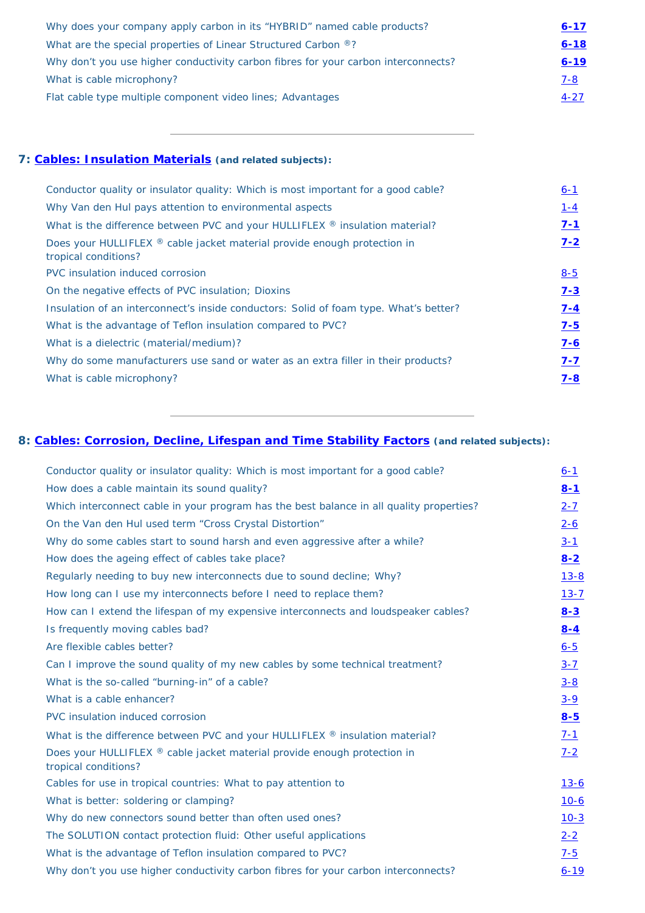| Why does your company apply carbon in its "HYBRID" named cable products?           | $6 - 17$ |
|------------------------------------------------------------------------------------|----------|
| What are the special properties of Linear Structured Carbon ®?                     | $6 - 18$ |
| Why don't you use higher conductivity carbon fibres for your carbon interconnects? | $6 - 19$ |
| What is cable microphony?                                                          | $7 - 8$  |
| Flat cable type multiple component video lines; Advantages                         | $4 - 27$ |

<u> 1980 - Johann Barn, amerikansk politiker (d. 1980)</u>

### <span id="page-7-0"></span>**7: [Cables: Insulation Materials](#page-45-0) (and related subjects):**

| Conductor quality or insulator quality: Which is most important for a good cable?                | $6 - 1$ |
|--------------------------------------------------------------------------------------------------|---------|
| Why Van den Hul pays attention to environmental aspects                                          | $1 - 4$ |
| What is the difference between PVC and your HULLIFLEX ® insulation material?                     | $7 - 1$ |
| Does your HULLIFLEX ® cable jacket material provide enough protection in<br>tropical conditions? | $7 - 2$ |
| PVC insulation induced corrosion                                                                 | $8 - 5$ |
| On the negative effects of PVC insulation; Dioxins                                               | $7 - 3$ |
| Insulation of an interconnect's inside conductors: Solid of foam type. What's better?            | $7 - 4$ |
| What is the advantage of Teflon insulation compared to PVC?                                      | $7 - 5$ |
| What is a dielectric (material/medium)?                                                          | $7 - 6$ |
| Why do some manufacturers use sand or water as an extra filler in their products?                | $7 - 7$ |
| What is cable microphony?                                                                        | $7 - 8$ |

# <span id="page-7-1"></span>**8: [Cables: Corrosion, Decline, Lifespan and Time Stability Factors](#page-48-2) (and related subjects):**

| Conductor quality or insulator quality: Which is most important for a good cable?        | $6 - 1$  |
|------------------------------------------------------------------------------------------|----------|
| How does a cable maintain its sound quality?                                             | $8 - 1$  |
| Which interconnect cable in your program has the best balance in all quality properties? | $2 - 7$  |
| On the Van den Hul used term "Cross Crystal Distortion"                                  | $2 - 6$  |
| Why do some cables start to sound harsh and even aggressive after a while?               | $3 - 1$  |
| How does the ageing effect of cables take place?                                         | $8 - 2$  |
| Regularly needing to buy new interconnects due to sound decline; Why?                    | $13 - 8$ |

the control of the control of the control of the control of the control of

| How long can I use my interconnects before I need to replace them?                               | $13 - 7$    |
|--------------------------------------------------------------------------------------------------|-------------|
| How can I extend the lifespan of my expensive interconnects and loudspeaker cables?              | $8 - 3$     |
| Is frequently moving cables bad?                                                                 | $8 - 4$     |
| Are flexible cables better?                                                                      | $6 - 5$     |
| Can I improve the sound quality of my new cables by some technical treatment?                    | $3 - 7$     |
| What is the so-called "burning-in" of a cable?                                                   | $3 - 8$     |
| What is a cable enhancer?                                                                        | $3 - 9$     |
| PVC insulation induced corrosion                                                                 | $8 - 5$     |
| What is the difference between PVC and your HULLIFLEX $\mathcal{R}$ insulation material?         | $7 - 1$     |
| Does your HULLIFLEX ® cable jacket material provide enough protection in<br>tropical conditions? | $7 - 2$     |
| Cables for use in tropical countries: What to pay attention to                                   | <u>13-6</u> |
| What is better: soldering or clamping?                                                           | $10-6$      |
| Why do new connectors sound better than often used ones?                                         | $10-3$      |
| The SOLUTION contact protection fluid: Other useful applications                                 | $2 - 2$     |
| What is the advantage of Teflon insulation compared to PVC?                                      | $7 - 5$     |
| Why don't you use higher conductivity carbon fibres for your carbon interconnects?               | $6 - 19$    |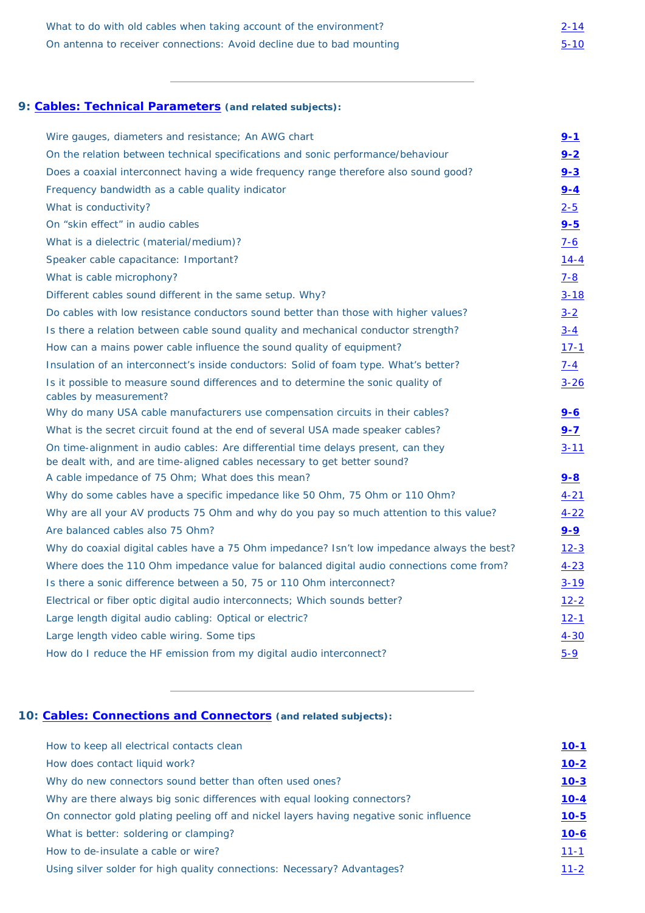| What to do with old cables when taking account of the environment?    | $2 - 14$ |
|-----------------------------------------------------------------------|----------|
| On antenna to receiver connections: Avoid decline due to bad mounting | $5 - 10$ |

| Wire gauges, diameters and resistance; An AWG chart                                                                                                            | $9 - 1$    |
|----------------------------------------------------------------------------------------------------------------------------------------------------------------|------------|
| On the relation between technical specifications and sonic performance/behaviour                                                                               | $9 - 2$    |
| Does a coaxial interconnect having a wide frequency range therefore also sound good?                                                                           | $9 - 3$    |
| Frequency bandwidth as a cable quality indicator                                                                                                               | $9 - 4$    |
| What is conductivity?                                                                                                                                          | $2 - 5$    |
| On "skin effect" in audio cables                                                                                                                               | $9 - 5$    |
| What is a dielectric (material/medium)?                                                                                                                        | <u>7-6</u> |
| Speaker cable capacitance: Important?                                                                                                                          | $14 - 4$   |
| What is cable microphony?                                                                                                                                      | <u>7-8</u> |
| Different cables sound different in the same setup. Why?                                                                                                       | $3 - 18$   |
| Do cables with low resistance conductors sound better than those with higher values?                                                                           | $3 - 2$    |
| Is there a relation between cable sound quality and mechanical conductor strength?                                                                             | $3 - 4$    |
| How can a mains power cable influence the sound quality of equipment?                                                                                          | $17 - 1$   |
| Insulation of an interconnect's inside conductors: Solid of foam type. What's better?                                                                          | $7 - 4$    |
| Is it possible to measure sound differences and to determine the sonic quality of<br>cables by measurement?                                                    | $3 - 26$   |
| Why do many USA cable manufacturers use compensation circuits in their cables?                                                                                 | <u>9-6</u> |
| What is the secret circuit found at the end of several USA made speaker cables?                                                                                | $9 - 7$    |
| On time-alignment in audio cables: Are differential time delays present, can they<br>be dealt with, and are time-aligned cables necessary to get better sound? | $3 - 11$   |
| A cable impedance of 75 Ohm; What does this mean?                                                                                                              | $9 - 8$    |
| Why do some cables have a specific impedance like 50 Ohm, 75 Ohm or 110 Ohm?                                                                                   | $4 - 21$   |
| Why are all your AV products 75 Ohm and why do you pay so much attention to this value?                                                                        | $4 - 22$   |
| Are balanced cables also 75 Ohm?                                                                                                                               | $9 - 9$    |
| Why do coaxial digital cables have a 75 Ohm impedance? Isn't low impedance always the best?                                                                    | $12 - 3$   |
| Where does the 110 Ohm impedance value for balanced digital audio connections come from?                                                                       | $4 - 23$   |
| Is there a sonic difference between a 50, 75 or 110 Ohm interconnect?                                                                                          | $3 - 19$   |
| Electrical or fiber optic digital audio interconnects; Which sounds better?                                                                                    | $12 - 2$   |
| Large length digital audio cabling: Optical or electric?                                                                                                       | $12 - 1$   |
| Large length video cable wiring. Some tips                                                                                                                     | $4 - 30$   |
| How do I reduce the HF emission from my digital audio interconnect?                                                                                            | $5 - 9$    |
|                                                                                                                                                                |            |

# <span id="page-8-0"></span>**9: [Cables: Technical Parameters](#page-49-5) (and related subjects):**

| How to keep all electrical contacts clean                                               | $10 - 1$ |
|-----------------------------------------------------------------------------------------|----------|
| How does contact liquid work?                                                           | $10 - 2$ |
| Why do new connectors sound better than often used ones?                                | $10 - 3$ |
| Why are there always big sonic differences with equal looking connectors?               | $10 - 4$ |
| On connector gold plating peeling off and nickel layers having negative sonic influence | $10 - 5$ |
| What is better: soldering or clamping?                                                  | $10 - 6$ |
| How to de-insulate a cable or wire?                                                     | $11 - 1$ |
| Using silver solder for high quality connections: Necessary? Advantages?                | $11 - 2$ |

### <span id="page-8-1"></span>**10: [Cables: Connections and Connectors](#page-52-1) (and related subjects):**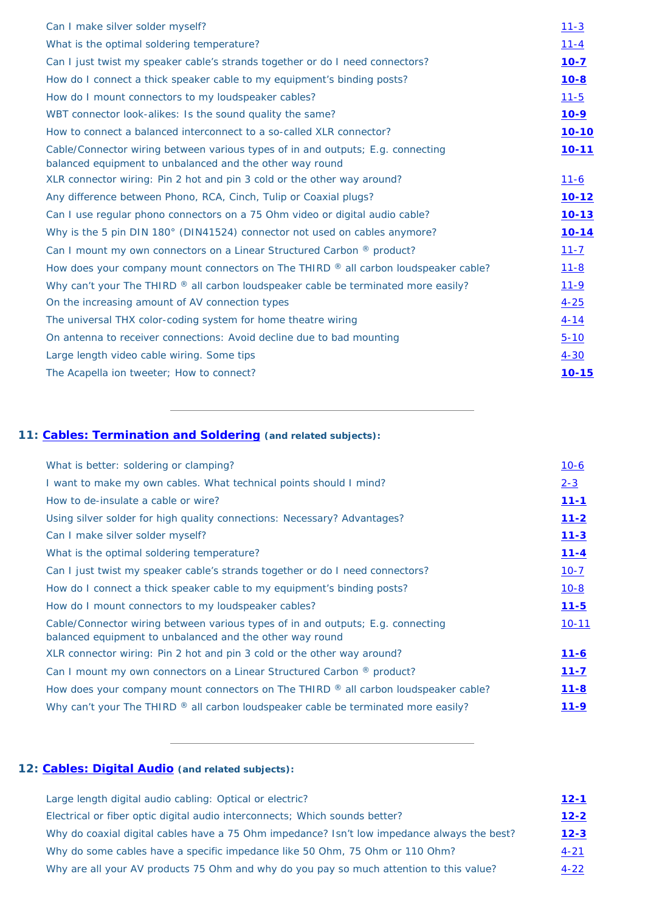| Can I make silver solder myself?                                                                                                            | $11 - 3$     |
|---------------------------------------------------------------------------------------------------------------------------------------------|--------------|
| What is the optimal soldering temperature?                                                                                                  | $11 - 4$     |
| Can I just twist my speaker cable's strands together or do I need connectors?                                                               | $10 - 7$     |
| How do I connect a thick speaker cable to my equipment's binding posts?                                                                     | $10 - 8$     |
| How do I mount connectors to my loudspeaker cables?                                                                                         | $11 - 5$     |
| WBT connector look-alikes: Is the sound quality the same?                                                                                   | <u>10-9</u>  |
| How to connect a balanced interconnect to a so-called XLR connector?                                                                        | $10 - 10$    |
| Cable/Connector wiring between various types of in and outputs; E.g. connecting<br>balanced equipment to unbalanced and the other way round | $10 - 11$    |
| XLR connector wiring: Pin 2 hot and pin 3 cold or the other way around?                                                                     | <u> 11-6</u> |
| Any difference between Phono, RCA, Cinch, Tulip or Coaxial plugs?                                                                           | <u>10-12</u> |
| Can I use regular phono connectors on a 75 Ohm video or digital audio cable?                                                                | $10 - 13$    |
| Why is the 5 pin DIN 180° (DIN41524) connector not used on cables anymore?                                                                  | $10 - 14$    |
| Can I mount my own connectors on a Linear Structured Carbon <sup>®</sup> product?                                                           | $11 - 7$     |
| How does your company mount connectors on The THIRD $\mathcal{R}$ all carbon loudspeaker cable?                                             | $11 - 8$     |
| Why can't your The THIRD $\mathbb{R}$ all carbon loudspeaker cable be terminated more easily?                                               | $11 - 9$     |
| On the increasing amount of AV connection types                                                                                             | $4 - 25$     |
| The universal THX color-coding system for home theatre wiring                                                                               | <u>4-14</u>  |
| On antenna to receiver connections: Avoid decline due to bad mounting                                                                       | $5 - 10$     |
| Large length video cable wiring. Some tips                                                                                                  | $4 - 30$     |
| The Acapella ion tweeter; How to connect?                                                                                                   | $10 - 15$    |

# <span id="page-9-0"></span>**11: [Cables: Termination and Soldering](#page-55-5) (and related subjects):**

| What is better: soldering or clamping?                                                                                                                                                                                            | $10 - 6$      |
|-----------------------------------------------------------------------------------------------------------------------------------------------------------------------------------------------------------------------------------|---------------|
| I want to make my own cables. What technical points should I mind?                                                                                                                                                                | $2 - 3$       |
| How to de-insulate a cable or wire?                                                                                                                                                                                               | $11 - 1$      |
| Using silver solder for high quality connections: Necessary? Advantages?                                                                                                                                                          | $11 - 2$      |
| Can I make silver solder myself?                                                                                                                                                                                                  | $11 - 3$      |
| What is the optimal soldering temperature?                                                                                                                                                                                        | $11 - 4$      |
| Can I just twist my speaker cable's strands together or do I need connectors?                                                                                                                                                     | $10 - 7$      |
| $\mathbf{11}$ , and a set of the set of the set of the set of the set of the set of the set of the set of the set of the set of the set of the set of the set of the set of the set of the set of the set of the set of the set o | $\sim$ $\sim$ |

| How do I connect a thick speaker cable to my equipment's binding posts?                                                                     | $10 - 8$  |
|---------------------------------------------------------------------------------------------------------------------------------------------|-----------|
| How do I mount connectors to my loudspeaker cables?                                                                                         | $11 - 5$  |
| Cable/Connector wiring between various types of in and outputs; E.g. connecting<br>balanced equipment to unbalanced and the other way round | $10 - 11$ |
| XLR connector wiring: Pin 2 hot and pin 3 cold or the other way around?                                                                     | $11 - 6$  |
| Can I mount my own connectors on a Linear Structured Carbon ® product?                                                                      | $11 - 7$  |
| How does your company mount connectors on The THIRD $\mathcal{R}$ all carbon loudspeaker cable?                                             | $11 - 8$  |
| Why can't your The THIRD ® all carbon loudspeaker cable be terminated more easily?                                                          | $11 - 9$  |
|                                                                                                                                             |           |

# <span id="page-9-1"></span>**12: [Cables: Digital Audio](#page-58-0) (and related subjects):**

| Large length digital audio cabling: Optical or electric?                                    | $12 - 1$ |
|---------------------------------------------------------------------------------------------|----------|
| Electrical or fiber optic digital audio interconnects; Which sounds better?                 | $12 - 2$ |
| Why do coaxial digital cables have a 75 Ohm impedance? Isn't low impedance always the best? | $12 - 3$ |
| Why do some cables have a specific impedance like 50 Ohm, 75 Ohm or 110 Ohm?                | $4 - 21$ |
| Why are all your AV products 75 Ohm and why do you pay so much attention to this value?     | $4 - 22$ |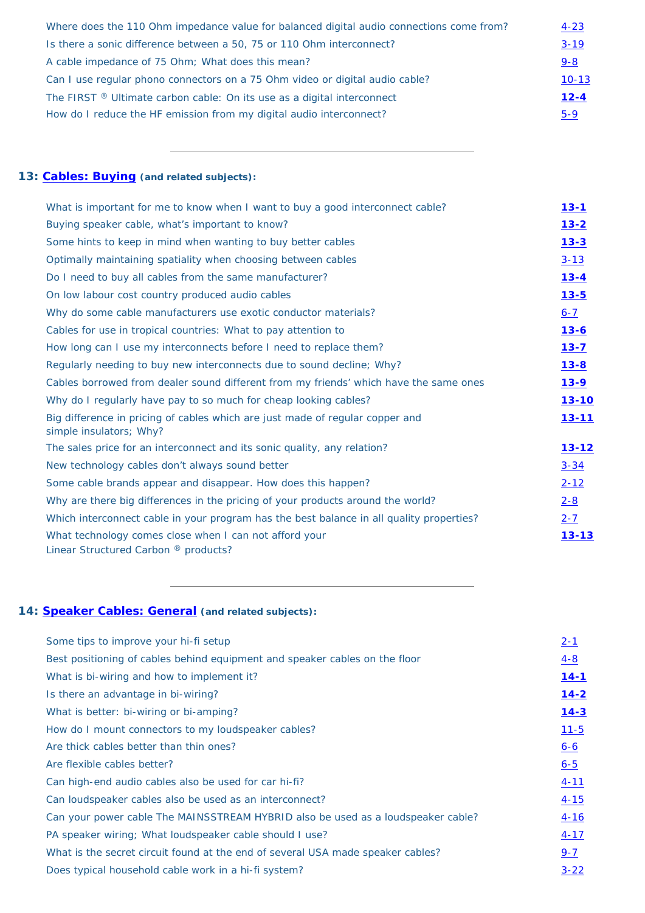| Where does the 110 Ohm impedance value for balanced digital audio connections come from? | $4 - 23$  |
|------------------------------------------------------------------------------------------|-----------|
| Is there a sonic difference between a 50, 75 or 110 Ohm interconnect?                    | $3 - 19$  |
| A cable impedance of 75 Ohm; What does this mean?                                        | $9 - 8$   |
| Can I use regular phono connectors on a 75 Ohm video or digital audio cable?             | $10 - 13$ |
| The FIRST $\mathbb{R}$ Ultimate carbon cable: On its use as a digital interconnect       | $12 - 4$  |
| How do I reduce the HF emission from my digital audio interconnect?                      | $5 - 9$   |

# <span id="page-10-0"></span>**13: [Cables: Buying](#page-60-0) (and related subjects):**

| What is important for me to know when I want to buy a good interconnect cable?                            | <u>13-1</u>  |
|-----------------------------------------------------------------------------------------------------------|--------------|
| Buying speaker cable, what's important to know?                                                           | $13 - 2$     |
| Some hints to keep in mind when wanting to buy better cables                                              | $13 - 3$     |
| Optimally maintaining spatiality when choosing between cables                                             | $3 - 13$     |
| Do I need to buy all cables from the same manufacturer?                                                   | $13 - 4$     |
| On low labour cost country produced audio cables                                                          | $13 - 5$     |
| Why do some cable manufacturers use exotic conductor materials?                                           | $6 - 7$      |
| Cables for use in tropical countries: What to pay attention to                                            | <u>13-6</u>  |
| How long can I use my interconnects before I need to replace them?                                        | $13 - 7$     |
| Regularly needing to buy new interconnects due to sound decline; Why?                                     | $13 - 8$     |
| Cables borrowed from dealer sound different from my friends' which have the same ones                     | <u>13-9</u>  |
| Why do I regularly have pay to so much for cheap looking cables?                                          | <u>13-10</u> |
| Big difference in pricing of cables which are just made of regular copper and<br>simple insulators; Why?  | <u>13-11</u> |
| The sales price for an interconnect and its sonic quality, any relation?                                  | <u>13-12</u> |
| New technology cables don't always sound better                                                           | $3 - 34$     |
| Some cable brands appear and disappear. How does this happen?                                             | $2 - 12$     |
| Why are there big differences in the pricing of your products around the world?                           | $2 - 8$      |
| Which interconnect cable in your program has the best balance in all quality properties?<br>$2 - 7$       |              |
| What technology comes close when I can not afford your<br>Linear Structured Carbon <sup>®</sup> products? | <u>13-13</u> |

# <span id="page-10-1"></span>**14: [Speaker Cables: General](#page-63-2) (and related subjects):**

| Some tips to improve your hi-fi setup                                            | $2 - 1$    |
|----------------------------------------------------------------------------------|------------|
| Best positioning of cables behind equipment and speaker cables on the floor      | <u>4-8</u> |
| What is bi-wiring and how to implement it?                                       | $14 - 1$   |
| Is there an advantage in bi-wiring?                                              | $14 - 2$   |
| What is better: bi-wiring or bi-amping?                                          | $14 - 3$   |
| How do I mount connectors to my loudspeaker cables?                              | $11 - 5$   |
| Are thick cables better than thin ones?                                          | $6 - 6$    |
| Are flexible cables better?                                                      | $6 - 5$    |
| Can high-end audio cables also be used for car hi-fi?                            | $4 - 11$   |
| Can loudspeaker cables also be used as an interconnect?                          | $4 - 15$   |
| Can your power cable The MAINSSTREAM HYBRID also be used as a loudspeaker cable? | $4 - 16$   |
| PA speaker wiring; What loudspeaker cable should I use?                          | $4 - 17$   |
| What is the secret circuit found at the end of several USA made speaker cables?  | $9 - 7$    |
| Does typical household cable work in a hi-fi system?                             | $3 - 22$   |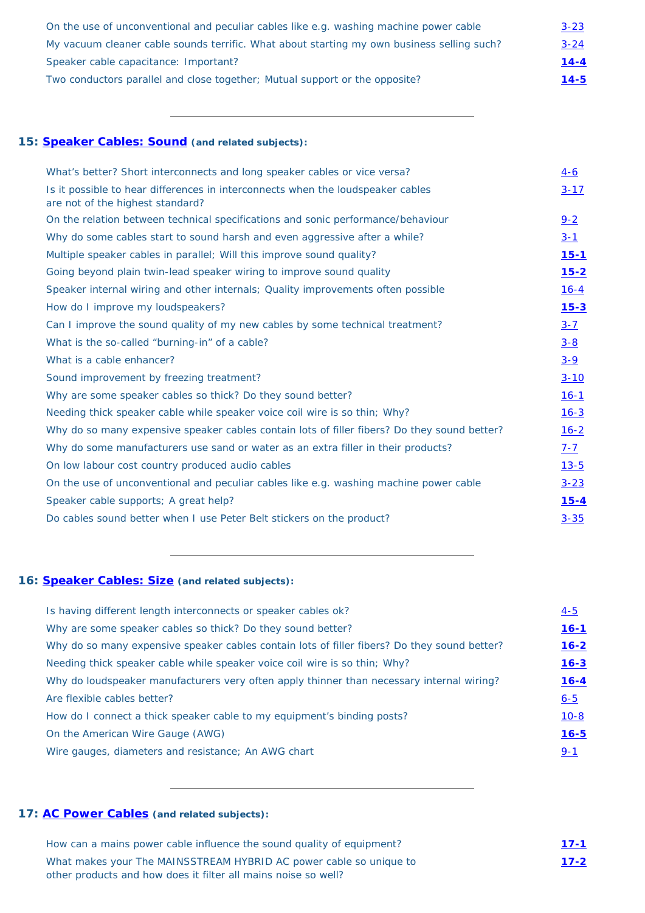| On the use of unconventional and peculiar cables like e.g. washing machine power cable     | $3 - 23$ |
|--------------------------------------------------------------------------------------------|----------|
| My vacuum cleaner cable sounds terrific. What about starting my own business selling such? | $3 - 24$ |
| Speaker cable capacitance: Important?                                                      | $14 - 4$ |
| Two conductors parallel and close together; Mutual support or the opposite?                | $14 - 5$ |

### <span id="page-11-0"></span>**15: [Speaker Cables: Sound](#page-65-1) (and related subjects):**

| What's better? Short interconnects and long speaker cables or vice versa?                                           | $4-6$       |
|---------------------------------------------------------------------------------------------------------------------|-------------|
| Is it possible to hear differences in interconnects when the loudspeaker cables<br>are not of the highest standard? | $3 - 17$    |
| On the relation between technical specifications and sonic performance/behaviour                                    | $9 - 2$     |
| Why do some cables start to sound harsh and even aggressive after a while?                                          | $3 - 1$     |
| Multiple speaker cables in parallel; Will this improve sound quality?                                               | <u>15-1</u> |
| Going beyond plain twin-lead speaker wiring to improve sound quality                                                | $15 - 2$    |
| Speaker internal wiring and other internals; Quality improvements often possible                                    | $16 - 4$    |
| How do I improve my loudspeakers?                                                                                   | $15 - 3$    |
| Can I improve the sound quality of my new cables by some technical treatment?                                       | $3 - 7$     |
| What is the so-called "burning-in" of a cable?                                                                      | $3 - 8$     |
| What is a cable enhancer?                                                                                           | $3 - 9$     |
| Sound improvement by freezing treatment?                                                                            | $3 - 10$    |
| Why are some speaker cables so thick? Do they sound better?                                                         | $16-1$      |
| Needing thick speaker cable while speaker voice coil wire is so thin; Why?                                          | $16 - 3$    |
| Why do so many expensive speaker cables contain lots of filler fibers? Do they sound better?                        | $16 - 2$    |
| Why do some manufacturers use sand or water as an extra filler in their products?                                   | <u>7-7</u>  |
| On low labour cost country produced audio cables                                                                    | $13 - 5$    |
| On the use of unconventional and peculiar cables like e.g. washing machine power cable                              | $3 - 23$    |
| Speaker cable supports; A great help?                                                                               | $15 - 4$    |
| Do cables sound better when I use Peter Belt stickers on the product?                                               | $3 - 35$    |
|                                                                                                                     |             |

# <span id="page-11-1"></span>**16: [Speaker Cables: Size](#page-67-2) (and related subjects):**

| Is having different length interconnects or speaker cables ok?                               | $4 - 5$  |
|----------------------------------------------------------------------------------------------|----------|
| Why are some speaker cables so thick? Do they sound better?                                  | $16 - 1$ |
| Why do so many expensive speaker cables contain lots of filler fibers? Do they sound better? | $16 - 2$ |
| Needing thick speaker cable while speaker voice coil wire is so thin; Why?                   | $16 - 3$ |
| Why do loudspeaker manufacturers very often apply thinner than necessary internal wiring?    | $16 - 4$ |
| Are flexible cables better?                                                                  | $6 - 5$  |
| How do I connect a thick speaker cable to my equipment's binding posts?                      | $10 - 8$ |
| On the American Wire Gauge (AWG)                                                             | $16 - 5$ |
| Wire gauges, diameters and resistance; An AWG chart                                          | $9 - 1$  |
|                                                                                              |          |

# <span id="page-11-2"></span>**17: [AC Power Cables](#page-69-0) (and related subjects):**

| How can a mains power cable influence the sound quality of equipment? | $17 - 1$    |
|-----------------------------------------------------------------------|-------------|
| What makes your The MAINSSTREAM HYBRID AC power cable so unique to    | <u>17-2</u> |
| other products and how does it filter all mains noise so well?        |             |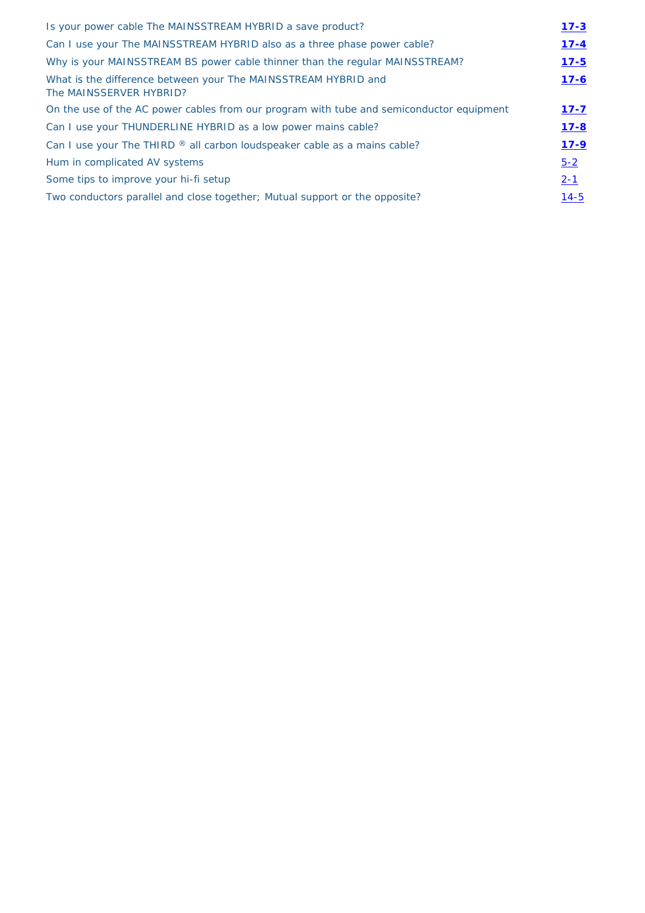| Is your power cable The MAINSSTREAM HYBRID a save product?                                | $17 - 3$ |
|-------------------------------------------------------------------------------------------|----------|
| Can I use your The MAINSSTREAM HYBRID also as a three phase power cable?                  | $17 - 4$ |
| Why is your MAINSSTREAM BS power cable thinner than the regular MAINSSTREAM?              | $17 - 5$ |
| What is the difference between your The MAINSSTREAM HYBRID and<br>The MAINSSERVER HYBRID? | $17 - 6$ |
| On the use of the AC power cables from our program with tube and semiconductor equipment  | $17 - 7$ |
| Can I use your THUNDERLINE HYBRID as a low power mains cable?                             | $17 - 8$ |
| Can I use your The THIRD ® all carbon loudspeaker cable as a mains cable?                 | $17 - 9$ |
| Hum in complicated AV systems                                                             | $5 - 2$  |
| Some tips to improve your hi-fi setup                                                     | $2 - 1$  |
| Two conductors parallel and close together; Mutual support or the opposite?               | $14 - 5$ |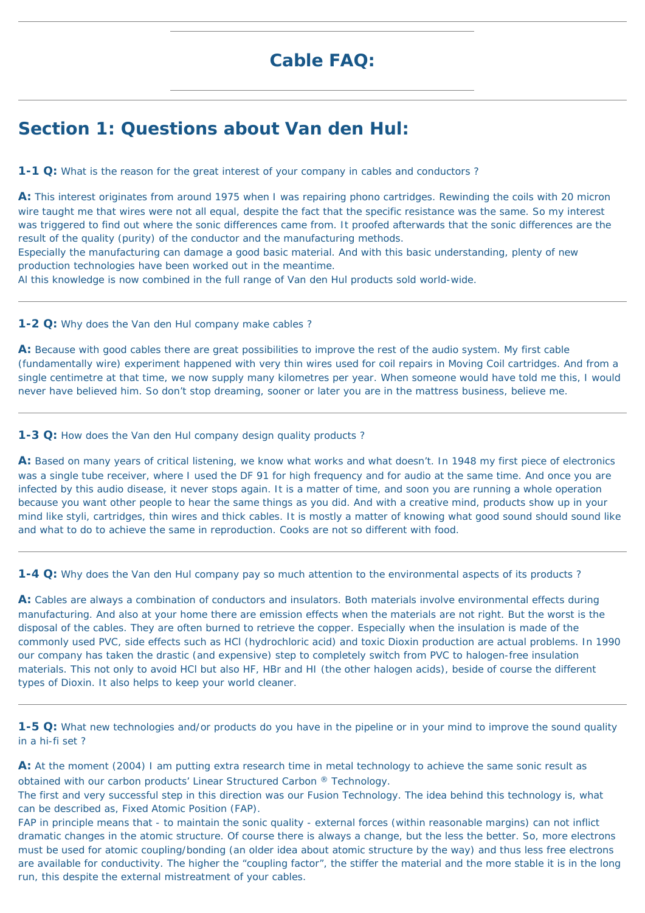# **Cable FAQ:**

# <span id="page-13-0"></span>**Section 1: Questions about Van den Hul:**

<span id="page-13-1"></span>**1-1 Q:** What is the reason for the great interest of your company in cables and conductors?

**A:** This interest originates from around 1975 when I was repairing phono cartridges. Rewinding the coils with 20 micron wire taught me that wires were not all equal, despite the fact that the specific resistance was the same. So my interest was triggered to find out where the sonic differences came from. It proofed afterwards that the sonic differences are the result of the quality (purity) of the conductor and the manufacturing methods.

Especially the manufacturing can damage a good basic material. And with this basic understanding, plenty of new production technologies have been worked out in the meantime.

Al this knowledge is now combined in the full range of Van den Hul products sold world-wide.

<span id="page-13-2"></span>**1-2 Q:** Why does the Van den Hul company make cables ?

**A:** Because with good cables there are great possibilities to improve the rest of the audio system. My first cable (fundamentally wire) experiment happened with very thin wires used for coil repairs in Moving Coil cartridges. And from a single centimetre at that time, we now supply many kilometres per year. When someone would have told me this, I would never have believed him. So don't stop dreaming, sooner or later you are in the mattress business, believe me.

<span id="page-13-3"></span>**1-3 Q:** How does the Van den Hul company design quality products ?

A: Cables are always a combination of conductors and insulators. Both materials involve environmental effects during manufacturing. And also at your home there are emission effects when the materials are not right. But the worst is the disposal of the cables. They are often burned to retrieve the copper. Especially when the insulation is made of the commonly used PVC, side effects such as HCl (hydrochloric acid) and toxic Dioxin production are actual problems. In 1990 our company has taken the drastic (and expensive) step to completely switch from PVC to halogen-free insulation materials. This not only to avoid HCl but also HF, HBr and HI (the other halogen acids), beside of course the different types of Dioxin. It also helps to keep your world cleaner.

**A:** Based on many years of critical listening, we know what works and what doesn't. In 1948 my first piece of electronics was a single tube receiver, where I used the DF 91 for high frequency and for audio at the same time. And once you are infected by this audio disease, it never stops again. It is a matter of time, and soon you are running a whole operation because you want other people to hear the same things as you did. And with a creative mind, products show up in your mind like styli, cartridges, thin wires and thick cables. It is mostly a matter of knowing what good sound should sound like and what to do to achieve the same in reproduction. Cooks are not so different with food.

<span id="page-13-4"></span>**1-4 Q:** Why does the Van den Hul company pay so much attention to the environmental aspects of its products ?

<span id="page-13-5"></span>**1-5 Q:** What new technologies and/or products do you have in the pipeline or in your mind to improve the sound quality in a hi-fi set ?

**A:** At the moment (2004) I am putting extra research time in metal technology to achieve the same sonic result as obtained with our carbon products' Linear Structured Carbon ® Technology.

The first and very successful step in this direction was our Fusion Technology. The idea behind this technology is, what can be described as, Fixed Atomic Position (FAP).

FAP in principle means that - to maintain the sonic quality - external forces (within reasonable margins) can not inflict dramatic changes in the atomic structure. Of course there is always a change, but the less the better. So, more electrons must be used for atomic coupling/bonding (an older idea about atomic structure by the way) and thus less free electrons are available for conductivity. The higher the "coupling factor", the stiffer the material and the more stable it is in the long run, this despite the external mistreatment of your cables.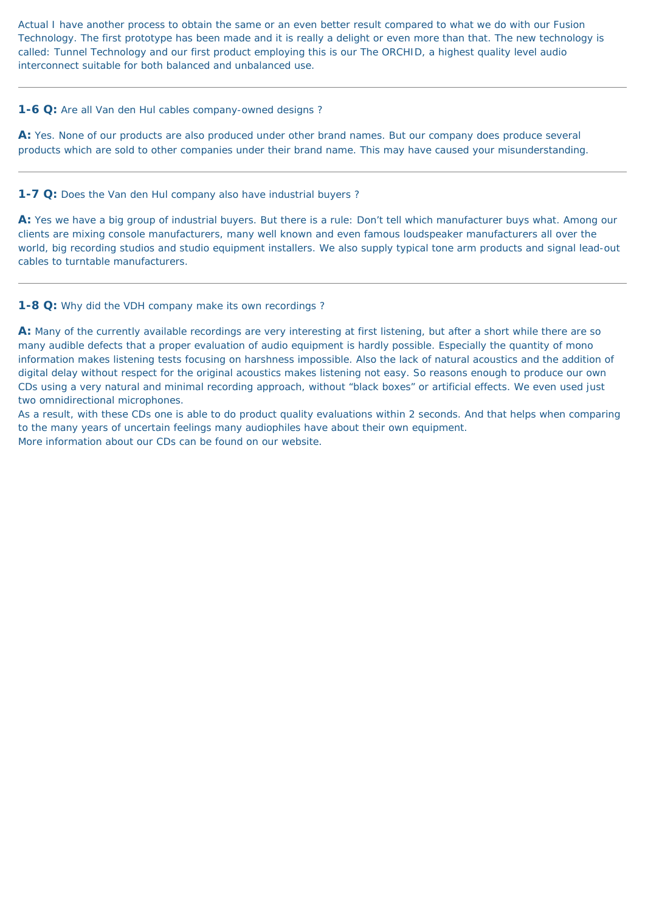Actual I have another process to obtain the same or an even better result compared to what we do with our Fusion Technology. The first prototype has been made and it is really a delight or even more than that. The new technology is called: Tunnel Technology and our first product employing this is our The ORCHID, a highest quality level audio interconnect suitable for both balanced and unbalanced use.

#### <span id="page-14-0"></span>**1-6 Q:** Are all Van den Hul cables company-owned designs ?

**A:** Yes. None of our products are also produced under other brand names. But our company does produce several products which are sold to other companies under their brand name. This may have caused your misunderstanding.

<span id="page-14-1"></span>**1-7 Q:** Does the Van den Hul company also have industrial buyers ?

**A:** Yes we have a big group of industrial buyers. But there is a rule: Don't tell which manufacturer buys what. Among our clients are mixing console manufacturers, many well known and even famous loudspeaker manufacturers all over the world, big recording studios and studio equipment installers. We also supply typical tone arm products and signal lead-out cables to turntable manufacturers.

#### <span id="page-14-2"></span>**1-8 Q:** Why did the VDH company make its own recordings ?

**A:** Many of the currently available recordings are very interesting at first listening, but after a short while there are so many audible defects that a proper evaluation of audio equipment is hardly possible. Especially the quantity of mono information makes listening tests focusing on harshness impossible. Also the lack of natural acoustics and the addition of digital delay without respect for the original acoustics makes listening not easy. So reasons enough to produce our own CDs using a very natural and minimal recording approach, without "black boxes" or artificial effects. We even used just two omnidirectional microphones.

As a result, with these CDs one is able to do product quality evaluations within 2 seconds. And that helps when comparing to the many years of uncertain feelings many audiophiles have about their own equipment. More information about our CDs can be found on our website.

<span id="page-14-3"></span>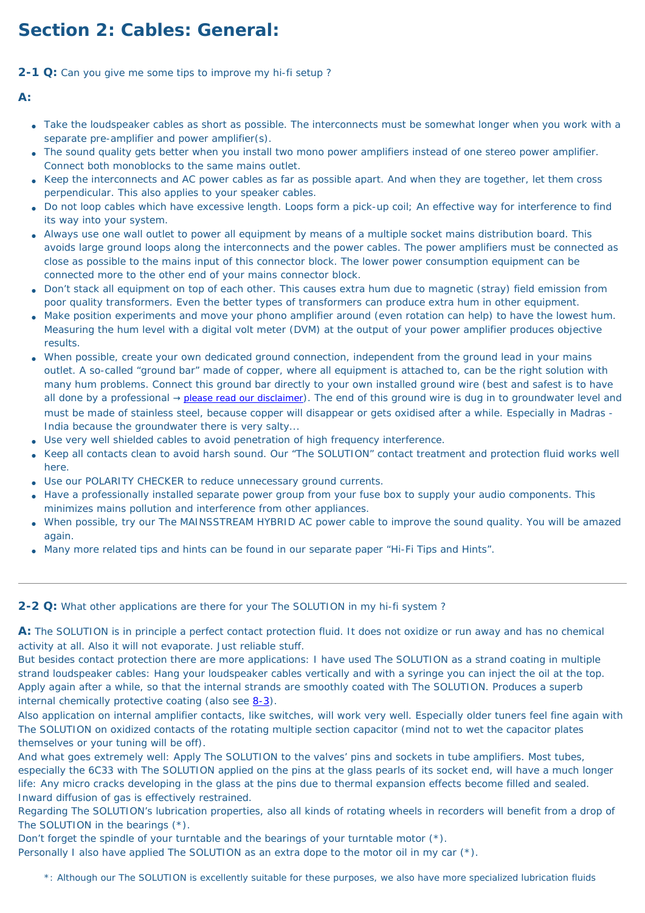# **Section 2: Cables: General:**

<span id="page-15-0"></span>**2-1 Q:** Can you give me some tips to improve my hi-fi setup ?

**A:**

- Take the loudspeaker cables as short as possible. The interconnects must be somewhat longer when you work with a separate pre-amplifier and power amplifier(s).
- The sound quality gets better when you install two mono power amplifiers instead of one stereo power amplifier. Connect both monoblocks to the same mains outlet.
- Keep the interconnects and AC power cables as far as possible apart. And when they are together, let them cross perpendicular. This also applies to your speaker cables.
- Do not loop cables which have excessive length. Loops form a pick-up coil; An effective way for interference to find its way into your system.
- Always use one wall outlet to power all equipment by means of a multiple socket mains distribution board. This avoids large ground loops along the interconnects and the power cables. The power amplifiers must be connected as close as possible to the mains input of this connector block. The lower power consumption equipment can be connected more to the other end of your mains connector block.
- Don't stack all equipment on top of each other. This causes extra hum due to magnetic (stray) field emission from poor quality transformers. Even the better types of transformers can produce extra hum in other equipment.
- Make position experiments and move your phono amplifier around (even rotation can help) to have the lowest hum. Measuring the hum level with a digital volt meter (DVM) at the output of your power amplifier produces objective results.
- When possible, create your own dedicated ground connection, independent from the ground lead in your mains outlet. A so-called "ground bar" made of copper, where all equipment is attached to, can be the right solution with many hum problems. Connect this ground bar directly to your own installed ground wire (best and safest is to have all done by a professional  $\rightarrow$  [please read our disclaimer](#page-72-0)). The end of this ground wire is dug in to groundwater level and must be made of stainless steel, because copper will disappear or gets oxidised after a while. Especially in Madras - India because the groundwater there is very salty...
- Use very well shielded cables to avoid penetration of high frequency interference.
- Keep all contacts clean to avoid harsh sound. Our "The SOLUTION" contact treatment and protection fluid works well here.
- Use our POLARITY CHECKER to reduce unnecessary ground currents.
- Have a professionally installed separate power group from your fuse box to supply your audio components. This minimizes mains pollution and interference from other appliances.
- When possible, try our The MAINSSTREAM HYBRID AC power cable to improve the sound quality. You will be amazed again.
- Many more related tips and hints can be found in our separate paper "Hi-Fi Tips and Hints".

#### <span id="page-15-1"></span>**2-2 Q:** What other applications are there for your The SOLUTION in my hi-fi system ?

**A:** The SOLUTION is in principle a perfect contact protection fluid. It does not oxidize or run away and has no chemical activity at all. Also it will not evaporate. Just reliable stuff.

But besides contact protection there are more applications: I have used The SOLUTION as a strand coating in multiple strand loudspeaker cables: Hang your loudspeaker cables vertically and with a syringe you can inject the oil at the top. Apply again after a while, so that the internal strands are smoothly coated with The SOLUTION. Produces a superb internal chemically protective coating (also see [8-3\)](#page-49-1).

Also application on internal amplifier contacts, like switches, will work very well. Especially older tuners feel fine again with The SOLUTION on oxidized contacts of the rotating multiple section capacitor (mind not to wet the capacitor plates themselves or your tuning will be off).

And what goes extremely well: Apply The SOLUTION to the valves' pins and sockets in tube amplifiers. Most tubes, especially the 6C33 with The SOLUTION applied on the pins at the glass pearls of its socket end, will have a much longer life: Any micro cracks developing in the glass at the pins due to thermal expansion effects become filled and sealed. Inward diffusion of gas is effectively restrained.

Regarding The SOLUTION's lubrication properties, also all kinds of rotating wheels in recorders will benefit from a drop of The SOLUTION in the bearings (\*).

Don't forget the spindle of your turntable and the bearings of your turntable motor (\*).

Personally I also have applied The SOLUTION as an extra dope to the motor oil in my car (\*).

\*: Although our The SOLUTION is excellently suitable for these purposes, we also have more specialized lubrication fluids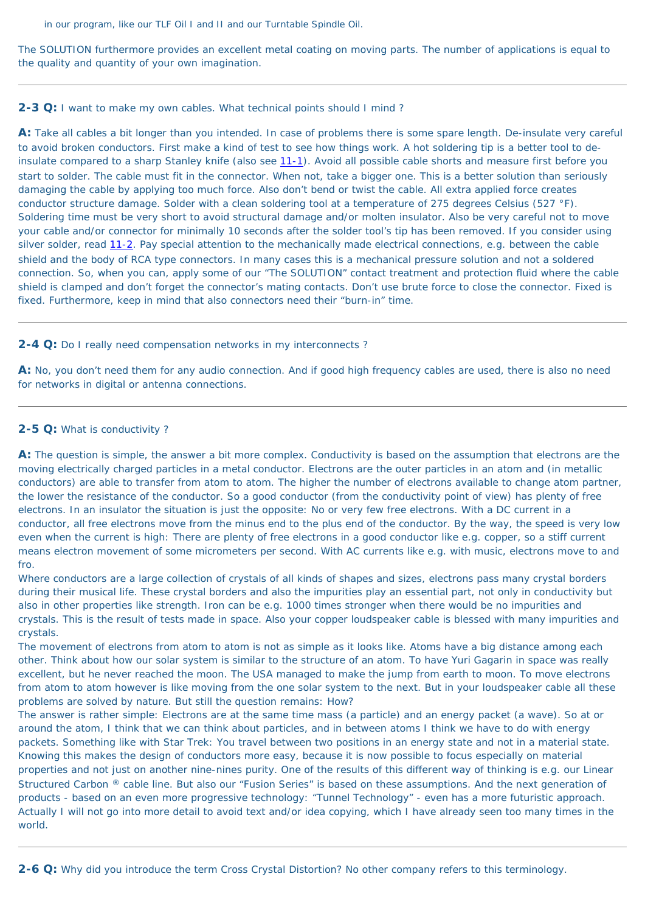in our program, like our TLF Oil I and II and our Turntable Spindle Oil.

The SOLUTION furthermore provides an excellent metal coating on moving parts. The number of applications is equal to the quality and quantity of your own imagination.

#### <span id="page-16-0"></span>**2-3 Q:** I want to make my own cables. What technical points should I mind ?

**A:** Take all cables a bit longer than you intended. In case of problems there is some spare length. De-insulate very careful to avoid broken conductors. First make a kind of test to see how things work. A hot soldering tip is a better tool to de-insulate compared to a sharp Stanley knife (also see [11-1](#page-56-0)). Avoid all possible cable shorts and measure first before you start to solder. The cable must fit in the connector. When not, take a bigger one. This is a better solution than seriously damaging the cable by applying too much force. Also don't bend or twist the cable. All extra applied force creates conductor structure damage. Solder with a clean soldering tool at a temperature of 275 degrees Celsius (527 °F). Soldering time must be very short to avoid structural damage and/or molten insulator. Also be very careful not to move your cable and/or connector for minimally 10 seconds after the solder tool's tip has been removed. If you consider using silver solder, read [11-2](#page-56-1). Pay special attention to the mechanically made electrical connections, e.g. between the cable shield and the body of RCA type connectors. In many cases this is a mechanical pressure solution and not a soldered connection. So, when you can, apply some of our "The SOLUTION" contact treatment and protection fluid where the cable shield is clamped and don't forget the connector's mating contacts. Don't use brute force to close the connector. Fixed is fixed. Furthermore, keep in mind that also connectors need their "burn-in" time.

#### <span id="page-16-1"></span>**2-4 Q:** Do I really need compensation networks in my interconnects ?

**A:** No, you don't need them for any audio connection. And if good high frequency cables are used, there is also no need for networks in digital or antenna connections.

#### <span id="page-16-2"></span>**2-5 Q:** What is conductivity ?

**A:** The question is simple, the answer a bit more complex. Conductivity is based on the assumption that electrons are the moving electrically charged particles in a metal conductor. Electrons are the outer particles in an atom and (in metallic conductors) are able to transfer from atom to atom. The higher the number of electrons available to change atom partner, the lower the resistance of the conductor. So a good conductor (from the conductivity point of view) has plenty of free electrons. In an insulator the situation is just the opposite: No or very few free electrons. With a DC current in a conductor, all free electrons move from the minus end to the plus end of the conductor. By the way, the speed is very low even when the current is high: There are plenty of free electrons in a good conductor like e.g. copper, so a stiff current means electron movement of some micrometers per second. With AC currents like e.g. with music, electrons move to and fro.

Where conductors are a large collection of crystals of all kinds of shapes and sizes, electrons pass many crystal borders

during their musical life. These crystal borders and also the impurities play an essential part, not only in conductivity but also in other properties like strength. Iron can be e.g. 1000 times stronger when there would be no impurities and crystals. This is the result of tests made in space. Also your copper loudspeaker cable is blessed with many impurities and crystals.

The movement of electrons from atom to atom is not as simple as it looks like. Atoms have a big distance among each other. Think about how our solar system is similar to the structure of an atom. To have Yuri Gagarin in space was really excellent, but he never reached the moon. The USA managed to make the jump from earth to moon. To move electrons from atom to atom however is like moving from the one solar system to the next. But in your loudspeaker cable all these problems are solved by nature. But still the question remains: How?

The answer is rather simple: Electrons are at the same time mass (a particle) and an energy packet (a wave). So at or around the atom, I think that we can think about particles, and in between atoms I think we have to do with energy packets. Something like with Star Trek: You travel between two positions in an energy state and not in a material state. Knowing this makes the design of conductors more easy, because it is now possible to focus especially on material properties and not just on another nine-nines purity. One of the results of this different way of thinking is e.g. our Linear Structured Carbon ® cable line. But also our "Fusion Series" is based on these assumptions. And the next generation of products - based on an even more progressive technology: "Tunnel Technology" - even has a more futuristic approach. Actually I will not go into more detail to avoid text and/or idea copying, which I have already seen too many times in the world.

<span id="page-16-3"></span>**2-6 Q:** Why did you introduce the term Cross Crystal Distortion? No other company refers to this terminology.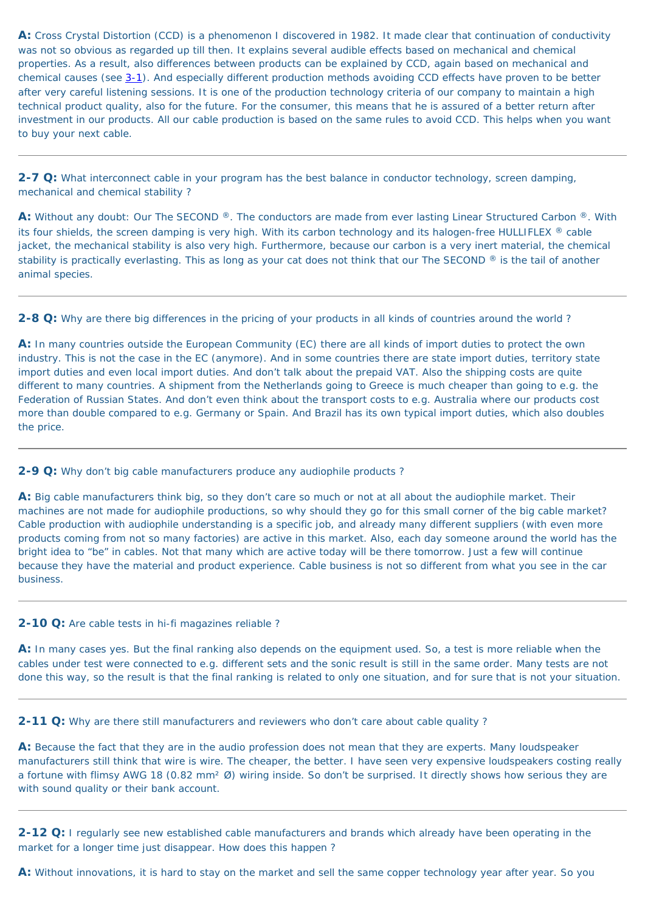**A:** Cross Crystal Distortion (CCD) is a phenomenon I discovered in 1982. It made clear that continuation of conductivity was not so obvious as regarded up till then. It explains several audible effects based on mechanical and chemical properties. As a result, also differences between products can be explained by CCD, again based on mechanical and chemical causes (see [3-1](#page-19-0)). And especially different production methods avoiding CCD effects have proven to be better after very careful listening sessions. It is one of the production technology criteria of our company to maintain a high technical product quality, also for the future. For the consumer, this means that he is assured of a better return after investment in our products. All our cable production is based on the same rules to avoid CCD. This helps when you want to buy your next cable.

<span id="page-17-1"></span>**2-7 Q:** What interconnect cable in your program has the best balance in conductor technology, screen damping, mechanical and chemical stability ?

**A:** Without any doubt: Our The SECOND ®. The conductors are made from ever lasting Linear Structured Carbon ®. With its four shields, the screen damping is very high. With its carbon technology and its halogen-free HULLIFLEX ® cable jacket, the mechanical stability is also very high. Furthermore, because our carbon is a very inert material, the chemical stability is practically everlasting. This as long as your cat does not think that our The SECOND ® is the tail of another animal species.

<span id="page-17-0"></span>**2-8 Q:** Why are there big differences in the pricing of your products in all kinds of countries around the world ?

**A:** In many countries outside the European Community (EC) there are all kinds of import duties to protect the own industry. This is not the case in the EC (anymore). And in some countries there are state import duties, territory state import duties and even local import duties. And don't talk about the prepaid VAT. Also the shipping costs are quite different to many countries. A shipment from the Netherlands going to Greece is much cheaper than going to e.g. the Federation of Russian States. And don't even think about the transport costs to e.g. Australia where our products cost more than double compared to e.g. Germany or Spain. And Brazil has its own typical import duties, which also doubles the price.

<span id="page-17-2"></span>**2-9 Q:** Why don't big cable manufacturers produce any audiophile products ?

**A:** Big cable manufacturers think big, so they don't care so much or not at all about the audiophile market. Their machines are not made for audiophile productions, so why should they go for this small corner of the big cable market? Cable production with audiophile understanding is a specific job, and already many different suppliers (with even more products coming from not so many factories) are active in this market. Also, each day someone around the world has the bright idea to "be" in cables. Not that many which are active today will be there tomorrow. Just a few will continue because they have the material and product experience. Cable business is not so different from what you see in the car business.

#### <span id="page-17-3"></span>**2-10 Q:** Are cable tests in hi-fi magazines reliable ?

**A:** In many cases yes. But the final ranking also depends on the equipment used. So, a test is more reliable when the cables under test were connected to e.g. different sets and the sonic result is still in the same order. Many tests are not done this way, so the result is that the final ranking is related to only one situation, and for sure that is not your situation.

<span id="page-17-4"></span>**2-11 Q:** Why are there still manufacturers and reviewers who don't care about cable quality ?

**A:** Because the fact that they are in the audio profession does not mean that they are experts. Many loudspeaker manufacturers still think that wire is wire. The cheaper, the better. I have seen very expensive loudspeakers costing really a fortune with flimsy AWG 18 (0.82 mm<sup>2</sup> Ø) wiring inside. So don't be surprised. It directly shows how serious they are with sound quality or their bank account.

<span id="page-17-5"></span>**2-12 Q:** I regularly see new established cable manufacturers and brands which already have been operating in the market for a longer time just disappear. How does this happen ?

**A:** Without innovations, it is hard to stay on the market and sell the same copper technology year after year. So you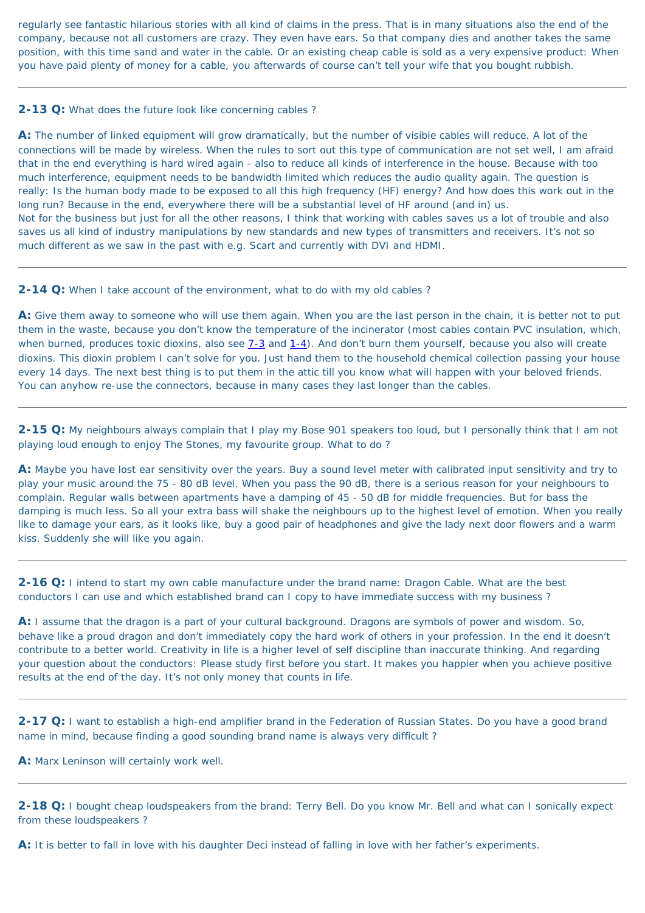regularly see fantastic hilarious stories with all kind of claims in the press. That is in many situations also the end of the company, because not all customers are crazy. They even have ears. So that company dies and another takes the same position, with this time sand and water in the cable. Or an existing cheap cable is sold as a very expensive product: When you have paid plenty of money for a cable, you afterwards of course can't tell your wife that you bought rubbish.

#### <span id="page-18-0"></span>**2-13 Q:** What does the future look like concerning cables ?

**A:** The number of linked equipment will grow dramatically, but the number of visible cables will reduce. A lot of the connections will be made by wireless. When the rules to sort out this type of communication are not set well, I am afraid that in the end everything is hard wired again - also to reduce all kinds of interference in the house. Because with too much interference, equipment needs to be bandwidth limited which reduces the audio quality again. The question is really: Is the human body made to be exposed to all this high frequency (HF) energy? And how does this work out in the long run? Because in the end, everywhere there will be a substantial level of HF around (and in) us. Not for the business but just for all the other reasons, I think that working with cables saves us a lot of trouble and also saves us all kind of industry manipulations by new standards and new types of transmitters and receivers. It's not so much different as we saw in the past with e.g. Scart and currently with DVI and HDMI.

#### <span id="page-18-1"></span>**2-14 Q:** When I take account of the environment, what to do with my old cables?

**A:** Give them away to someone who will use them again. When you are the last person in the chain, it is better not to put them in the waste, because you don't know the temperature of the incinerator (most cables contain PVC insulation, which, when burned, produces toxic dioxins, also see  $7-3$  and  $1-4$ ). And don't burn them yourself, because you also will create dioxins. This dioxin problem I can't solve for you. Just hand them to the household chemical collection passing your house every 14 days. The next best thing is to put them in the attic till you know what will happen with your beloved friends. You can anyhow re-use the connectors, because in many cases they last longer than the cables.

<span id="page-18-2"></span>**2-15 Q:** My neighbours always complain that I play my Bose 901 speakers too loud, but I personally think that I am not playing loud enough to enjoy The Stones, my favourite group. What to do ?

**A:** Maybe you have lost ear sensitivity over the years. Buy a sound level meter with calibrated input sensitivity and try to play your music around the 75 - 80 dB level. When you pass the 90 dB, there is a serious reason for your neighbours to complain. Regular walls between apartments have a damping of 45 - 50 dB for middle frequencies. But for bass the damping is much less. So all your extra bass will shake the neighbours up to the highest level of emotion. When you really like to damage your ears, as it looks like, buy a good pair of headphones and give the lady next door flowers and a warm kiss. Suddenly she will like you again.

#### <span id="page-18-3"></span>**2-16 Q:** I intend to start my own cable manufacture under the brand name: Dragon Cable. What are the best

conductors I can use and which established brand can I copy to have immediate success with my business ?

**A:** I assume that the dragon is a part of your cultural background. Dragons are symbols of power and wisdom. So, behave like a proud dragon and don't immediately copy the hard work of others in your profession. In the end it doesn't contribute to a better world. Creativity in life is a higher level of self discipline than inaccurate thinking. And regarding your question about the conductors: Please study first before you start. It makes you happier when you achieve positive results at the end of the day. It's not only money that counts in life.

<span id="page-18-4"></span>**2-17 Q:** I want to establish a high-end amplifier brand in the Federation of Russian States. Do you have a good brand name in mind, because finding a good sounding brand name is always very difficult ?

**A:** Marx Leninson will certainly work well.

<span id="page-18-5"></span>**2-18 Q:** I bought cheap loudspeakers from the brand: Terry Bell. Do you know Mr. Bell and what can I sonically expect from these loudspeakers ?

<span id="page-18-6"></span>**A:** It is better to fall in love with his daughter Deci instead of falling in love with her father's experiments.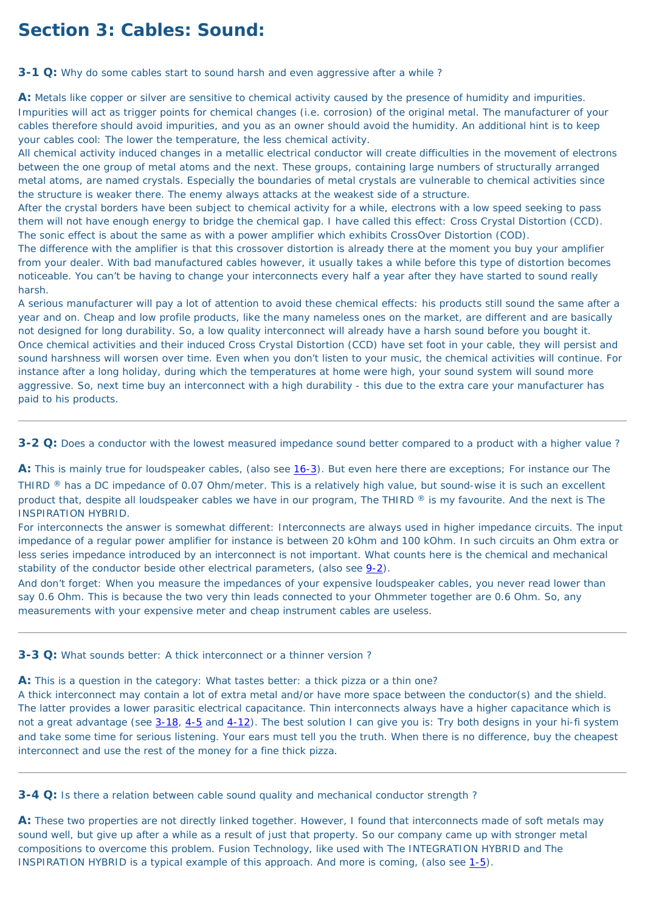# **Section 3: Cables: Sound:**

<span id="page-19-0"></span>**3-1 Q:** Why do some cables start to sound harsh and even aggressive after a while?

**A:** Metals like copper or silver are sensitive to chemical activity caused by the presence of humidity and impurities. Impurities will act as trigger points for chemical changes (i.e. corrosion) of the original metal. The manufacturer of your cables therefore should avoid impurities, and you as an owner should avoid the humidity. An additional hint is to keep your cables cool: The lower the temperature, the less chemical activity.

All chemical activity induced changes in a metallic electrical conductor will create difficulties in the movement of electrons between the one group of metal atoms and the next. These groups, containing large numbers of structurally arranged metal atoms, are named crystals. Especially the boundaries of metal crystals are vulnerable to chemical activities since the structure is weaker there. The enemy always attacks at the weakest side of a structure.

After the crystal borders have been subject to chemical activity for a while, electrons with a low speed seeking to pass them will not have enough energy to bridge the chemical gap. I have called this effect: Cross Crystal Distortion (CCD). The sonic effect is about the same as with a power amplifier which exhibits CrossOver Distortion (COD).

The difference with the amplifier is that this crossover distortion is already there at the moment you buy your amplifier from your dealer. With bad manufactured cables however, it usually takes a while before this type of distortion becomes noticeable. You can't be having to change your interconnects every half a year after they have started to sound really harsh.

A: This is mainly true for loudspeaker cables, (also see [16-3](#page-68-2)). But even here there are exceptions; For instance our The THIRD ® has a DC impedance of 0.07 Ohm/meter. This is a relatively high value, but sound-wise it is such an excellent product that, despite all loudspeaker cables we have in our program, The THIRD ® is my favourite. And the next is The INSPIRATION HYBRID.

For interconnects the answer is somewhat different: Interconnects are always used in higher impedance circuits. The input impedance of a regular power amplifier for instance is between 20 kOhm and 100 kOhm. In such circuits an Ohm extra or less series impedance introduced by an interconnect is not important. What counts here is the chemical and mechanical stability of the conductor beside other electrical parameters, (also see  $9-2$ ).

A serious manufacturer will pay a lot of attention to avoid these chemical effects: his products still sound the same after a year and on. Cheap and low profile products, like the many nameless ones on the market, are different and are basically not designed for long durability. So, a low quality interconnect will already have a harsh sound before you bought it. Once chemical activities and their induced Cross Crystal Distortion (CCD) have set foot in your cable, they will persist and sound harshness will worsen over time. Even when you don't listen to your music, the chemical activities will continue. For instance after a long holiday, during which the temperatures at home were high, your sound system will sound more aggressive. So, next time buy an interconnect with a high durability - this due to the extra care your manufacturer has paid to his products.

<span id="page-19-1"></span>**3-2 Q:** Does a conductor with the lowest measured impedance sound better compared to a product with a higher value ?

And don't forget: When you measure the impedances of your expensive loudspeaker cables, you never read lower than

say 0.6 Ohm. This is because the two very thin leads connected to your Ohmmeter together are 0.6 Ohm. So, any measurements with your expensive meter and cheap instrument cables are useless.

<span id="page-19-2"></span>**3-3 Q:** What sounds better: A thick interconnect or a thinner version ?

**A:** This is a question in the category: What tastes better: a thick pizza or a thin one?

A thick interconnect may contain a lot of extra metal and/or have more space between the conductor(s) and the shield. The latter provides a lower parasitic electrical capacitance. Thin interconnects always have a higher capacitance which is not a great advantage (see [3-18](#page-22-4), [4-5](#page-27-4) and [4-12\)](#page-29-1). The best solution I can give you is: Try both designs in your hi-fi system and take some time for serious listening. Your ears must tell you the truth. When there is no difference, buy the cheapest interconnect and use the rest of the money for a fine thick pizza.

<span id="page-19-3"></span>**3-4 Q:** Is there a relation between cable sound quality and mechanical conductor strength ?

A: These two properties are not directly linked together. However, I found that interconnects made of soft metals may sound well, but give up after a while as a result of just that property. So our company came up with stronger metal compositions to overcome this problem. Fusion Technology, like used with The INTEGRATION HYBRID and The INSPIRATION HYBRID is a typical example of this approach. And more is coming, (also see [1-5\)](#page-13-5).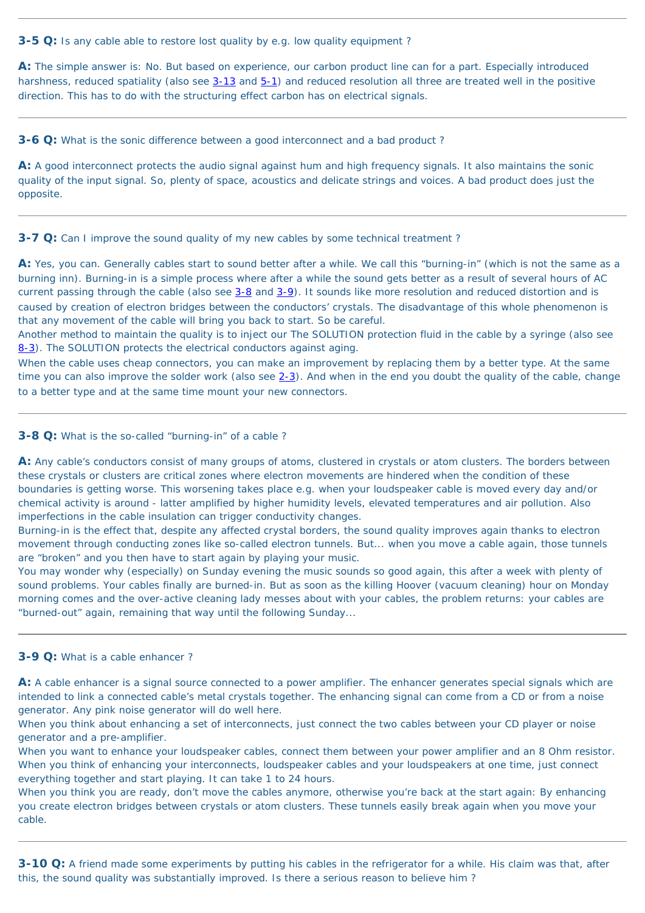#### <span id="page-20-0"></span>**3-5 Q:** Is any cable able to restore lost quality by e.g. low quality equipment ?

**A:** The simple answer is: No. But based on experience, our carbon product line can for a part. Especially introduced harshness, reduced spatiality (also see [3-13](#page-21-0) and [5-1\)](#page-35-0) and reduced resolution all three are treated well in the positive direction. This has to do with the structuring effect carbon has on electrical signals.

<span id="page-20-1"></span>**3-6 Q:** What is the sonic difference between a good interconnect and a bad product?

**A:** A good interconnect protects the audio signal against hum and high frequency signals. It also maintains the sonic quality of the input signal. So, plenty of space, acoustics and delicate strings and voices. A bad product does just the opposite.

<span id="page-20-2"></span>**3-7 Q:** Can I improve the sound quality of my new cables by some technical treatment?

**A:** Yes, you can. Generally cables start to sound better after a while. We call this "burning-in" (which is not the same as a burning inn). Burning-in is a simple process where after a while the sound gets better as a result of several hours of AC current passing through the cable (also see [3-8](#page-20-3) and [3-9\)](#page-20-4). It sounds like more resolution and reduced distortion and is caused by creation of electron bridges between the conductors' crystals. The disadvantage of this whole phenomenon is that any movement of the cable will bring you back to start. So be careful.

A: Any cable's conductors consist of many groups of atoms, clustered in crystals or atom clusters. The borders between these crystals or clusters are critical zones where electron movements are hindered when the condition of these boundaries is getting worse. This worsening takes place e.g. when your loudspeaker cable is moved every day and/or chemical activity is around - latter amplified by higher humidity levels, elevated temperatures and air pollution. Also imperfections in the cable insulation can trigger conductivity changes.

Another method to maintain the quality is to inject our The SOLUTION protection fluid in the cable by a syringe (also see [8-3\)](#page-49-1). The SOLUTION protects the electrical conductors against aging.

You may wonder why (especially) on Sunday evening the music sounds so good again, this after a week with plenty of sound problems. Your cables finally are burned-in. But as soon as the killing Hoover (vacuum cleaning) hour on Monday morning comes and the over-active cleaning lady messes about with your cables, the problem returns: your cables are "burned-out" again, remaining that way until the following Sunday...

When the cable uses cheap connectors, you can make an improvement by replacing them by a better type. At the same time you can also improve the solder work (also see  $2-3$ ). And when in the end you doubt the quality of the cable, change to a better type and at the same time mount your new connectors.

A: A cable enhancer is a signal source connected to a power amplifier. The enhancer generates special signals which are intended to link a connected cable's metal crystals together. The enhancing signal can come from a CD or from a noise generator. Any pink noise generator will do well here.

When you think about enhancing a set of interconnects, just connect the two cables between your CD player or noise generator and a pre-amplifier.

#### <span id="page-20-3"></span>**3-8 Q:** What is the so-called "burning-in" of a cable ?

Burning-in is the effect that, despite any affected crystal borders, the sound quality improves again thanks to electron movement through conducting zones like so-called electron tunnels. But... when you move a cable again, those tunnels are "broken" and you then have to start again by playing your music.

#### <span id="page-20-4"></span>**3-9 Q:** What is a cable enhancer ?

When you want to enhance your loudspeaker cables, connect them between your power amplifier and an 8 Ohm resistor. When you think of enhancing your interconnects, loudspeaker cables and your loudspeakers at one time, just connect everything together and start playing. It can take 1 to 24 hours.

When you think you are ready, don't move the cables anymore, otherwise you're back at the start again: By enhancing you create electron bridges between crystals or atom clusters. These tunnels easily break again when you move your cable.

<span id="page-20-5"></span>**3-10 Q:** A friend made some experiments by putting his cables in the refrigerator for a while. His claim was that, after this, the sound quality was substantially improved. Is there a serious reason to believe him ?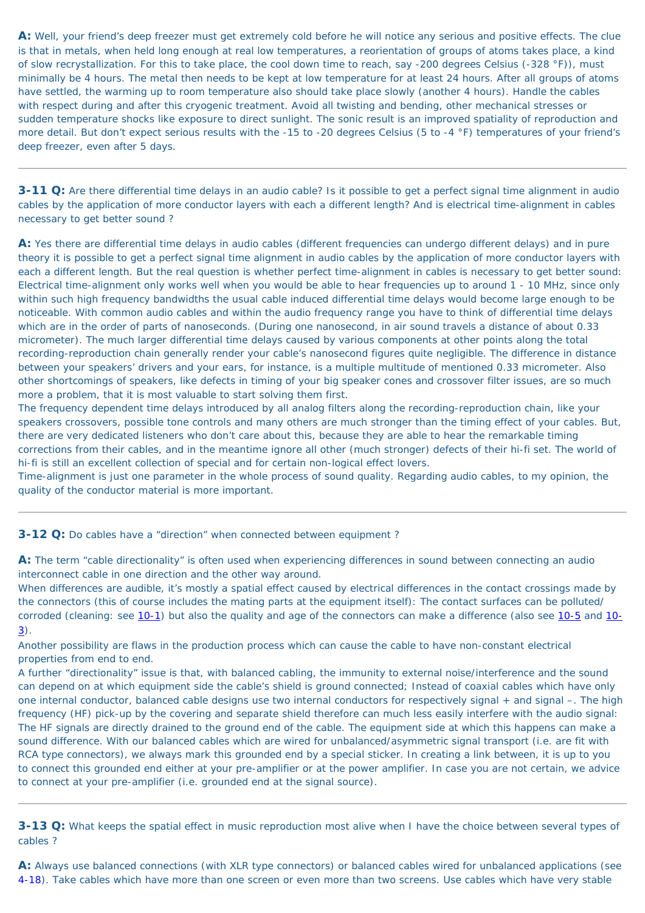**A:** Well, your friend's deep freezer must get extremely cold before he will notice any serious and positive effects. The clue is that in metals, when held long enough at real low temperatures, a reorientation of groups of atoms takes place, a kind of slow recrystallization. For this to take place, the cool down time to reach, say -200 degrees Celsius (-328 °F)), must minimally be 4 hours. The metal then needs to be kept at low temperature for at least 24 hours. After all groups of atoms have settled, the warming up to room temperature also should take place slowly (another 4 hours). Handle the cables with respect during and after this cryogenic treatment. Avoid all twisting and bending, other mechanical stresses or sudden temperature shocks like exposure to direct sunlight. The sonic result is an improved spatiality of reproduction and more detail. But don't expect serious results with the -15 to -20 degrees Celsius (5 to -4 °F) temperatures of your friend's deep freezer, even after 5 days.

<span id="page-21-1"></span>**3-11 Q:** Are there differential time delays in an audio cable? Is it possible to get a perfect signal time alignment in audio cables by the application of more conductor layers with each a different length? And is electrical time-alignment in cables necessary to get better sound ?

**A:** Yes there are differential time delays in audio cables (different frequencies can undergo different delays) and in pure theory it is possible to get a perfect signal time alignment in audio cables by the application of more conductor layers with each a different length. But the real question is whether perfect time-alignment in cables is necessary to get better sound: Electrical time-alignment only works well when you would be able to hear frequencies up to around 1 - 10 MHz, since only within such high frequency bandwidths the usual cable induced differential time delays would become large enough to be noticeable. With common audio cables and within the audio frequency range you have to think of differential time delays which are in the order of parts of nanoseconds. (During one nanosecond, in air sound travels a distance of about 0.33 micrometer). The much larger differential time delays caused by various components at other points along the total recording-reproduction chain generally render your cable's nanosecond figures quite negligible. The difference in distance between your speakers' drivers and your ears, for instance, is a multiple multitude of mentioned 0.33 micrometer. Also other shortcomings of speakers, like defects in timing of your big speaker cones and crossover filter issues, are so much more a problem, that it is most valuable to start solving them first.

The frequency dependent time delays introduced by all analog filters along the recording-reproduction chain, like your speakers crossovers, possible tone controls and many others are much stronger than the timing effect of your cables. But, there are very dedicated listeners who don't care about this, because they are able to hear the remarkable timing corrections from their cables, and in the meantime ignore all other (much stronger) defects of their hi-fi set. The world of hi-fi is still an excellent collection of special and for certain non-logical effect lovers.

Time-alignment is just one parameter in the whole process of sound quality. Regarding audio cables, to my opinion, the quality of the conductor material is more important.

<span id="page-21-2"></span>**3-12 Q:** Do cables have a "direction" when connected between equipment ?

**A:** The term "cable directionality" is often used when experiencing differences in sound between connecting an audio interconnect cable in one direction and the other way around.

When differences are audible, it's mostly a spatial effect caused by electrical differences in the contact crossings made by the connectors (this of course includes the mating parts at the equipment itself): The contact surfaces can be polluted/ corroded (cleaning: see [10-1](#page-53-2)) but also the quality and age of the connectors can make a difference (also see [10-5](#page-54-0) and [10-](#page-53-0) [3\)](#page-53-0).

Another possibility are flaws in the production process which can cause the cable to have non-constant electrical properties from end to end.

A further "directionality" issue is that, with balanced cabling, the immunity to external noise/interference and the sound can depend on at which equipment side the cable's shield is ground connected; Instead of coaxial cables which have only one internal conductor, balanced cable designs use two internal conductors for respectively signal + and signal –. The high frequency (HF) pick-up by the covering and separate shield therefore can much less easily interfere with the audio signal: The HF signals are directly drained to the ground end of the cable. The equipment side at which this happens can make a sound difference. With our balanced cables which are wired for unbalanced/asymmetric signal transport (i.e. are fit with RCA type connectors), we always mark this grounded end by a special sticker. In creating a link between, it is up to you to connect this grounded end either at your pre-amplifier or at the power amplifier. In case you are not certain, we advice to connect at your pre-amplifier (i.e. grounded end at the signal source).

<span id="page-21-0"></span>**3-13 Q:** What keeps the spatial effect in music reproduction most alive when I have the choice between several types of cables ?

**A:** Always use balanced connections (with XLR type connectors) or balanced cables wired for unbalanced applications (see [4-18](#page-30-4)). Take cables which have more than one screen or even more than two screens. Use cables which have very stable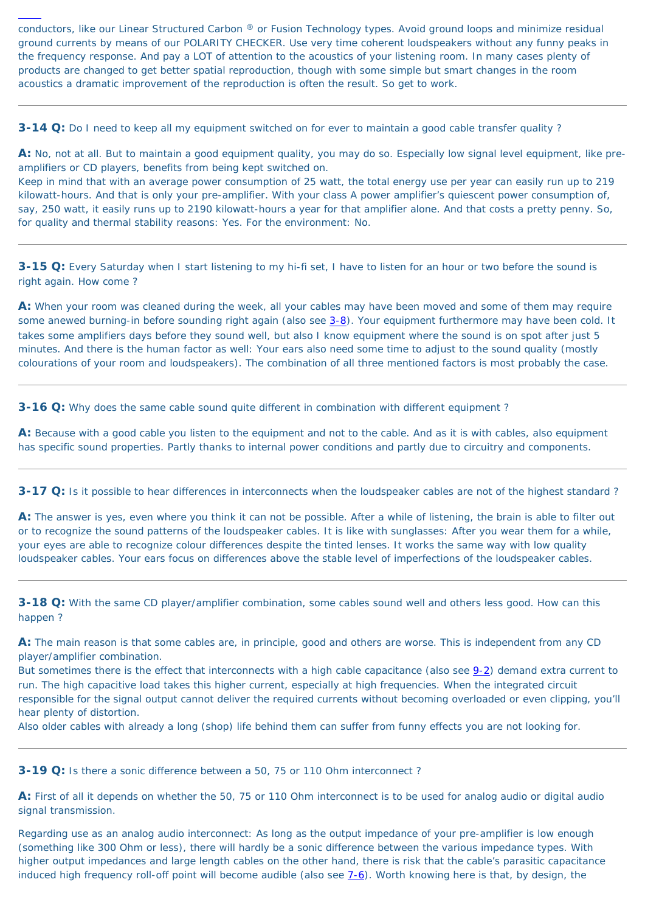conductors, like our Linear Structured Carbon ® or Fusion Technology types. Avoid ground loops and minimize residual ground currents by means of our POLARITY CHECKER. Use very time coherent loudspeakers without any funny peaks in the frequency response. And pay a LOT of attention to the acoustics of your listening room. In many cases plenty of products are changed to get better spatial reproduction, though with some simple but smart changes in the room acoustics a dramatic improvement of the reproduction is often the result. So get to work.

<span id="page-22-0"></span>**3-14 Q:** Do I need to keep all my equipment switched on for ever to maintain a good cable transfer quality ?

**A:** No, not at all. But to maintain a good equipment quality, you may do so. Especially low signal level equipment, like preamplifiers or CD players, benefits from being kept switched on.

Keep in mind that with an average power consumption of 25 watt, the total energy use per year can easily run up to 219 kilowatt-hours. And that is only your pre-amplifier. With your class A power amplifier's quiescent power consumption of, say, 250 watt, it easily runs up to 2190 kilowatt-hours a year for that amplifier alone. And that costs a pretty penny. So, for quality and thermal stability reasons: Yes. For the environment: No.

<span id="page-22-1"></span>**3-15 Q:** Every Saturday when I start listening to my hi-fi set, I have to listen for an hour or two before the sound is right again. How come ?

**A:** When your room was cleaned during the week, all your cables may have been moved and some of them may require some anewed burning-in before sounding right again (also see [3-8\)](#page-20-3). Your equipment furthermore may have been cold. It takes some amplifiers days before they sound well, but also I know equipment where the sound is on spot after just 5 minutes. And there is the human factor as well: Your ears also need some time to adjust to the sound quality (mostly colourations of your room and loudspeakers). The combination of all three mentioned factors is most probably the case.

<span id="page-22-2"></span>**3-16 Q:** Why does the same cable sound quite different in combination with different equipment?

Regarding use as an analog audio interconnect: As long as the output impedance of your pre-amplifier is low enough (something like 300 Ohm or less), there will hardly be a sonic difference between the various impedance types. With higher output impedances and large length cables on the other hand, there is risk that the cable's parasitic capacitance induced high frequency roll-off point will become audible (also see  $7-6$ ). Worth knowing here is that, by design, the

**A:** Because with a good cable you listen to the equipment and not to the cable. And as it is with cables, also equipment has specific sound properties. Partly thanks to internal power conditions and partly due to circuitry and components.

<span id="page-22-3"></span>**3-17 Q:** Is it possible to hear differences in interconnects when the loudspeaker cables are not of the highest standard ?

**A:** The answer is yes, even where you think it can not be possible. After a while of listening, the brain is able to filter out or to recognize the sound patterns of the loudspeaker cables. It is like with sunglasses: After you wear them for a while, your eyes are able to recognize colour differences despite the tinted lenses. It works the same way with low quality loudspeaker cables. Your ears focus on differences above the stable level of imperfections of the loudspeaker cables.

<span id="page-22-4"></span>**3-18 Q:** With the same CD player/amplifier combination, some cables sound well and others less good. How can this happen ?

**A:** The main reason is that some cables are, in principle, good and others are worse. This is independent from any CD player/amplifier combination.

But sometimes there is the effect that interconnects with a high cable capacitance (also see [9-2\)](#page-50-0) demand extra current to run. The high capacitive load takes this higher current, especially at high frequencies. When the integrated circuit responsible for the signal output cannot deliver the required currents without becoming overloaded or even clipping, you'll hear plenty of distortion.

Also older cables with already a long (shop) life behind them can suffer from funny effects you are not looking for.

#### <span id="page-22-5"></span>**3-19 Q:** Is there a sonic difference between a 50, 75 or 110 Ohm interconnect ?

**A:** First of all it depends on whether the 50, 75 or 110 Ohm interconnect is to be used for analog audio or digital audio signal transmission.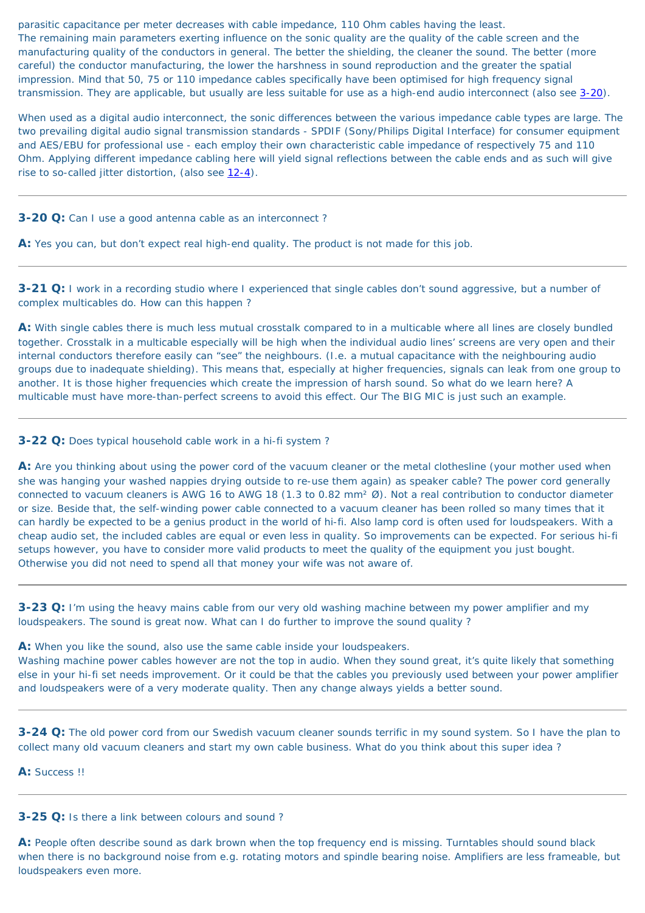parasitic capacitance per meter decreases with cable impedance, 110 Ohm cables having the least. The remaining main parameters exerting influence on the sonic quality are the quality of the cable screen and the manufacturing quality of the conductors in general. The better the shielding, the cleaner the sound. The better (more careful) the conductor manufacturing, the lower the harshness in sound reproduction and the greater the spatial impression. Mind that 50, 75 or 110 impedance cables specifically have been optimised for high frequency signal transmission. They are applicable, but usually are less suitable for use as a high-end audio interconnect (also see [3-20\)](#page-23-0).

When used as a digital audio interconnect, the sonic differences between the various impedance cable types are large. The two prevailing digital audio signal transmission standards - SPDIF (Sony/Philips Digital Interface) for consumer equipment and AES/EBU for professional use - each employ their own characteristic cable impedance of respectively 75 and 110 Ohm. Applying different impedance cabling here will yield signal reflections between the cable ends and as such will give rise to so-called jitter distortion, (also see [12-4](#page-59-3)).

#### <span id="page-23-0"></span>**3-20 Q:** Can I use a good antenna cable as an interconnect?

A: Yes you can, but don't expect real high-end quality. The product is not made for this job.

<span id="page-23-1"></span>**3-21 Q:** I work in a recording studio where I experienced that single cables don't sound aggressive, but a number of complex multicables do. How can this happen ?

A: Are you thinking about using the power cord of the vacuum cleaner or the metal clothesline (your mother used when she was hanging your washed nappies drying outside to re-use them again) as speaker cable? The power cord generally connected to vacuum cleaners is AWG 16 to AWG 18 (1.3 to 0.82 mm² Ø). Not a real contribution to conductor diameter or size. Beside that, the self-winding power cable connected to a vacuum cleaner has been rolled so many times that it can hardly be expected to be a genius product in the world of hi-fi. Also lamp cord is often used for loudspeakers. With a cheap audio set, the included cables are equal or even less in quality. So improvements can be expected. For serious hi-fi setups however, you have to consider more valid products to meet the quality of the equipment you just bought. Otherwise you did not need to spend all that money your wife was not aware of.

**A:** With single cables there is much less mutual crosstalk compared to in a multicable where all lines are closely bundled together. Crosstalk in a multicable especially will be high when the individual audio lines' screens are very open and their internal conductors therefore easily can "see" the neighbours. (I.e. a mutual capacitance with the neighbouring audio groups due to inadequate shielding). This means that, especially at higher frequencies, signals can leak from one group to another. It is those higher frequencies which create the impression of harsh sound. So what do we learn here? A multicable must have more-than-perfect screens to avoid this effect. Our The BIG MIC is just such an example.

#### <span id="page-23-2"></span>**3-22 Q:** Does typical household cable work in a hi-fi system ?

<span id="page-23-3"></span>**3-23 Q:** I'm using the heavy mains cable from our very old washing machine between my power amplifier and my loudspeakers. The sound is great now. What can I do further to improve the sound quality ?

**A:** When you like the sound, also use the same cable inside your loudspeakers.

Washing machine power cables however are not the top in audio. When they sound great, it's quite likely that something else in your hi-fi set needs improvement. Or it could be that the cables you previously used between your power amplifier and loudspeakers were of a very moderate quality. Then any change always yields a better sound.

<span id="page-23-4"></span>**3-24 Q:** The old power cord from our Swedish vacuum cleaner sounds terrific in my sound system. So I have the plan to collect many old vacuum cleaners and start my own cable business. What do you think about this super idea ?

**A:** Success !!

<span id="page-23-5"></span>**3-25 Q:** Is there a link between colours and sound ?

**A:** People often describe sound as dark brown when the top frequency end is missing. Turntables should sound black when there is no background noise from e.g. rotating motors and spindle bearing noise. Amplifiers are less frameable, but loudspeakers even more.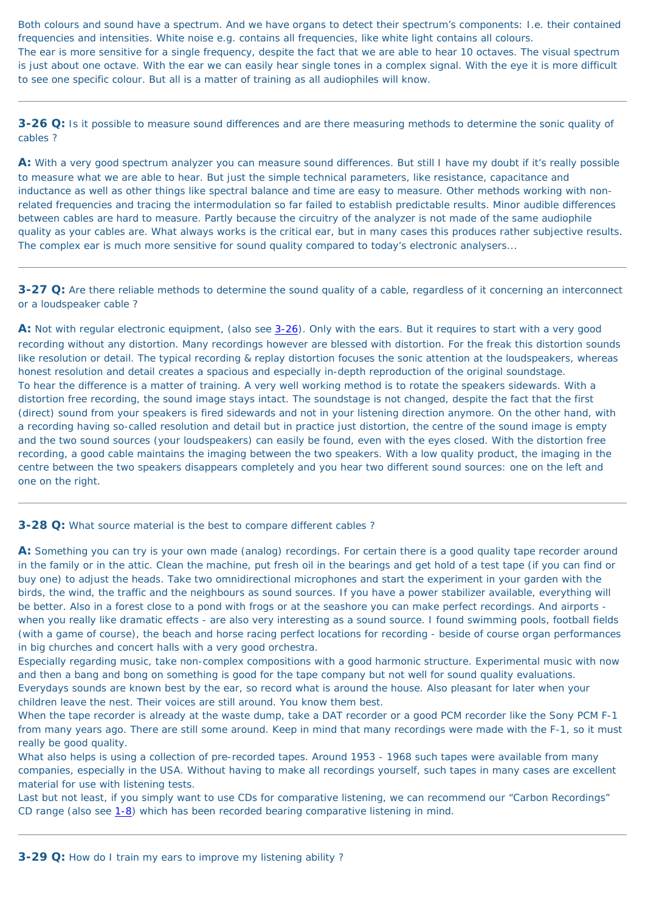Both colours and sound have a spectrum. And we have organs to detect their spectrum's components: I.e. their contained frequencies and intensities. White noise e.g. contains all frequencies, like white light contains all colours. The ear is more sensitive for a single frequency, despite the fact that we are able to hear 10 octaves. The visual spectrum is just about one octave. With the ear we can easily hear single tones in a complex signal. With the eye it is more difficult to see one specific colour. But all is a matter of training as all audiophiles will know.

<span id="page-24-1"></span>**3-26 Q:** Is it possible to measure sound differences and are there measuring methods to determine the sonic quality of cables ?

A: With a very good spectrum analyzer you can measure sound differences. But still I have my doubt if it's really possible to measure what we are able to hear. But just the simple technical parameters, like resistance, capacitance and inductance as well as other things like spectral balance and time are easy to measure. Other methods working with nonrelated frequencies and tracing the intermodulation so far failed to establish predictable results. Minor audible differences between cables are hard to measure. Partly because the circuitry of the analyzer is not made of the same audiophile quality as your cables are. What always works is the critical ear, but in many cases this produces rather subjective results. The complex ear is much more sensitive for sound quality compared to today's electronic analysers...

A: Not with regular electronic equipment, (also see [3-26\)](#page-24-1). Only with the ears. But it requires to start with a very good recording without any distortion. Many recordings however are blessed with distortion. For the freak this distortion sounds like resolution or detail. The typical recording & replay distortion focuses the sonic attention at the loudspeakers, whereas honest resolution and detail creates a spacious and especially in-depth reproduction of the original soundstage. To hear the difference is a matter of training. A very well working method is to rotate the speakers sidewards. With a distortion free recording, the sound image stays intact. The soundstage is not changed, despite the fact that the first (direct) sound from your speakers is fired sidewards and not in your listening direction anymore. On the other hand, with a recording having so-called resolution and detail but in practice just distortion, the centre of the sound image is empty and the two sound sources (your loudspeakers) can easily be found, even with the eyes closed. With the distortion free recording, a good cable maintains the imaging between the two speakers. With a low quality product, the imaging in the centre between the two speakers disappears completely and you hear two different sound sources: one on the left and one on the right.

#### <span id="page-24-3"></span>**3-28 Q:** What source material is the best to compare different cables?

<span id="page-24-2"></span>**3-27 Q:** Are there reliable methods to determine the sound quality of a cable, regardless of it concerning an interconnect or a loudspeaker cable ?

A: Something you can try is your own made (analog) recordings. For certain there is a good quality tape recorder around in the family or in the attic. Clean the machine, put fresh oil in the bearings and get hold of a test tape (if you can find or buy one) to adjust the heads. Take two omnidirectional microphones and start the experiment in your garden with the

birds, the wind, the traffic and the neighbours as sound sources. If you have a power stabilizer available, everything will be better. Also in a forest close to a pond with frogs or at the seashore you can make perfect recordings. And airports when you really like dramatic effects - are also very interesting as a sound source. I found swimming pools, football fields (with a game of course), the beach and horse racing perfect locations for recording - beside of course organ performances in big churches and concert halls with a very good orchestra.

Especially regarding music, take non-complex compositions with a good harmonic structure. Experimental music with now and then a bang and bong on something is good for the tape company but not well for sound quality evaluations.

Everydays sounds are known best by the ear, so record what is around the house. Also pleasant for later when your children leave the nest. Their voices are still around. You know them best.

When the tape recorder is already at the waste dump, take a DAT recorder or a good PCM recorder like the Sony PCM F-1 from many years ago. There are still some around. Keep in mind that many recordings were made with the F-1, so it must really be good quality.

What also helps is using a collection of pre-recorded tapes. Around 1953 - 1968 such tapes were available from many companies, especially in the USA. Without having to make all recordings yourself, such tapes in many cases are excellent material for use with listening tests.

Last but not least, if you simply want to use CDs for comparative listening, we can recommend our "Carbon Recordings" CD range (also see [1-8\)](#page-14-2) which has been recorded bearing comparative listening in mind.

<span id="page-24-0"></span>**3-29 Q:** How do I train my ears to improve my listening ability ?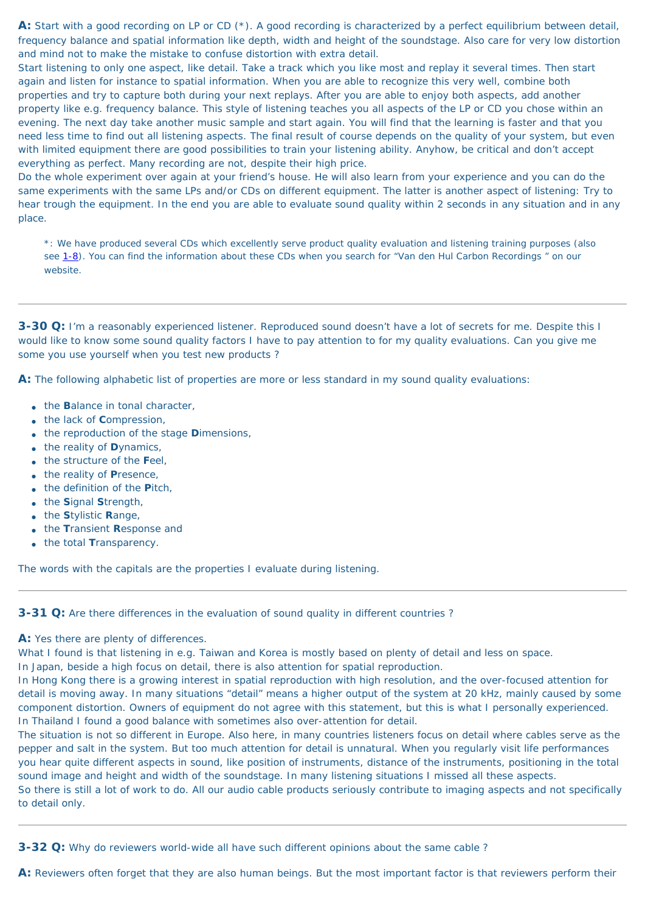A: Start with a good recording on LP or CD (\*). A good recording is characterized by a perfect equilibrium between detail, frequency balance and spatial information like depth, width and height of the soundstage. Also care for very low distortion and mind not to make the mistake to confuse distortion with extra detail.

Start listening to only one aspect, like detail. Take a track which you like most and replay it several times. Then start again and listen for instance to spatial information. When you are able to recognize this very well, combine both properties and try to capture both during your next replays. After you are able to enjoy both aspects, add another property like e.g. frequency balance. This style of listening teaches you all aspects of the LP or CD you chose within an evening. The next day take another music sample and start again. You will find that the learning is faster and that you need less time to find out all listening aspects. The final result of course depends on the quality of your system, but even with limited equipment there are good possibilities to train your listening ability. Anyhow, be critical and don't accept everything as perfect. Many recording are not, despite their high price.

- the **B**alance in tonal character,
- the lack of **C**ompression,
- the reproduction of the stage **D**imensions,
- the reality of **D**ynamics,
- the structure of the **F**eel,
- the reality of **P**resence,
- the definition of the **P**itch,
- the **S**ignal **S**trength,
- the **S**tylistic **R**ange,
- the **T**ransient **R**esponse and
- the total **T**ransparency.

Do the whole experiment over again at your friend's house. He will also learn from your experience and you can do the same experiments with the same LPs and/or CDs on different equipment. The latter is another aspect of listening: Try to hear trough the equipment. In the end you are able to evaluate sound quality within 2 seconds in any situation and in any place.

\*: We have produced several CDs which excellently serve product quality evaluation and listening training purposes (also see [1-8](#page-14-2)). You can find the information about these CDs when you search for "Van den Hul Carbon Recordings " on our website.

<span id="page-25-1"></span>**3-30 Q:** I'm a reasonably experienced listener. Reproduced sound doesn't have a lot of secrets for me. Despite this I would like to know some sound quality factors I have to pay attention to for my quality evaluations. Can you give me some you use yourself when you test new products ?

**A:** The following alphabetic list of properties are more or less standard in my sound quality evaluations:

The words with the capitals are the properties I evaluate during listening.

#### <span id="page-25-2"></span>**3-31 Q:** Are there differences in the evaluation of sound quality in different countries?

A: Yes there are plenty of differences.

What I found is that listening in e.g. Taiwan and Korea is mostly based on plenty of detail and less on space.

In Japan, beside a high focus on detail, there is also attention for spatial reproduction.

In Hong Kong there is a growing interest in spatial reproduction with high resolution, and the over-focused attention for detail is moving away. In many situations "detail" means a higher output of the system at 20 kHz, mainly caused by some component distortion. Owners of equipment do not agree with this statement, but this is what I personally experienced. In Thailand I found a good balance with sometimes also over-attention for detail.

The situation is not so different in Europe. Also here, in many countries listeners focus on detail where cables serve as the pepper and salt in the system. But too much attention for detail is unnatural. When you regularly visit life performances you hear quite different aspects in sound, like position of instruments, distance of the instruments, positioning in the total sound image and height and width of the soundstage. In many listening situations I missed all these aspects. So there is still a lot of work to do. All our audio cable products seriously contribute to imaging aspects and not specifically to detail only.

<span id="page-25-0"></span>**3-32 Q:** Why do reviewers world-wide all have such different opinions about the same cable ?

**A:** Reviewers often forget that they are also human beings. But the most important factor is that reviewers perform their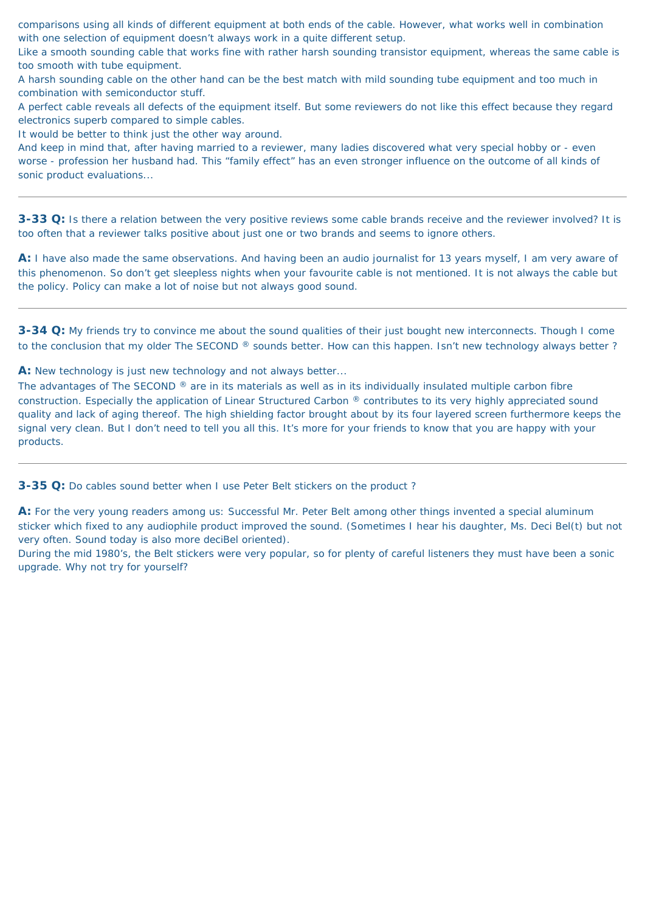comparisons using all kinds of different equipment at both ends of the cable. However, what works well in combination with one selection of equipment doesn't always work in a quite different setup.

Like a smooth sounding cable that works fine with rather harsh sounding transistor equipment, whereas the same cable is too smooth with tube equipment.

A harsh sounding cable on the other hand can be the best match with mild sounding tube equipment and too much in combination with semiconductor stuff.

A perfect cable reveals all defects of the equipment itself. But some reviewers do not like this effect because they regard electronics superb compared to simple cables.

It would be better to think just the other way around.

<span id="page-26-1"></span>**3-34 Q:** My friends try to convince me about the sound qualities of their just bought new interconnects. Though I come to the conclusion that my older The SECOND ® sounds better. How can this happen. Isn't new technology always better ?

**A:** New technology is just new technology and not always better...

And keep in mind that, after having married to a reviewer, many ladies discovered what very special hobby or - even worse - profession her husband had. This "family effect" has an even stronger influence on the outcome of all kinds of sonic product evaluations...

<span id="page-26-0"></span>**3-33 Q:** Is there a relation between the very positive reviews some cable brands receive and the reviewer involved? It is too often that a reviewer talks positive about just one or two brands and seems to ignore others.

The advantages of The SECOND ® are in its materials as well as in its individually insulated multiple carbon fibre construction. Especially the application of Linear Structured Carbon ® contributes to its very highly appreciated sound quality and lack of aging thereof. The high shielding factor brought about by its four layered screen furthermore keeps the signal very clean. But I don't need to tell you all this. It's more for your friends to know that you are happy with your products.

**A:** I have also made the same observations. And having been an audio journalist for 13 years myself, I am very aware of this phenomenon. So don't get sleepless nights when your favourite cable is not mentioned. It is not always the cable but the policy. Policy can make a lot of noise but not always good sound.

<span id="page-26-2"></span>**3-35 Q:** Do cables sound better when I use Peter Belt stickers on the product ?

**A:** For the very young readers among us: Successful Mr. Peter Belt among other things invented a special aluminum sticker which fixed to any audiophile product improved the sound. (Sometimes I hear his daughter, Ms. Deci Bel(t) but not very often. Sound today is also more deciBel oriented).

During the mid 1980's, the Belt stickers were very popular, so for plenty of careful listeners they must have been a sonic upgrade. Why not try for yourself?

<span id="page-26-3"></span>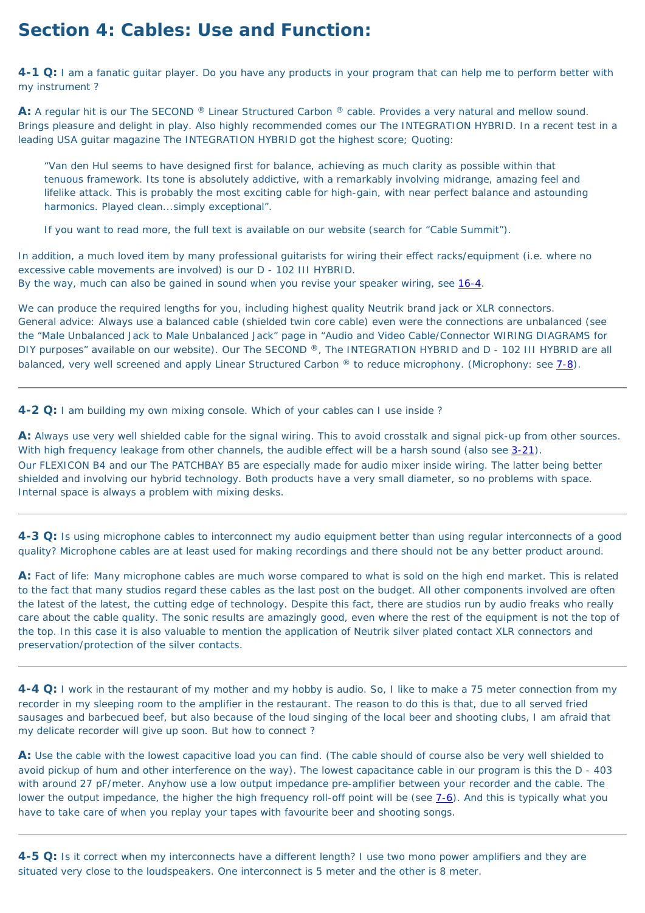# **Section 4: Cables: Use and Function:**

<span id="page-27-1"></span>**4-1 Q:** I am a fanatic guitar player. Do you have any products in your program that can help me to perform better with my instrument ?

**A:** A regular hit is our The SECOND ® Linear Structured Carbon ® cable. Provides a very natural and mellow sound. Brings pleasure and delight in play. Also highly recommended comes our The INTEGRATION HYBRID. In a recent test in a leading USA guitar magazine The INTEGRATION HYBRID got the highest score; Quoting:

In addition, a much loved item by many professional guitarists for wiring their effect racks/equipment (i.e. where no excessive cable movements are involved) is our D - 102 III HYBRID. By the way, much can also be gained in sound when you revise your speaker wiring, see [16-4](#page-68-1).

We can produce the required lengths for you, including highest quality Neutrik brand jack or XLR connectors. General advice: Always use a balanced cable (shielded twin core cable) even were the connections are unbalanced (see the "Male Unbalanced Jack to Male Unbalanced Jack" page in "Audio and Video Cable/Connector WIRING DIAGRAMS for DIY purposes" available on our website). Our The SECOND ®, The INTEGRATION HYBRID and D - 102 III HYBRID are all balanced, very well screened and apply Linear Structured Carbon ® to reduce microphony. (Microphony: see [7-8](#page-48-0)).

*"Van den Hul seems to have designed first for balance, achieving as much clarity as possible within that tenuous framework. Its tone is absolutely addictive, with a remarkably involving midrange, amazing feel and lifelike attack. This is probably the most exciting cable for high-gain, with near perfect balance and astounding harmonics. Played clean...simply exceptional".*

If you want to read more, the full text is available on our website (search for "Cable Summit").

<span id="page-27-2"></span>**4-2 Q:** I am building my own mixing console. Which of your cables can I use inside ?

**A:** Always use very well shielded cable for the signal wiring. This to avoid crosstalk and signal pick-up from other sources. With high frequency leakage from other channels, the audible effect will be a harsh sound (also see [3-21\)](#page-23-1). Our FLEXICON B4 and our The PATCHBAY B5 are especially made for audio mixer inside wiring. The latter being better shielded and involving our hybrid technology. Both products have a very small diameter, so no problems with space. Internal space is always a problem with mixing desks.

<span id="page-27-0"></span>**4-3 Q:** Is using microphone cables to interconnect my audio equipment better than using regular interconnects of a good quality? Microphone cables are at least used for making recordings and there should not be any better product around.

**A:** Fact of life: Many microphone cables are much worse compared to what is sold on the high end market. This is related

to the fact that many studios regard these cables as the last post on the budget. All other components involved are often the latest of the latest, the cutting edge of technology. Despite this fact, there are studios run by audio freaks who really care about the cable quality. The sonic results are amazingly good, even where the rest of the equipment is not the top of the top. In this case it is also valuable to mention the application of Neutrik silver plated contact XLR connectors and preservation/protection of the silver contacts.

<span id="page-27-3"></span>**4-4 Q:** I work in the restaurant of my mother and my hobby is audio. So, I like to make a 75 meter connection from my recorder in my sleeping room to the amplifier in the restaurant. The reason to do this is that, due to all served fried sausages and barbecued beef, but also because of the loud singing of the local beer and shooting clubs, I am afraid that my delicate recorder will give up soon. But how to connect ?

**A:** Use the cable with the lowest capacitive load you can find. (The cable should of course also be very well shielded to avoid pickup of hum and other interference on the way). The lowest capacitance cable in our program is this the D - 403 with around 27 pF/meter. Anyhow use a low output impedance pre-amplifier between your recorder and the cable. The lower the output impedance, the higher the high frequency roll-off point will be (see  $7-6$ ). And this is typically what you have to take care of when you replay your tapes with favourite beer and shooting songs.

<span id="page-27-4"></span>**4-5 Q:** Is it correct when my interconnects have a different length? I use two mono power amplifiers and they are situated very close to the loudspeakers. One interconnect is 5 meter and the other is 8 meter.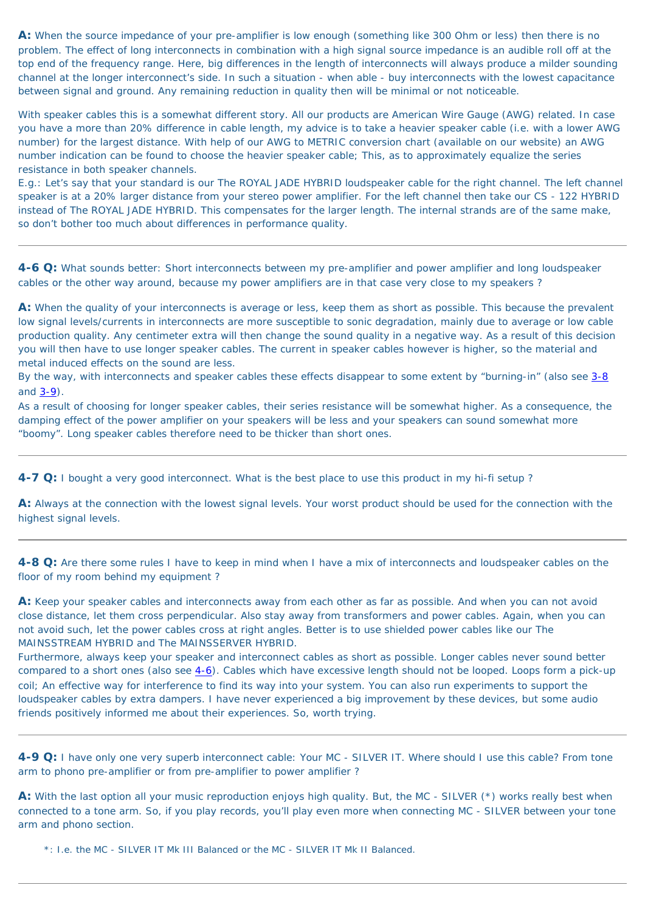**A:** When the source impedance of your pre-amplifier is low enough (something like 300 Ohm or less) then there is no problem. The effect of long interconnects in combination with a high signal source impedance is an audible roll off at the top end of the frequency range. Here, big differences in the length of interconnects will always produce a milder sounding channel at the longer interconnect's side. In such a situation - when able - buy interconnects with the lowest capacitance between signal and ground. Any remaining reduction in quality then will be minimal or not noticeable.

With speaker cables this is a somewhat different story. All our products are American Wire Gauge (AWG) related. In case you have a more than 20% difference in cable length, my advice is to take a heavier speaker cable (i.e. with a lower AWG number) for the largest distance. With help of our AWG to METRIC conversion chart (available on our website) an AWG number indication can be found to choose the heavier speaker cable; This, as to approximately equalize the series resistance in both speaker channels.

E.g.: Let's say that your standard is our The ROYAL JADE HYBRID loudspeaker cable for the right channel. The left channel speaker is at a 20% larger distance from your stereo power amplifier. For the left channel then take our CS - 122 HYBRID instead of The ROYAL JADE HYBRID. This compensates for the larger length. The internal strands are of the same make, so don't bother too much about differences in performance quality.

<span id="page-28-0"></span>**4-6 Q:** What sounds better: Short interconnects between my pre-amplifier and power amplifier and long loudspeaker cables or the other way around, because my power amplifiers are in that case very close to my speakers ?

**A:** When the quality of your interconnects is average or less, keep them as short as possible. This because the prevalent low signal levels/currents in interconnects are more susceptible to sonic degradation, mainly due to average or low cable production quality. Any centimeter extra will then change the sound quality in a negative way. As a result of this decision you will then have to use longer speaker cables. The current in speaker cables however is higher, so the material and metal induced effects on the sound are less.

By the way, with interconnects and speaker cables these effects disappear to some extent by "burning-in" (also see [3-8](#page-20-3) and  $3-9$ .

As a result of choosing for longer speaker cables, their series resistance will be somewhat higher. As a consequence, the damping effect of the power amplifier on your speakers will be less and your speakers can sound somewhat more "boomy". Long speaker cables therefore need to be thicker than short ones.

<span id="page-28-1"></span>**4-7 Q:** I bought a very good interconnect. What is the best place to use this product in my hi-fi setup ?

**A:** Always at the connection with the lowest signal levels. Your worst product should be used for the connection with the highest signal levels.

<span id="page-28-2"></span>**4-8 Q:** Are there some rules I have to keep in mind when I have a mix of interconnects and loudspeaker cables on the floor of my room behind my equipment ?

**A:** Keep your speaker cables and interconnects away from each other as far as possible. And when you can not avoid close distance, let them cross perpendicular. Also stay away from transformers and power cables. Again, when you can not avoid such, let the power cables cross at right angles. Better is to use shielded power cables like our The MAINSSTREAM HYBRID and The MAINSSERVER HYBRID.

Furthermore, always keep your speaker and interconnect cables as short as possible. Longer cables never sound better compared to a short ones (also see  $4-6$ ). Cables which have excessive length should not be looped. Loops form a pick-up coil; An effective way for interference to find its way into your system. You can also run experiments to support the loudspeaker cables by extra dampers. I have never experienced a big improvement by these devices, but some audio friends positively informed me about their experiences. So, worth trying.

<span id="page-28-3"></span>**4-9 Q:** I have only one very superb interconnect cable: Your MC - SILVER IT. Where should I use this cable? From tone arm to phono pre-amplifier or from pre-amplifier to power amplifier ?

**A:** With the last option all your music reproduction enjoys high quality. But, the MC - SILVER (\*) works really best when connected to a tone arm. So, if you play records, you'll play even more when connecting MC - SILVER between your tone arm and phono section.

\*: I.e. the MC - SILVER IT Mk III Balanced or the MC - SILVER IT Mk II Balanced.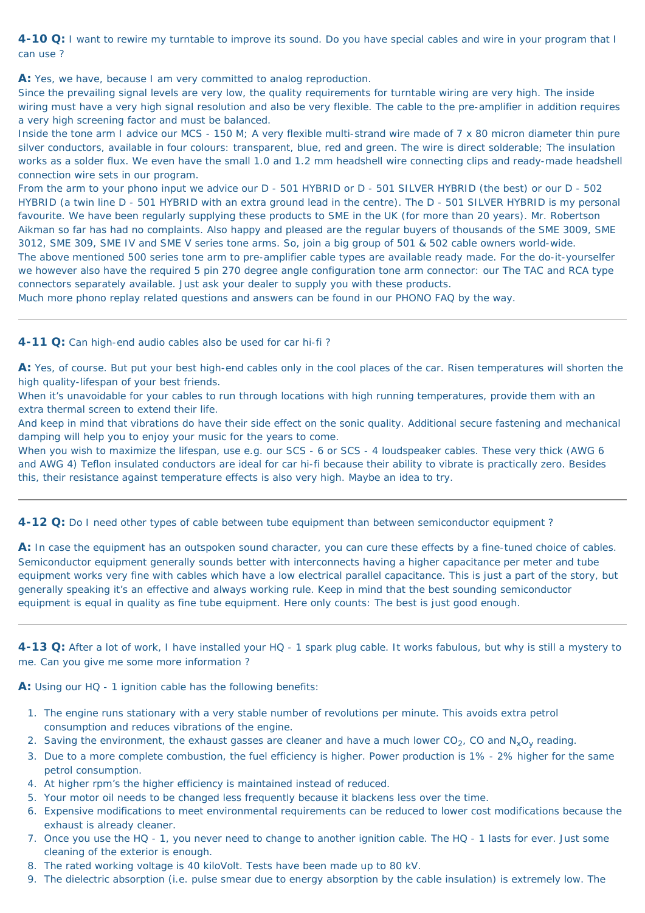<span id="page-29-2"></span>**4-10 Q:** I want to rewire my turntable to improve its sound. Do you have special cables and wire in your program that I can use ?

A: Yes, we have, because I am very committed to analog reproduction.

Since the prevailing signal levels are very low, the quality requirements for turntable wiring are very high. The inside wiring must have a very high signal resolution and also be very flexible. The cable to the pre-amplifier in addition requires a very high screening factor and must be balanced.

Inside the tone arm I advice our MCS - 150 M; A very flexible multi-strand wire made of 7 x 80 micron diameter thin pure silver conductors, available in four colours: transparent, blue, red and green. The wire is direct solderable; The insulation works as a solder flux. We even have the small 1.0 and 1.2 mm headshell wire connecting clips and ready-made headshell connection wire sets in our program.

From the arm to your phono input we advice our D - 501 HYBRID or D - 501 SILVER HYBRID (the best) or our D - 502 HYBRID (a twin line D - 501 HYBRID with an extra ground lead in the centre). The D - 501 SILVER HYBRID is my personal favourite. We have been regularly supplying these products to SME in the UK (for more than 20 years). Mr. Robertson Aikman so far has had no complaints. Also happy and pleased are the regular buyers of thousands of the SME 3009, SME 3012, SME 309, SME IV and SME V series tone arms. So, join a big group of 501 & 502 cable owners world-wide. The above mentioned 500 series tone arm to pre-amplifier cable types are available ready made. For the do-it-yourselfer we however also have the required 5 pin 270 degree angle configuration tone arm connector: our The TAC and RCA type connectors separately available. Just ask your dealer to supply you with these products.

A: In case the equipment has an outspoken sound character, you can cure these effects by a fine-tuned choice of cables. Semiconductor equipment generally sounds better with interconnects having a higher capacitance per meter and tube equipment works very fine with cables which have a low electrical parallel capacitance. This is just a part of the story, but

Much more phono replay related questions and answers can be found in our PHONO FAQ by the way.

#### <span id="page-29-0"></span>**4-11 Q:** Can high-end audio cables also be used for car hi-fi ?

**A:** Yes, of course. But put your best high-end cables only in the cool places of the car. Risen temperatures will shorten the high quality-lifespan of your best friends.

When it's unavoidable for your cables to run through locations with high running temperatures, provide them with an extra thermal screen to extend their life.

And keep in mind that vibrations do have their side effect on the sonic quality. Additional secure fastening and mechanical damping will help you to enjoy your music for the years to come.

When you wish to maximize the lifespan, use e.g. our SCS - 6 or SCS - 4 loudspeaker cables. These very thick (AWG 6 and AWG 4) Teflon insulated conductors are ideal for car hi-fi because their ability to vibrate is practically zero. Besides this, their resistance against temperature effects is also very high. Maybe an idea to try.

<span id="page-29-1"></span>**4-12 Q:** Do I need other types of cable between tube equipment than between semiconductor equipment ?

generally speaking it's an effective and always working rule. Keep in mind that the best sounding semiconductor equipment is equal in quality as fine tube equipment. Here only counts: The best is just good enough.

<span id="page-29-3"></span>**4-13 Q:** After a lot of work, I have installed your HQ - 1 spark plug cable. It works fabulous, but why is still a mystery to me. Can you give me some more information ?

**A:** Using our HQ - 1 ignition cable has the following benefits:

- 1. The engine runs stationary with a very stable number of revolutions per minute. This avoids extra petrol consumption and reduces vibrations of the engine.
- 2. Saving the environment, the exhaust gasses are cleaner and have a much lower  $CO<sub>2</sub>$ , CO and  $N<sub>x</sub>O<sub>y</sub>$  reading.
- 3. Due to a more complete combustion, the fuel efficiency is higher. Power production is 1% 2% higher for the same petrol consumption.
- 4. At higher rpm's the higher efficiency is maintained instead of reduced.
- 5. Your motor oil needs to be changed less frequently because it blackens less over the time.
- 6. Expensive modifications to meet environmental requirements can be reduced to lower cost modifications because the exhaust is already cleaner.
- 7. Once you use the HQ 1, you never need to change to another ignition cable. The HQ 1 lasts for ever. Just some cleaning of the exterior is enough.
- 8. The rated working voltage is 40 kiloVolt. Tests have been made up to 80 kV.
- 9. The dielectric absorption (i.e. pulse smear due to energy absorption by the cable insulation) is extremely low. The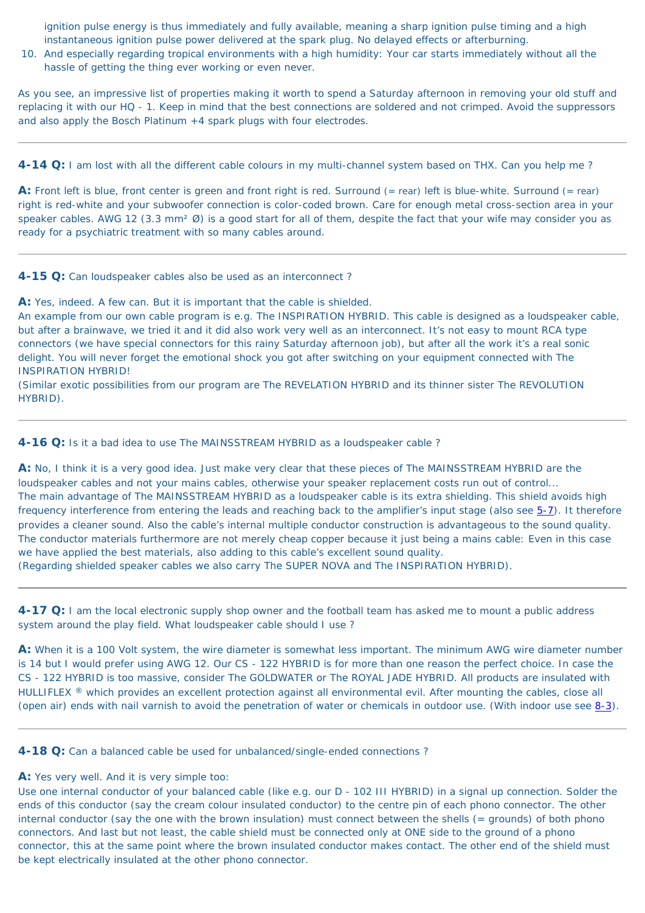ignition pulse energy is thus immediately and fully available, meaning a sharp ignition pulse timing and a high instantaneous ignition pulse power delivered at the spark plug. No delayed effects or afterburning.

10. And especially regarding tropical environments with a high humidity: Your car starts immediately without all the hassle of getting the thing ever working or even never.

As you see, an impressive list of properties making it worth to spend a Saturday afternoon in removing your old stuff and replacing it with our HQ - 1. Keep in mind that the best connections are soldered and not crimped. Avoid the suppressors and also apply the Bosch Platinum +4 spark plugs with four electrodes.

A: Front left is blue, front center is green and front right is red. Surround (= rear) left is blue-white. Surround (= rear) right is red-white and your subwoofer connection is color-coded brown. Care for enough metal cross-section area in your speaker cables. AWG 12 (3.3 mm<sup>2</sup> Ø) is a good start for all of them, despite the fact that your wife may consider you as ready for a psychiatric treatment with so many cables around.

<span id="page-30-1"></span>**4-14 Q:** I am lost with all the different cable colours in my multi-channel system based on THX. Can you help me ?

<span id="page-30-0"></span>**4-15 Q:** Can loudspeaker cables also be used as an interconnect ?

**A:** Yes, indeed. A few can. But it is important that the cable is shielded.

**A:** When it is a 100 Volt system, the wire diameter is somewhat less important. The minimum AWG wire diameter number is 14 but I would prefer using AWG 12. Our CS - 122 HYBRID is for more than one reason the perfect choice. In case the CS - 122 HYBRID is too massive, consider The GOLDWATER or The ROYAL JADE HYBRID. All products are insulated with HULLIFLEX ® which provides an excellent protection against all environmental evil. After mounting the cables, close all (open air) ends with nail varnish to avoid the penetration of water or chemicals in outdoor use. (With indoor use see [8-3](#page-49-1)).

An example from our own cable program is e.g. The INSPIRATION HYBRID. This cable is designed as a loudspeaker cable, but after a brainwave, we tried it and it did also work very well as an interconnect. It's not easy to mount RCA type connectors (we have special connectors for this rainy Saturday afternoon job), but after all the work it's a real sonic delight. You will never forget the emotional shock you got after switching on your equipment connected with The INSPIRATION HYBRID!

(Similar exotic possibilities from our program are The REVELATION HYBRID and its thinner sister The REVOLUTION HYBRID).

<span id="page-30-2"></span>**4-16 Q:** Is it a bad idea to use The MAINSSTREAM HYBRID as a loudspeaker cable?

**A:** No, I think it is a very good idea. Just make very clear that these pieces of The MAINSSTREAM HYBRID are the loudspeaker cables and not your mains cables, otherwise your speaker replacement costs run out of control... The main advantage of The MAINSSTREAM HYBRID as a loudspeaker cable is its extra shielding. This shield avoids high frequency interference from entering the leads and reaching back to the amplifier's input stage (also see  $5-7$ ). It therefore provides a cleaner sound. Also the cable's internal multiple conductor construction is advantageous to the sound quality. The conductor materials furthermore are not merely cheap copper because it just being a mains cable: Even in this case we have applied the best materials, also adding to this cable's excellent sound quality. (Regarding shielded speaker cables we also carry The SUPER NOVA and The INSPIRATION HYBRID).

<span id="page-30-3"></span>**4-17 Q:** I am the local electronic supply shop owner and the football team has asked me to mount a public address system around the play field. What loudspeaker cable should I use ?

#### <span id="page-30-4"></span>**4-18 Q:** Can a balanced cable be used for unbalanced/single-ended connections ?

#### **A:** Yes very well. And it is very simple too:

Use one internal conductor of your balanced cable (like e.g. our D - 102 III HYBRID) in a signal up connection. Solder the ends of this conductor (say the cream colour insulated conductor) to the centre pin of each phono connector. The other internal conductor (say the one with the brown insulation) must connect between the shells (= grounds) of both phono connectors. And last but not least, the cable shield must be connected only at ONE side to the ground of a phono connector, this at the same point where the brown insulated conductor makes contact. The other end of the shield must be kept electrically insulated at the other phono connector.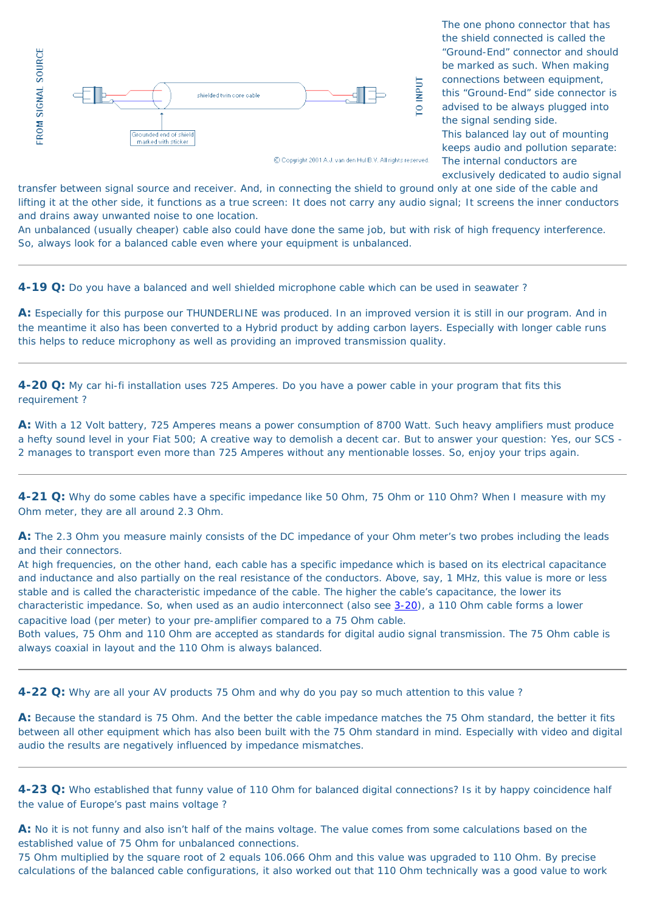

C Copyright 2001 A.J. van den Hul B.V. All rights reserved.

The one phono connector that has the shield connected is called the "Ground-End" connector and should be marked as such. When making connections between equipment, this "Ground-End" side connector is advised to be always plugged into the signal sending side. This balanced lay out of mounting keeps audio and pollution separate: The internal conductors are exclusively dedicated to audio signal

transfer between signal source and receiver. And, in connecting the shield to ground only at one side of the cable and lifting it at the other side, it functions as a true screen: It does not carry any audio signal; It screens the inner conductors and drains away unwanted noise to one location.

An unbalanced (usually cheaper) cable also could have done the same job, but with risk of high frequency interference. So, always look for a balanced cable even where your equipment is unbalanced.

<span id="page-31-0"></span>**4-19 Q:** Do you have a balanced and well shielded microphone cable which can be used in seawater ?

**A:** Especially for this purpose our THUNDERLINE was produced. In an improved version it is still in our program. And in the meantime it also has been converted to a Hybrid product by adding carbon layers. Especially with longer cable runs this helps to reduce microphony as well as providing an improved transmission quality.

<span id="page-31-1"></span>**4-20 Q:** My car hi-fi installation uses 725 Amperes. Do you have a power cable in your program that fits this requirement ?

**A:** With a 12 Volt battery, 725 Amperes means a power consumption of 8700 Watt. Such heavy amplifiers must produce a hefty sound level in your Fiat 500; A creative way to demolish a decent car. But to answer your question: Yes, our SCS - 2 manages to transport even more than 725 Amperes without any mentionable losses. So, enjoy your trips again.

<span id="page-31-2"></span>**4-21 Q:** Why do some cables have a specific impedance like 50 Ohm, 75 Ohm or 110 Ohm? When I measure with my Ohm meter, they are all around 2.3 Ohm.

**A:** The 2.3 Ohm you measure mainly consists of the DC impedance of your Ohm meter's two probes including the leads and their connectors.

At high frequencies, on the other hand, each cable has a specific impedance which is based on its electrical capacitance and inductance and also partially on the real resistance of the conductors. Above, say, 1 MHz, this value is more or less stable and is called the characteristic impedance of the cable. The higher the cable's capacitance, the lower its characteristic impedance. So, when used as an audio interconnect (also see [3-20](#page-23-0)), a 110 Ohm cable forms a lower capacitive load (per meter) to your pre-amplifier compared to a 75 Ohm cable. Both values, 75 Ohm and 110 Ohm are accepted as standards for digital audio signal transmission. The 75 Ohm cable is always coaxial in layout and the 110 Ohm is always balanced.

<span id="page-31-3"></span>**4-22 Q:** Why are all your AV products 75 Ohm and why do you pay so much attention to this value ?

**A:** Because the standard is 75 Ohm. And the better the cable impedance matches the 75 Ohm standard, the better it fits between all other equipment which has also been built with the 75 Ohm standard in mind. Especially with video and digital audio the results are negatively influenced by impedance mismatches.

<span id="page-31-4"></span>**4-23 Q:** Who established that funny value of 110 Ohm for balanced digital connections? Is it by happy coincidence half the value of Europe's past mains voltage ?

**A:** No it is not funny and also isn't half of the mains voltage. The value comes from some calculations based on the established value of 75 Ohm for unbalanced connections.

75 Ohm multiplied by the square root of 2 equals 106.066 Ohm and this value was upgraded to 110 Ohm. By precise calculations of the balanced cable configurations, it also worked out that 110 Ohm technically was a good value to work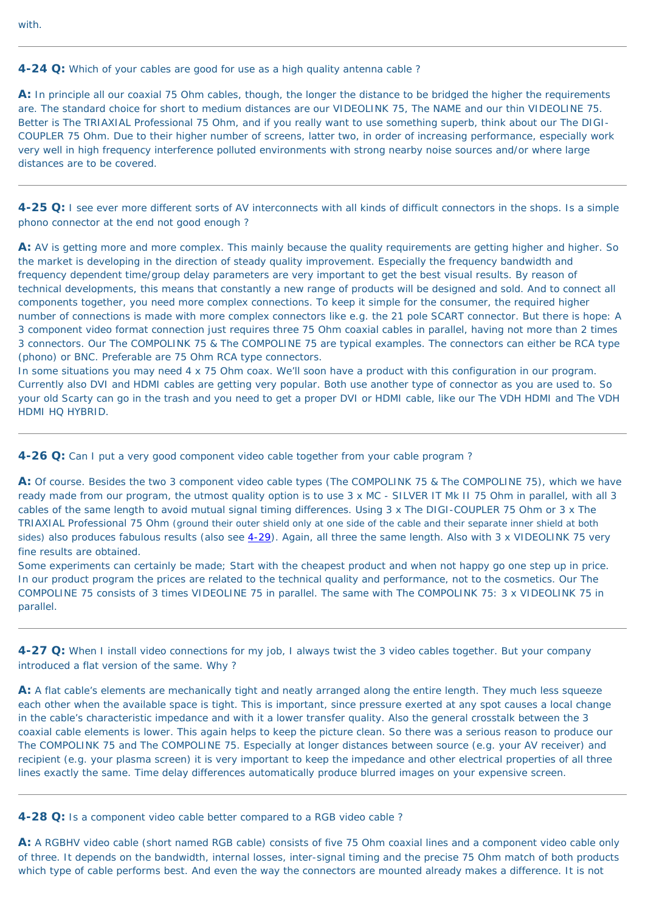with.

<span id="page-32-1"></span>**4-24 Q:** Which of your cables are good for use as a high quality antenna cable ?

**A:** In principle all our coaxial 75 Ohm cables, though, the longer the distance to be bridged the higher the requirements are. The standard choice for short to medium distances are our VIDEOLINK 75, The NAME and our thin VIDEOLINE 75. Better is The TRIAXIAL Professional 75 Ohm, and if you really want to use something superb, think about our The DIGI-COUPLER 75 Ohm. Due to their higher number of screens, latter two, in order of increasing performance, especially work very well in high frequency interference polluted environments with strong nearby noise sources and/or where large distances are to be covered.

<span id="page-32-0"></span>**4-25 Q:** I see ever more different sorts of AV interconnects with all kinds of difficult connectors in the shops. Is a simple phono connector at the end not good enough ?

A: AV is getting more and more complex. This mainly because the quality requirements are getting higher and higher. So the market is developing in the direction of steady quality improvement. Especially the frequency bandwidth and frequency dependent time/group delay parameters are very important to get the best visual results. By reason of technical developments, this means that constantly a new range of products will be designed and sold. And to connect all components together, you need more complex connections. To keep it simple for the consumer, the required higher number of connections is made with more complex connectors like e.g. the 21 pole SCART connector. But there is hope: A 3 component video format connection just requires three 75 Ohm coaxial cables in parallel, having not more than 2 times 3 connectors. Our The COMPOLINK 75 & The COMPOLINE 75 are typical examples. The connectors can either be RCA type (phono) or BNC. Preferable are 75 Ohm RCA type connectors.

In some situations you may need 4 x 75 Ohm coax. We'll soon have a product with this configuration in our program. Currently also DVI and HDMI cables are getting very popular. Both use another type of connector as you are used to. So your old Scarty can go in the trash and you need to get a proper DVI or HDMI cable, like our The VDH HDMI and The VDH HDMI HQ HYBRID.

A: A flat cable's elements are mechanically tight and neatly arranged along the entire length. They much less squeeze each other when the available space is tight. This is important, since pressure exerted at any spot causes a local change in the cable's characteristic impedance and with it a lower transfer quality. Also the general crosstalk between the 3 coaxial cable elements is lower. This again helps to keep the picture clean. So there was a serious reason to produce our The COMPOLINK 75 and The COMPOLINE 75. Especially at longer distances between source (e.g. your AV receiver) and recipient (e.g. your plasma screen) it is very important to keep the impedance and other electrical properties of all three lines exactly the same. Time delay differences automatically produce blurred images on your expensive screen.

<span id="page-32-2"></span>**4-26 Q:** Can I put a very good component video cable together from your cable program ?

**A:** Of course. Besides the two 3 component video cable types (The COMPOLINK 75 & The COMPOLINE 75), which we have ready made from our program, the utmost quality option is to use 3 x MC - SILVER IT Mk II 75 Ohm in parallel, with all 3 cables of the same length to avoid mutual signal timing differences. Using 3 x The DIGI-COUPLER 75 Ohm or 3 x The TRIAXIAL Professional 75 Ohm (ground their outer shield only at one side of the cable and their separate inner shield at both sides) also produces fabulous results (also see  $4-29$ ). Again, all three the same length. Also with 3 x VIDEOLINK 75 very fine results are obtained.

Some experiments can certainly be made; Start with the cheapest product and when not happy go one step up in price. In our product program the prices are related to the technical quality and performance, not to the cosmetics. Our The

COMPOLINE 75 consists of 3 times VIDEOLINE 75 in parallel. The same with The COMPOLINK 75: 3 x VIDEOLINK 75 in parallel.

<span id="page-32-3"></span>**4-27 Q:** When I install video connections for my job, I always twist the 3 video cables together. But your company introduced a flat version of the same. Why ?

<span id="page-32-4"></span>**4-28 Q:** Is a component video cable better compared to a RGB video cable ?

**A:** A RGBHV video cable (short named RGB cable) consists of five 75 Ohm coaxial lines and a component video cable only of three. It depends on the bandwidth, internal losses, inter-signal timing and the precise 75 Ohm match of both products which type of cable performs best. And even the way the connectors are mounted already makes a difference. It is not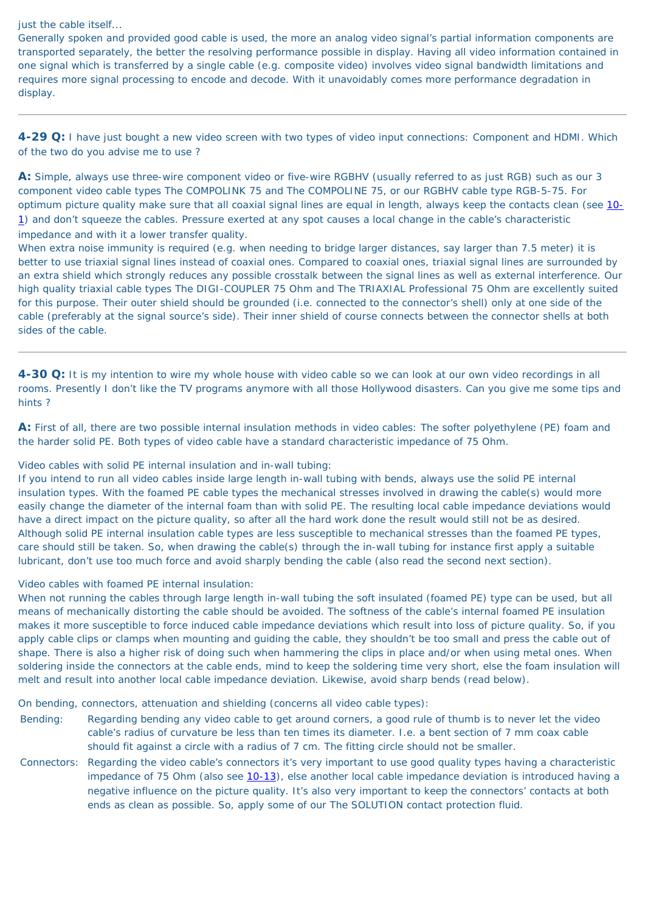just the cable itself...

Generally spoken and provided good cable is used, the more an analog video signal's partial information components are transported separately, the better the resolving performance possible in display. Having all video information contained in one signal which is transferred by a single cable (e.g. composite video) involves video signal bandwidth limitations and requires more signal processing to encode and decode. With it unavoidably comes more performance degradation in display.

<span id="page-33-0"></span>**4-29 Q:** I have just bought a new video screen with two types of video input connections: Component and HDMI. Which of the two do you advise me to use ?

**A:** Simple, always use three-wire component video or five-wire RGBHV (usually referred to as just RGB) such as our 3 component video cable types The COMPOLINK 75 and The COMPOLINE 75, or our RGBHV cable type RGB-5-75. For optimum picture quality make sure that all coaxial signal lines are equal in length, always keep the contacts clean (see [10-](#page-53-2) [1\)](#page-53-2) and don't squeeze the cables. Pressure exerted at any spot causes a local change in the cable's characteristic impedance and with it a lower transfer quality.

When extra noise immunity is required (e.g. when needing to bridge larger distances, say larger than 7.5 meter) it is better to use triaxial signal lines instead of coaxial ones. Compared to coaxial ones, triaxial signal lines are surrounded by an extra shield which strongly reduces any possible crosstalk between the signal lines as well as external interference. Our high quality triaxial cable types The DIGI-COUPLER 75 Ohm and The TRIAXIAL Professional 75 Ohm are excellently suited for this purpose. Their outer shield should be grounded (i.e. connected to the connector's shell) only at one side of the cable (preferably at the signal source's side). Their inner shield of course connects between the connector shells at both sides of the cable.

<span id="page-33-1"></span>**4-30 Q:** It is my intention to wire my whole house with video cable so we can look at our own video recordings in all rooms. Presently I don't like the TV programs anymore with all those Hollywood disasters. Can you give me some tips and hints ?

**A:** First of all, there are two possible internal insulation methods in video cables: The softer polyethylene (PE) foam and the harder solid PE. Both types of video cable have a standard characteristic impedance of 75 Ohm.

Video cables with solid PE internal insulation and in-wall tubing:

If you intend to run all video cables inside large length in-wall tubing with bends, always use the solid PE internal insulation types. With the foamed PE cable types the mechanical stresses involved in drawing the cable(s) would more easily change the diameter of the internal foam than with solid PE. The resulting local cable impedance deviations would have a direct impact on the picture quality, so after all the hard work done the result would still not be as desired. Although solid PE internal insulation cable types are less susceptible to mechanical stresses than the foamed PE types, care should still be taken. So, when drawing the cable(s) through the in-wall tubing for instance first apply a suitable lubricant, don't use too much force and avoid sharply bending the cable (also read the second next section).

Video cables with foamed PE internal insulation:

When not running the cables through large length in-wall tubing the soft insulated (foamed PE) type can be used, but all means of mechanically distorting the cable should be avoided. The softness of the cable's internal foamed PE insulation makes it more susceptible to force induced cable impedance deviations which result into loss of picture quality. So, if you apply cable clips or clamps when mounting and guiding the cable, they shouldn't be too small and press the cable out of shape. There is also a higher risk of doing such when hammering the clips in place and/or when using metal ones. When soldering inside the connectors at the cable ends, mind to keep the soldering time very short, else the foam insulation will melt and result into another local cable impedance deviation. Likewise, avoid sharp bends (read below).

On bending, connectors, attenuation and shielding (concerns all video cable types):

- Bending: Regarding bending any video cable to get around corners, a good rule of thumb is to never let the video cable's radius of curvature be less than ten times its diameter. I.e. a bent section of 7 mm coax cable should fit against a circle with a radius of 7 cm. The fitting circle should not be smaller.
- Connectors: Regarding the video cable's connectors it's very important to use good quality types having a characteristic impedance of 75 Ohm (also see [10-13\)](#page-55-2), else another local cable impedance deviation is introduced having a negative influence on the picture quality. It's also very important to keep the connectors' contacts at both ends as clean as possible. So, apply some of our The SOLUTION contact protection fluid.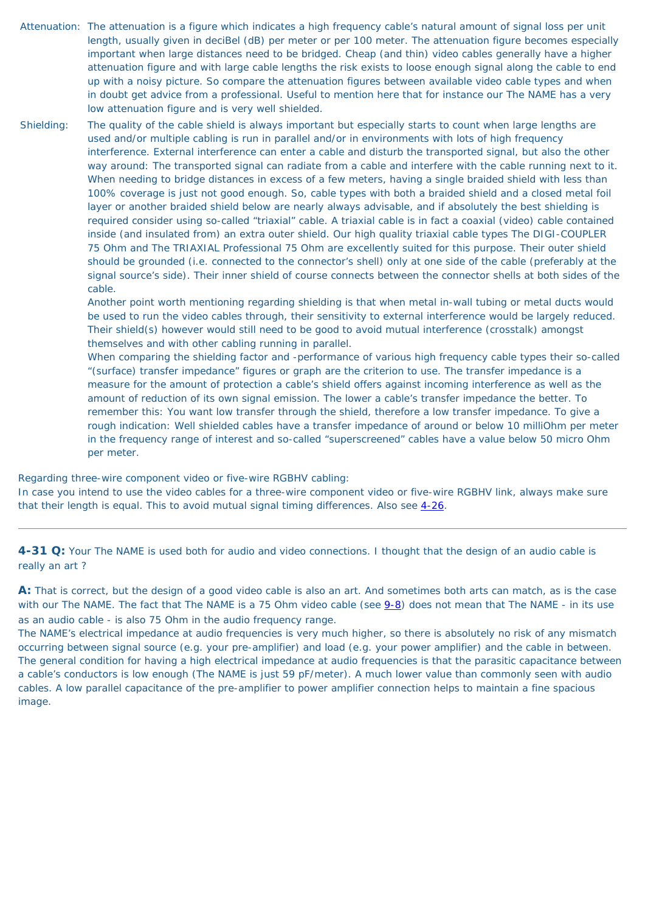- Attenuation: The attenuation is a figure which indicates a high frequency cable's natural amount of signal loss per unit length, usually given in deciBel (dB) per meter or per 100 meter. The attenuation figure becomes especially important when large distances need to be bridged. Cheap (and thin) video cables generally have a higher attenuation figure and with large cable lengths the risk exists to loose enough signal along the cable to end up with a noisy picture. So compare the attenuation figures between available video cable types and when in doubt get advice from a professional. Useful to mention here that for instance our The NAME has a very low attenuation figure and is very well shielded.
- Shielding: The quality of the cable shield is always important but especially starts to count when large lengths are used and/or multiple cabling is run in parallel and/or in environments with lots of high frequency interference. External interference can enter a cable and disturb the transported signal, but also the other way around: The transported signal can radiate from a cable and interfere with the cable running next to it. When needing to bridge distances in excess of a few meters, having a single braided shield with less than 100% coverage is just not good enough. So, cable types with both a braided shield and a closed metal foil layer or another braided shield below are nearly always advisable, and if absolutely the best shielding is required consider using so-called "triaxial" cable. A triaxial cable is in fact a coaxial (video) cable contained inside (and insulated from) an extra outer shield. Our high quality triaxial cable types The DIGI-COUPLER 75 Ohm and The TRIAXIAL Professional 75 Ohm are excellently suited for this purpose. Their outer shield should be grounded (i.e. connected to the connector's shell) only at one side of the cable (preferably at the signal source's side). Their inner shield of course connects between the connector shells at both sides of the cable.

Another point worth mentioning regarding shielding is that when metal in-wall tubing or metal ducts would be used to run the video cables through, their sensitivity to external interference would be largely reduced. Their shield(s) however would still need to be good to avoid mutual interference (crosstalk) amongst themselves and with other cabling running in parallel.

When comparing the shielding factor and -performance of various high frequency cable types their so-called "(surface) transfer impedance" figures or graph are the criterion to use. The transfer impedance is a measure for the amount of protection a cable's shield offers against incoming interference as well as the amount of reduction of its own signal emission. The lower a cable's transfer impedance the better. To remember this: You want low transfer through the shield, therefore a low transfer impedance. To give a rough indication: Well shielded cables have a transfer impedance of around or below 10 milliOhm per meter in the frequency range of interest and so-called "superscreened" cables have a value below 50 micro Ohm per meter.

Regarding three-wire component video or five-wire RGBHV cabling:

In case you intend to use the video cables for a three-wire component video or five-wire RGBHV link, always make sure that their length is equal. This to avoid mutual signal timing differences. Also see [4-26](#page-32-2).

<span id="page-34-0"></span>**4-31 Q:** Your The NAME is used both for audio and video connections. I thought that the design of an audio cable is really an art ?

**A:** That is correct, but the design of a good video cable is also an art. And sometimes both arts can match, as is the case with our The NAME. The fact that The NAME is a 75 Ohm video cable (see [9-8](#page-51-0)) does not mean that The NAME - in its use as an audio cable - is also 75 Ohm in the audio frequency range.

<span id="page-34-1"></span>The NAME's electrical impedance at audio frequencies is very much higher, so there is absolutely no risk of any mismatch occurring between signal source (e.g. your pre-amplifier) and load (e.g. your power amplifier) and the cable in between. The general condition for having a high electrical impedance at audio frequencies is that the parasitic capacitance between a cable's conductors is low enough (The NAME is just 59 pF/meter). A much lower value than commonly seen with audio cables. A low parallel capacitance of the pre-amplifier to power amplifier connection helps to maintain a fine spacious image.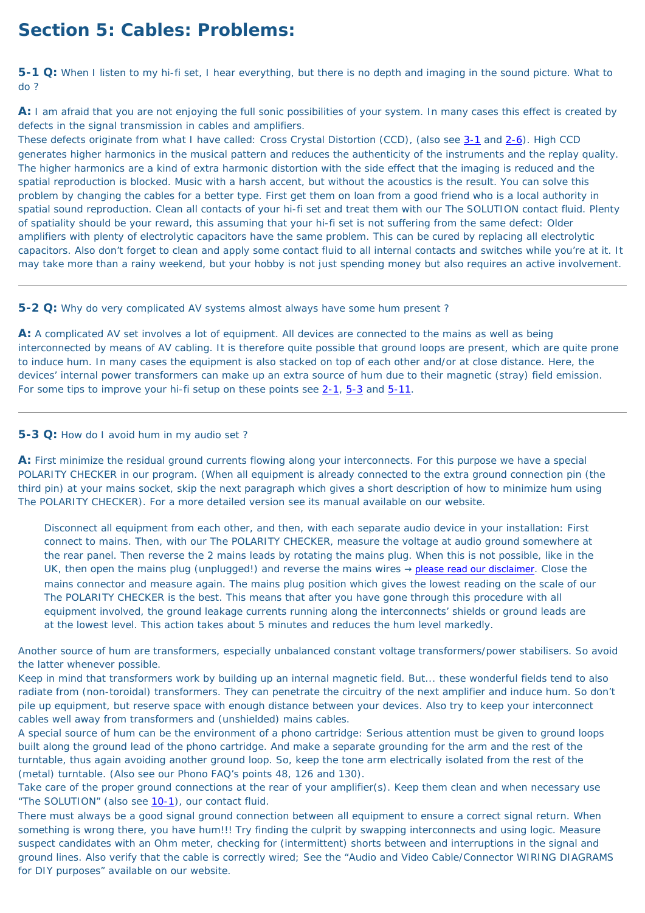# **Section 5: Cables: Problems:**

<span id="page-35-0"></span>**5-1 Q:** When I listen to my hi-fi set, I hear everything, but there is no depth and imaging in the sound picture. What to do ?

**A:** I am afraid that you are not enjoying the full sonic possibilities of your system. In many cases this effect is created by defects in the signal transmission in cables and amplifiers.

**A:** A complicated AV set involves a lot of equipment. All devices are connected to the mains as well as being interconnected by means of AV cabling. It is therefore quite possible that ground loops are present, which are quite prone to induce hum. In many cases the equipment is also stacked on top of each other and/or at close distance. Here, the devices' internal power transformers can make up an extra source of hum due to their magnetic (stray) field emission. For some tips to improve your hi-fi setup on these points see [2-1,](#page-15-0) [5-3](#page-35-2) and [5-11](#page-38-0).

These defects originate from what I have called: Cross Crystal Distortion (CCD), (also see [3-1](#page-19-0) and [2-6\)](#page-16-3). High CCD generates higher harmonics in the musical pattern and reduces the authenticity of the instruments and the replay quality. The higher harmonics are a kind of extra harmonic distortion with the side effect that the imaging is reduced and the spatial reproduction is blocked. Music with a harsh accent, but without the acoustics is the result. You can solve this problem by changing the cables for a better type. First get them on loan from a good friend who is a local authority in spatial sound reproduction. Clean all contacts of your hi-fi set and treat them with our The SOLUTION contact fluid. Plenty of spatiality should be your reward, this assuming that your hi-fi set is not suffering from the same defect: Older amplifiers with plenty of electrolytic capacitors have the same problem. This can be cured by replacing all electrolytic capacitors. Also don't forget to clean and apply some contact fluid to all internal contacts and switches while you're at it. It may take more than a rainy weekend, but your hobby is not just spending money but also requires an active involvement.

<span id="page-35-1"></span>**5-2 Q:** Why do very complicated AV systems almost always have some hum present ?

#### <span id="page-35-2"></span>**5-3 Q:** How do I avoid hum in my audio set ?

**A:** First minimize the residual ground currents flowing along your interconnects. For this purpose we have a special POLARITY CHECKER in our program. (When all equipment is already connected to the extra ground connection pin (the third pin) at your mains socket, skip the next paragraph which gives a short description of how to minimize hum using The POLARITY CHECKER). For a more detailed version see its manual available on our website.

Disconnect all equipment from each other, and then, with each separate audio device in your installation: First connect to mains. Then, with our The POLARITY CHECKER, measure the voltage at audio ground somewhere at the rear panel. Then reverse the 2 mains leads by rotating the mains plug. When this is not possible, like in the UK, then open the mains plug (unplugged!) and reverse the mains wires  $\rightarrow$  [please read our disclaimer](#page-72-0). Close the mains connector and measure again. The mains plug position which gives the lowest reading on the scale of our The POLARITY CHECKER is the best. This means that after you have gone through this procedure with all equipment involved, the ground leakage currents running along the interconnects' shields or ground leads are at the lowest level. This action takes about 5 minutes and reduces the hum level markedly.

Another source of hum are transformers, especially unbalanced constant voltage transformers/power stabilisers. So avoid the latter whenever possible.

Keep in mind that transformers work by building up an internal magnetic field. But... these wonderful fields tend to also radiate from (non-toroidal) transformers. They can penetrate the circuitry of the next amplifier and induce hum. So don't pile up equipment, but reserve space with enough distance between your devices. Also try to keep your interconnect cables well away from transformers and (unshielded) mains cables.

A special source of hum can be the environment of a phono cartridge: Serious attention must be given to ground loops built along the ground lead of the phono cartridge. And make a separate grounding for the arm and the rest of the turntable, thus again avoiding another ground loop. So, keep the tone arm electrically isolated from the rest of the (metal) turntable. (Also see our Phono FAQ's points 48, 126 and 130).

Take care of the proper ground connections at the rear of your amplifier(s). Keep them clean and when necessary use "The SOLUTION" (also see [10-1\)](#page-53-2), our contact fluid.

There must always be a good signal ground connection between all equipment to ensure a correct signal return. When something is wrong there, you have hum!!! Try finding the culprit by swapping interconnects and using logic. Measure suspect candidates with an Ohm meter, checking for (intermittent) shorts between and interruptions in the signal and ground lines. Also verify that the cable is correctly wired; See the "Audio and Video Cable/Connector WIRING DIAGRAMS for DIY purposes" available on our website.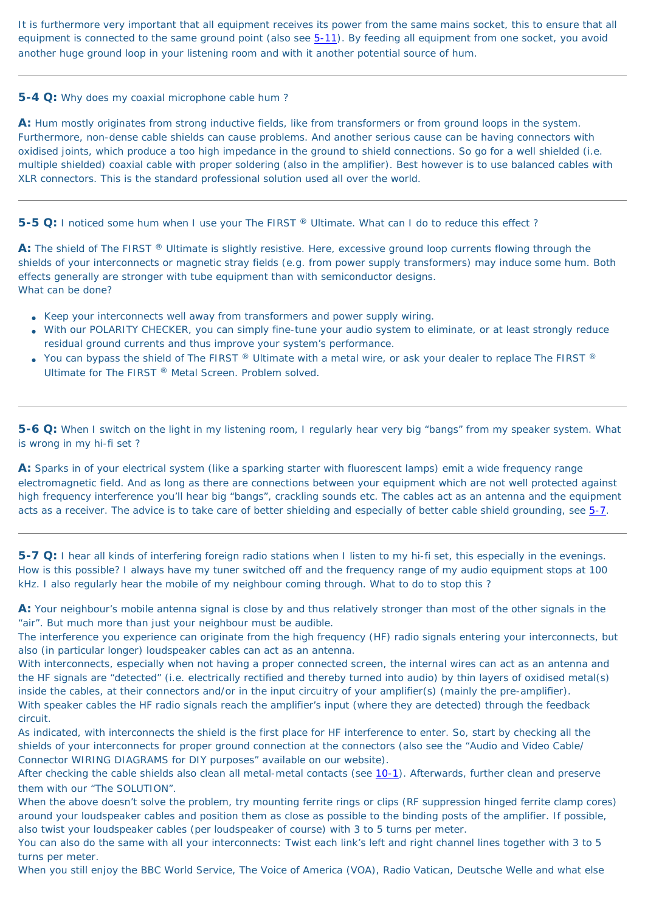It is furthermore very important that all equipment receives its power from the same mains socket, this to ensure that all equipment is connected to the same ground point (also see  $5-11$ ). By feeding all equipment from one socket, you avoid another huge ground loop in your listening room and with it another potential source of hum.

### **5-4 Q:** Why does my coaxial microphone cable hum ?

**A:** Hum mostly originates from strong inductive fields, like from transformers or from ground loops in the system. Furthermore, non-dense cable shields can cause problems. And another serious cause can be having connectors with oxidised joints, which produce a too high impedance in the ground to shield connections. So go for a well shielded (i.e. multiple shielded) coaxial cable with proper soldering (also in the amplifier). Best however is to use balanced cables with XLR connectors. This is the standard professional solution used all over the world.

**5-5 Q:** I noticed some hum when I use your The FIRST ® Ultimate. What can I do to reduce this effect?

A: The shield of The FIRST ® Ultimate is slightly resistive. Here, excessive ground loop currents flowing through the shields of your interconnects or magnetic stray fields (e.g. from power supply transformers) may induce some hum. Both effects generally are stronger with tube equipment than with semiconductor designs. What can be done?

- Keep your interconnects well away from transformers and power supply wiring.
- With our POLARITY CHECKER, you can simply fine-tune your audio system to eliminate, or at least strongly reduce residual ground currents and thus improve your system's performance.
- You can bypass the shield of The FIRST  $\mathbb{R}$  Ultimate with a metal wire, or ask your dealer to replace The FIRST  $\mathbb{R}$ Ultimate for The FIRST ® Metal Screen. Problem solved.

**A:** Sparks in of your electrical system (like a sparking starter with fluorescent lamps) emit a wide frequency range electromagnetic field. And as long as there are connections between your equipment which are not well protected against high frequency interference you'll hear big "bangs", crackling sounds etc. The cables act as an antenna and the equipment acts as a receiver. The advice is to take care of better shielding and especially of better cable shield grounding, see  $5-7$ .

**5-6 Q:** When I switch on the light in my listening room, I regularly hear very big "bangs" from my speaker system. What is wrong in my hi-fi set ?

After checking the cable shields also clean all metal-metal contacts (see [10-1](#page-53-0)). Afterwards, further clean and preserve them with our "The SOLUTION".

<span id="page-36-0"></span>**5-7 Q:** I hear all kinds of interfering foreign radio stations when I listen to my hi-fi set, this especially in the evenings. How is this possible? I always have my tuner switched off and the frequency range of my audio equipment stops at 100 kHz. I also regularly hear the mobile of my neighbour coming through. What to do to stop this ?

**A:** Your neighbour's mobile antenna signal is close by and thus relatively stronger than most of the other signals in the "air". But much more than just your neighbour must be audible.

The interference you experience can originate from the high frequency (HF) radio signals entering your interconnects, but also (in particular longer) loudspeaker cables can act as an antenna.

With interconnects, especially when not having a proper connected screen, the internal wires can act as an antenna and the HF signals are "detected" (i.e. electrically rectified and thereby turned into audio) by thin layers of oxidised metal(s) inside the cables, at their connectors and/or in the input circuitry of your amplifier(s) (mainly the pre-amplifier). With speaker cables the HF radio signals reach the amplifier's input (where they are detected) through the feedback circuit.

As indicated, with interconnects the shield is the first place for HF interference to enter. So, start by checking all the shields of your interconnects for proper ground connection at the connectors (also see the "Audio and Video Cable/ Connector WIRING DIAGRAMS for DIY purposes" available on our website).

When the above doesn't solve the problem, try mounting ferrite rings or clips (RF suppression hinged ferrite clamp cores) around your loudspeaker cables and position them as close as possible to the binding posts of the amplifier. If possible, also twist your loudspeaker cables (per loudspeaker of course) with 3 to 5 turns per meter.

You can also do the same with all your interconnects: Twist each link's left and right channel lines together with 3 to 5 turns per meter.

When you still enjoy the BBC World Service, The Voice of America (VOA), Radio Vatican, Deutsche Welle and what else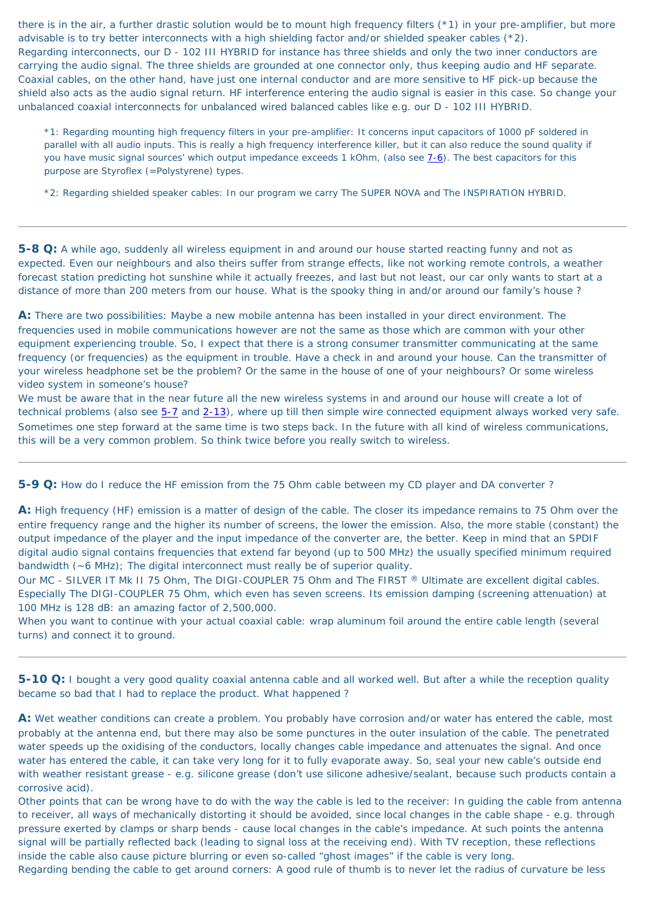there is in the air, a further drastic solution would be to mount high frequency filters (\*1) in your pre-amplifier, but more advisable is to try better interconnects with a high shielding factor and/or shielded speaker cables (\*2). Regarding interconnects, our D - 102 III HYBRID for instance has three shields and only the two inner conductors are carrying the audio signal. The three shields are grounded at one connector only, thus keeping audio and HF separate. Coaxial cables, on the other hand, have just one internal conductor and are more sensitive to HF pick-up because the shield also acts as the audio signal return. HF interference entering the audio signal is easier in this case. So change your unbalanced coaxial interconnects for unbalanced wired balanced cables like e.g. our D - 102 III HYBRID.

\*1: Regarding mounting high frequency filters in your pre-amplifier: It concerns input capacitors of 1000 pF soldered in parallel with all audio inputs. This is really a high frequency interference killer, but it can also reduce the sound quality if you have music signal sources' which output impedance exceeds 1 kOhm, (also see  $7-6$ ). The best capacitors for this purpose are Styroflex (=Polystyrene) types.

\*2: Regarding shielded speaker cables: In our program we carry The SUPER NOVA and The INSPIRATION HYBRID.

**5-8 Q:** A while ago, suddenly all wireless equipment in and around our house started reacting funny and not as expected. Even our neighbours and also theirs suffer from strange effects, like not working remote controls, a weather forecast station predicting hot sunshine while it actually freezes, and last but not least, our car only wants to start at a distance of more than 200 meters from our house. What is the spooky thing in and/or around our family's house ?

**A:** There are two possibilities: Maybe a new mobile antenna has been installed in your direct environment. The frequencies used in mobile communications however are not the same as those which are common with your other equipment experiencing trouble. So, I expect that there is a strong consumer transmitter communicating at the same frequency (or frequencies) as the equipment in trouble. Have a check in and around your house. Can the transmitter of your wireless headphone set be the problem? Or the same in the house of one of your neighbours? Or some wireless video system in someone's house?

A: Wet weather conditions can create a problem. You probably have corrosion and/or water has entered the cable, most probably at the antenna end, but there may also be some punctures in the outer insulation of the cable. The penetrated water speeds up the oxidising of the conductors, locally changes cable impedance and attenuates the signal. And once water has entered the cable, it can take very long for it to fully evaporate away. So, seal your new cable's outside end with weather resistant grease - e.g. silicone grease (don't use silicone adhesive/sealant, because such products contain a corrosive acid).

We must be aware that in the near future all the new wireless systems in and around our house will create a lot of technical problems (also see [5-7](#page-36-0) and [2-13\)](#page-18-0), where up till then simple wire connected equipment always worked very safe. Sometimes one step forward at the same time is two steps back. In the future with all kind of wireless communications, this will be a very common problem. So think twice before you really switch to wireless.

**5-9 Q:** How do I reduce the HF emission from the 75 Ohm cable between my CD player and DA converter ?

**A:** High frequency (HF) emission is a matter of design of the cable. The closer its impedance remains to 75 Ohm over the entire frequency range and the higher its number of screens, the lower the emission. Also, the more stable (constant) the output impedance of the player and the input impedance of the converter are, the better. Keep in mind that an SPDIF digital audio signal contains frequencies that extend far beyond (up to 500 MHz) the usually specified minimum required bandwidth (~6 MHz); The digital interconnect must really be of superior quality.

Our MC - SILVER IT Mk II 75 Ohm, The DIGI-COUPLER 75 Ohm and The FIRST ® Ultimate are excellent digital cables.

Especially The DIGI-COUPLER 75 Ohm, which even has seven screens. Its emission damping (screening attenuation) at 100 MHz is 128 dB: an amazing factor of 2,500,000. When you want to continue with your actual coaxial cable: wrap aluminum foil around the entire cable length (several turns) and connect it to ground.

**5-10 Q:** I bought a very good quality coaxial antenna cable and all worked well. But after a while the reception quality became so bad that I had to replace the product. What happened ?

Other points that can be wrong have to do with the way the cable is led to the receiver: In guiding the cable from antenna to receiver, all ways of mechanically distorting it should be avoided, since local changes in the cable shape - e.g. through pressure exerted by clamps or sharp bends - cause local changes in the cable's impedance. At such points the antenna signal will be partially reflected back (leading to signal loss at the receiving end). With TV reception, these reflections inside the cable also cause picture blurring or even so-called "ghost images" if the cable is very long. Regarding bending the cable to get around corners: A good rule of thumb is to never let the radius of curvature be less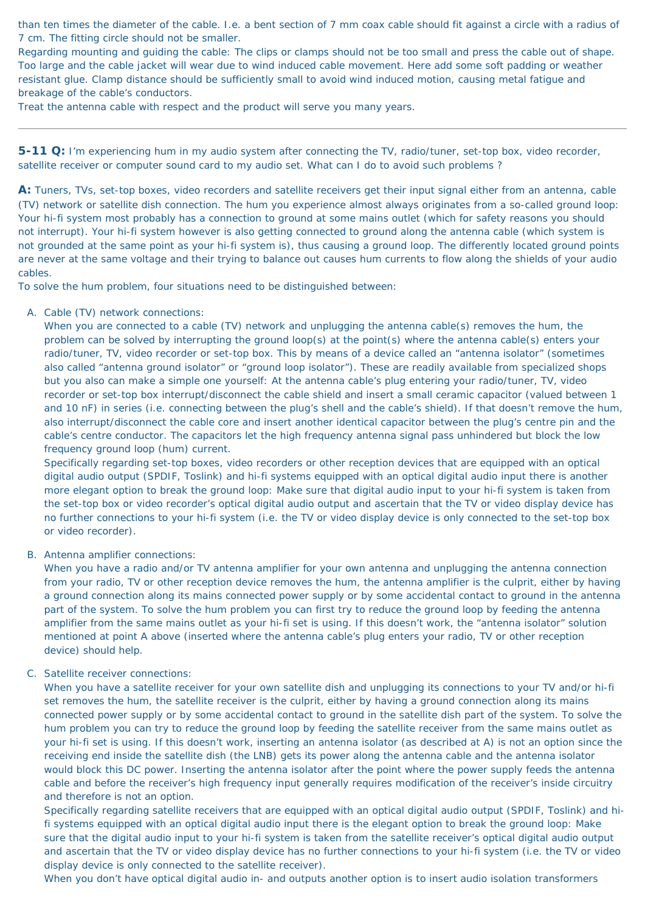than ten times the diameter of the cable. I.e. a bent section of 7 mm coax cable should fit against a circle with a radius of 7 cm. The fitting circle should not be smaller.

Regarding mounting and guiding the cable: The clips or clamps should not be too small and press the cable out of shape. Too large and the cable jacket will wear due to wind induced cable movement. Here add some soft padding or weather resistant glue. Clamp distance should be sufficiently small to avoid wind induced motion, causing metal fatigue and breakage of the cable's conductors.

Treat the antenna cable with respect and the product will serve you many years.

<span id="page-38-0"></span>**5-11 Q:** I'm experiencing hum in my audio system after connecting the TV, radio/tuner, set-top box, video recorder, satellite receiver or computer sound card to my audio set. What can I do to avoid such problems ?

**A:** Tuners, TVs, set-top boxes, video recorders and satellite receivers get their input signal either from an antenna, cable (TV) network or satellite dish connection. The hum you experience almost always originates from a so-called ground loop: Your hi-fi system most probably has a connection to ground at some mains outlet (which for safety reasons you should not interrupt). Your hi-fi system however is also getting connected to ground along the antenna cable (which system is not grounded at the same point as your hi-fi system is), thus causing a ground loop. The differently located ground points are never at the same voltage and their trying to balance out causes hum currents to flow along the shields of your audio cables.

To solve the hum problem, four situations need to be distinguished between:

A. Cable (TV) network connections:

When you are connected to a cable (TV) network and unplugging the antenna cable(s) removes the hum, the problem can be solved by interrupting the ground loop(s) at the point(s) where the antenna cable(s) enters your radio/tuner, TV, video recorder or set-top box. This by means of a device called an "antenna isolator" (sometimes also called "antenna ground isolator" or "ground loop isolator"). These are readily available from specialized shops but you also can make a simple one yourself: At the antenna cable's plug entering your radio/tuner, TV, video recorder or set-top box interrupt/disconnect the cable shield and insert a small ceramic capacitor (valued between 1 and 10 nF) in series (i.e. connecting between the plug's shell and the cable's shield). If that doesn't remove the hum, also interrupt/disconnect the cable core and insert another identical capacitor between the plug's centre pin and the cable's centre conductor. The capacitors let the high frequency antenna signal pass unhindered but block the low frequency ground loop (hum) current.

Specifically regarding set-top boxes, video recorders or other reception devices that are equipped with an optical digital audio output (SPDIF, Toslink) and hi-fi systems equipped with an optical digital audio input there is another more elegant option to break the ground loop: Make sure that digital audio input to your hi-fi system is taken from the set-top box or video recorder's optical digital audio output and ascertain that the TV or video display device has no further connections to your hi-fi system (i.e. the TV or video display device is only connected to the set-top box or video recorder).

B. Antenna amplifier connections:

When you have a radio and/or TV antenna amplifier for your own antenna and unplugging the antenna connection from your radio, TV or other reception device removes the hum, the antenna amplifier is the culprit, either by having a ground connection along its mains connected power supply or by some accidental contact to ground in the antenna part of the system. To solve the hum problem you can first try to reduce the ground loop by feeding the antenna amplifier from the same mains outlet as your hi-fi set is using. If this doesn't work, the "antenna isolator" solution mentioned at point A above (inserted where the antenna cable's plug enters your radio, TV or other reception device) should help.

#### C. Satellite receiver connections:

When you have a satellite receiver for your own satellite dish and unplugging its connections to your TV and/or hi-fi set removes the hum, the satellite receiver is the culprit, either by having a ground connection along its mains connected power supply or by some accidental contact to ground in the satellite dish part of the system. To solve the hum problem you can try to reduce the ground loop by feeding the satellite receiver from the same mains outlet as your hi-fi set is using. If this doesn't work, inserting an antenna isolator (as described at A) is not an option since the receiving end inside the satellite dish (the LNB) gets its power along the antenna cable and the antenna isolator would block this DC power. Inserting the antenna isolator after the point where the power supply feeds the antenna cable and before the receiver's high frequency input generally requires modification of the receiver's inside circuitry and therefore is not an option.

Specifically regarding satellite receivers that are equipped with an optical digital audio output (SPDIF, Toslink) and hifi systems equipped with an optical digital audio input there is the elegant option to break the ground loop: Make sure that the digital audio input to your hi-fi system is taken from the satellite receiver's optical digital audio output and ascertain that the TV or video display device has no further connections to your hi-fi system (i.e. the TV or video display device is only connected to the satellite receiver).

When you don't have optical digital audio in- and outputs another option is to insert audio isolation transformers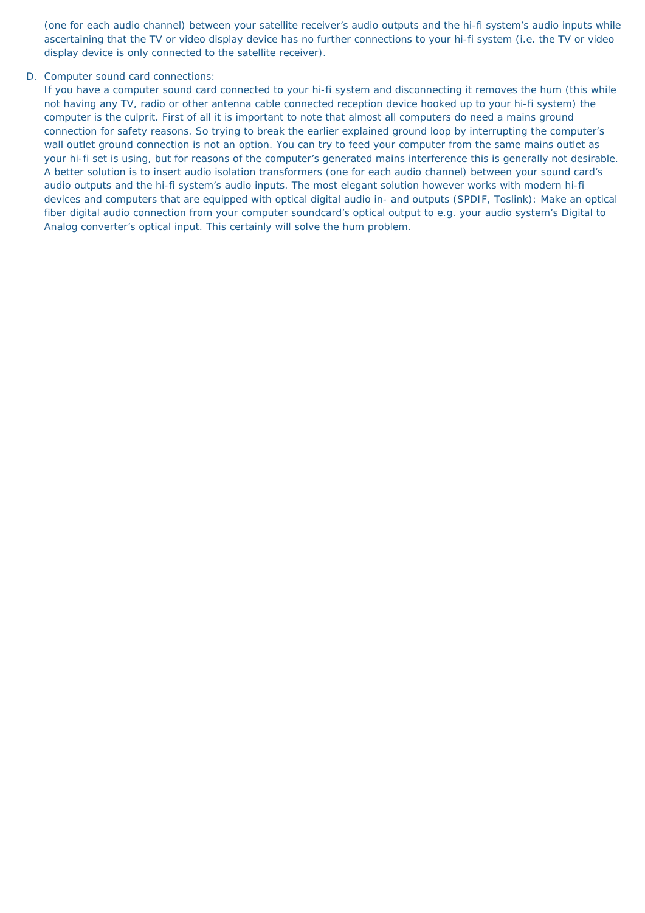(one for each audio channel) between your satellite receiver's audio outputs and the hi-fi system's audio inputs while ascertaining that the TV or video display device has no further connections to your hi-fi system (i.e. the TV or video display device is only connected to the satellite receiver).

### D. Computer sound card connections:

If you have a computer sound card connected to your hi-fi system and disconnecting it removes the hum (this while not having any TV, radio or other antenna cable connected reception device hooked up to your hi-fi system) the computer is the culprit. First of all it is important to note that almost all computers do need a mains ground connection for safety reasons. So trying to break the earlier explained ground loop by interrupting the computer's wall outlet ground connection is not an option. You can try to feed your computer from the same mains outlet as your hi-fi set is using, but for reasons of the computer's generated mains interference this is generally not desirable. A better solution is to insert audio isolation transformers (one for each audio channel) between your sound card's audio outputs and the hi-fi system's audio inputs. The most elegant solution however works with modern hi-fi devices and computers that are equipped with optical digital audio in- and outputs (SPDIF, Toslink): Make an optical fiber digital audio connection from your computer soundcard's optical output to e.g. your audio system's Digital to Analog converter's optical input. This certainly will solve the hum problem.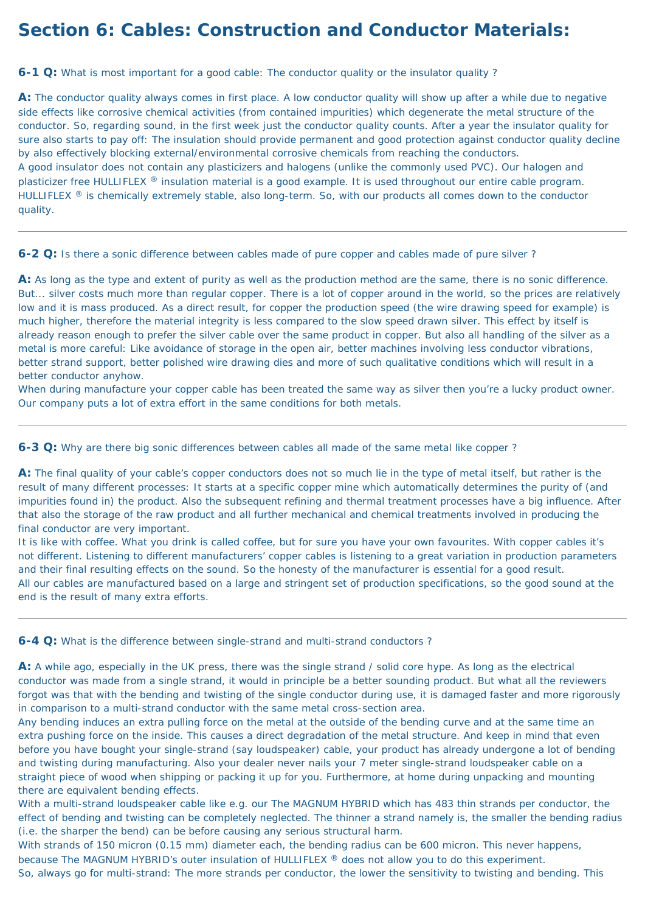# **Section 6: Cables: Construction and Conductor Materials:**

<span id="page-40-1"></span>**6-1 Q:** What is most important for a good cable: The conductor quality or the insulator quality ?

A: The conductor quality always comes in first place. A low conductor quality will show up after a while due to negative side effects like corrosive chemical activities (from contained impurities) which degenerate the metal structure of the conductor. So, regarding sound, in the first week just the conductor quality counts. After a year the insulator quality for sure also starts to pay off: The insulation should provide permanent and good protection against conductor quality decline by also effectively blocking external/environmental corrosive chemicals from reaching the conductors. A good insulator does not contain any plasticizers and halogens (unlike the commonly used PVC). Our halogen and plasticizer free HULLIFLEX ® insulation material is a good example. It is used throughout our entire cable program. HULLIFLEX ® is chemically extremely stable, also long-term. So, with our products all comes down to the conductor quality.

A: As long as the type and extent of purity as well as the production method are the same, there is no sonic difference. But... silver costs much more than regular copper. There is a lot of copper around in the world, so the prices are relatively low and it is mass produced. As a direct result, for copper the production speed (the wire drawing speed for example) is much higher, therefore the material integrity is less compared to the slow speed drawn silver. This effect by itself is already reason enough to prefer the silver cable over the same product in copper. But also all handling of the silver as a metal is more careful: Like avoidance of storage in the open air, better machines involving less conductor vibrations, better strand support, better polished wire drawing dies and more of such qualitative conditions which will result in a better conductor anyhow.

**6-2 Q:** Is there a sonic difference between cables made of pure copper and cables made of pure silver ?

When during manufacture your copper cable has been treated the same way as silver then you're a lucky product owner. Our company puts a lot of extra effort in the same conditions for both metals.

**6-3 Q:** Why are there big sonic differences between cables all made of the same metal like copper ?

**A:** The final quality of your cable's copper conductors does not so much lie in the type of metal itself, but rather is the result of many different processes: It starts at a specific copper mine which automatically determines the purity of (and impurities found in) the product. Also the subsequent refining and thermal treatment processes have a big influence. After that also the storage of the raw product and all further mechanical and chemical treatments involved in producing the final conductor are very important.

It is like with coffee. What you drink is called coffee, but for sure you have your own favourites. With copper cables it's not different. Listening to different manufacturers' copper cables is listening to a great variation in production parameters and their final resulting effects on the sound. So the honesty of the manufacturer is essential for a good result. All our cables are manufactured based on a large and stringent set of production specifications, so the good sound at the end is the result of many extra efforts.

<span id="page-40-0"></span>**6-4 Q:** What is the difference between single-strand and multi-strand conductors ?

**A:** A while ago, especially in the UK press, there was the single strand / solid core hype. As long as the electrical conductor was made from a single strand, it would in principle be a better sounding product. But what all the reviewers forgot was that with the bending and twisting of the single conductor during use, it is damaged faster and more rigorously in comparison to a multi-strand conductor with the same metal cross-section area.

Any bending induces an extra pulling force on the metal at the outside of the bending curve and at the same time an extra pushing force on the inside. This causes a direct degradation of the metal structure. And keep in mind that even before you have bought your single-strand (say loudspeaker) cable, your product has already undergone a lot of bending and twisting during manufacturing. Also your dealer never nails your 7 meter single-strand loudspeaker cable on a straight piece of wood when shipping or packing it up for you. Furthermore, at home during unpacking and mounting there are equivalent bending effects.

With a multi-strand loudspeaker cable like e.g. our The MAGNUM HYBRID which has 483 thin strands per conductor, the effect of bending and twisting can be completely neglected. The thinner a strand namely is, the smaller the bending radius (i.e. the sharper the bend) can be before causing any serious structural harm.

With strands of 150 micron (0.15 mm) diameter each, the bending radius can be 600 micron. This never happens,

because The MAGNUM HYBRID's outer insulation of HULLIFLEX ® does not allow you to do this experiment.

So, always go for multi-strand: The more strands per conductor, the lower the sensitivity to twisting and bending. This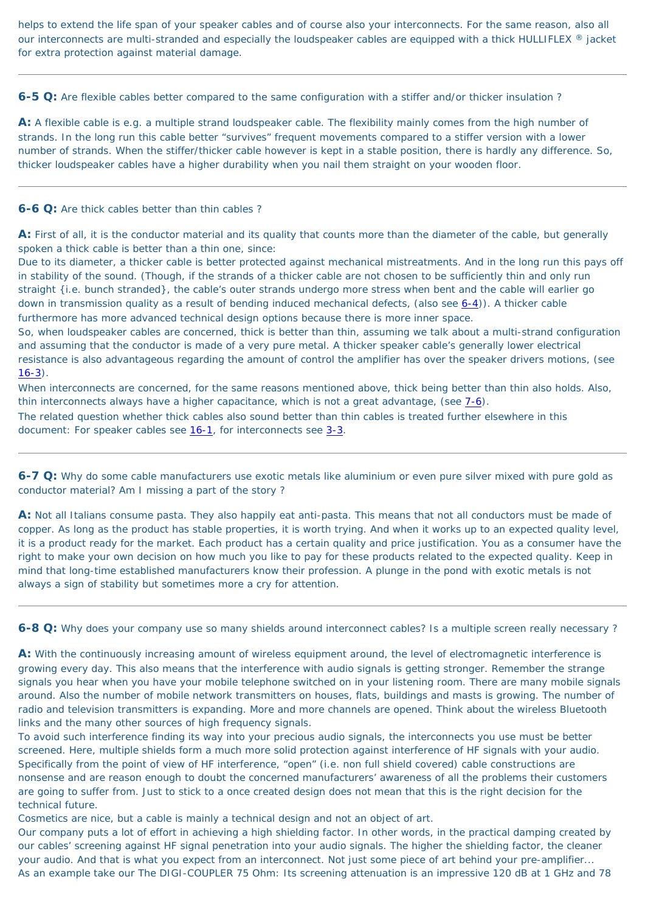helps to extend the life span of your speaker cables and of course also your interconnects. For the same reason, also all our interconnects are multi-stranded and especially the loudspeaker cables are equipped with a thick HULLIFLEX ® jacket for extra protection against material damage.

**6-5 Q:** Are flexible cables better compared to the same configuration with a stiffer and/or thicker insulation ?

**A:** A flexible cable is e.g. a multiple strand loudspeaker cable. The flexibility mainly comes from the high number of strands. In the long run this cable better "survives" frequent movements compared to a stiffer version with a lower number of strands. When the stiffer/thicker cable however is kept in a stable position, there is hardly any difference. So, thicker loudspeaker cables have a higher durability when you nail them straight on your wooden floor.

So, when loudspeaker cables are concerned, thick is better than thin, assuming we talk about a multi-strand configuration and assuming that the conductor is made of a very pure metal. A thicker speaker cable's generally lower electrical resistance is also advantageous regarding the amount of control the amplifier has over the speaker drivers motions, (see  $16-3)$  $16-3)$ .

#### **6-6 Q:** Are thick cables better than thin cables ?

**A:** First of all, it is the conductor material and its quality that counts more than the diameter of the cable, but generally spoken a thick cable is better than a thin one, since:

When interconnects are concerned, for the same reasons mentioned above, thick being better than thin also holds. Also, thin interconnects always have a higher capacitance, which is not a great advantage, (see  $7-6$ ).

The related question whether thick cables also sound better than thin cables is treated further elsewhere in this document: For speaker cables see [16-1,](#page-68-1) for interconnects see [3-3.](#page-19-0)

Due to its diameter, a thicker cable is better protected against mechanical mistreatments. And in the long run this pays off in stability of the sound. (Though, if the strands of a thicker cable are not chosen to be sufficiently thin and only run straight {i.e. bunch stranded}, the cable's outer strands undergo more stress when bent and the cable will earlier go down in transmission quality as a result of bending induced mechanical defects, (also see [6-4](#page-40-0))). A thicker cable furthermore has more advanced technical design options because there is more inner space.

A: With the continuously increasing amount of wireless equipment around, the level of electromagnetic interference is growing every day. This also means that the interference with audio signals is getting stronger. Remember the strange signals you hear when you have your mobile telephone switched on in your listening room. There are many mobile signals around. Also the number of mobile network transmitters on houses, flats, buildings and masts is growing. The number of radio and television transmitters is expanding. More and more channels are opened. Think about the wireless Bluetooth links and the many other sources of high frequency signals.

**6-7 Q:** Why do some cable manufacturers use exotic metals like aluminium or even pure silver mixed with pure gold as conductor material? Am I missing a part of the story ?

**A:** Not all Italians consume pasta. They also happily eat anti-pasta. This means that not all conductors must be made of copper. As long as the product has stable properties, it is worth trying. And when it works up to an expected quality level, it is a product ready for the market. Each product has a certain quality and price justification. You as a consumer have the right to make your own decision on how much you like to pay for these products related to the expected quality. Keep in mind that long-time established manufacturers know their profession. A plunge in the pond with exotic metals is not always a sign of stability but sometimes more a cry for attention.

**6-8 Q:** Why does your company use so many shields around interconnect cables? Is a multiple screen really necessary ?

To avoid such interference finding its way into your precious audio signals, the interconnects you use must be better screened. Here, multiple shields form a much more solid protection against interference of HF signals with your audio. Specifically from the point of view of HF interference, "open" (i.e. non full shield covered) cable constructions are nonsense and are reason enough to doubt the concerned manufacturers' awareness of all the problems their customers are going to suffer from. Just to stick to a once created design does not mean that this is the right decision for the technical future.

Cosmetics are nice, but a cable is mainly a technical design and not an object of art.

Our company puts a lot of effort in achieving a high shielding factor. In other words, in the practical damping created by our cables' screening against HF signal penetration into your audio signals. The higher the shielding factor, the cleaner your audio. And that is what you expect from an interconnect. Not just some piece of art behind your pre-amplifier... As an example take our The DIGI-COUPLER 75 Ohm: Its screening attenuation is an impressive 120 dB at 1 GHz and 78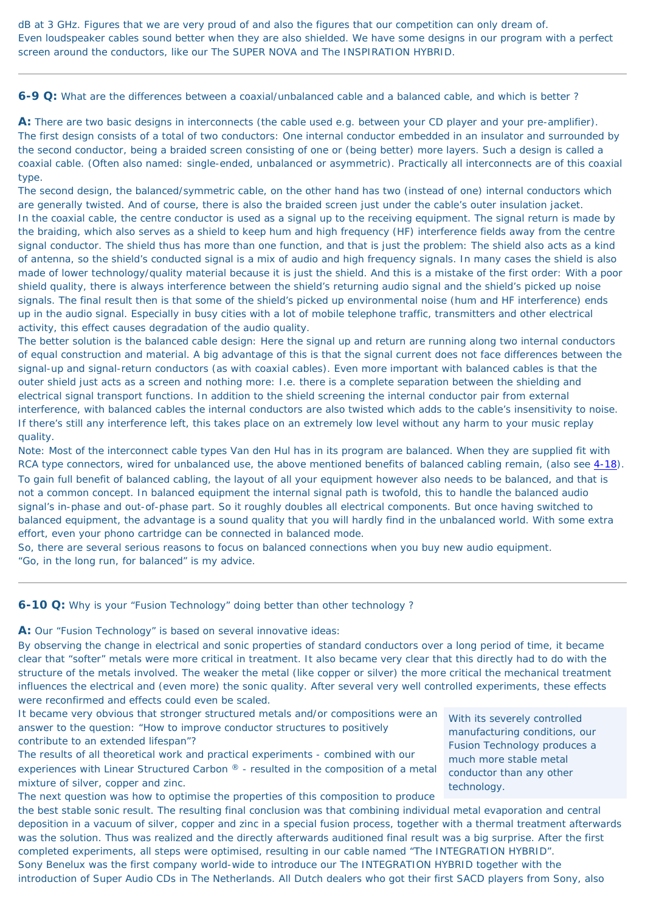dB at 3 GHz. Figures that we are very proud of and also the figures that our competition can only dream of. Even loudspeaker cables sound better when they are also shielded. We have some designs in our program with a perfect screen around the conductors, like our The SUPER NOVA and The INSPIRATION HYBRID.

**6-9 Q:** What are the differences between a coaxial/unbalanced cable and a balanced cable, and which is better ?

**A:** There are two basic designs in interconnects (the cable used e.g. between your CD player and your pre-amplifier). The first design consists of a total of two conductors: One internal conductor embedded in an insulator and surrounded by the second conductor, being a braided screen consisting of one or (being better) more layers. Such a design is called a coaxial cable. (Often also named: single-ended, unbalanced or asymmetric). Practically all interconnects are of this coaxial type.

The second design, the balanced/symmetric cable, on the other hand has two (instead of one) internal conductors which are generally twisted. And of course, there is also the braided screen just under the cable's outer insulation jacket. In the coaxial cable, the centre conductor is used as a signal up to the receiving equipment. The signal return is made by the braiding, which also serves as a shield to keep hum and high frequency (HF) interference fields away from the centre signal conductor. The shield thus has more than one function, and that is just the problem: The shield also acts as a kind of antenna, so the shield's conducted signal is a mix of audio and high frequency signals. In many cases the shield is also made of lower technology/quality material because it is just the shield. And this is a mistake of the first order: With a poor shield quality, there is always interference between the shield's returning audio signal and the shield's picked up noise signals. The final result then is that some of the shield's picked up environmental noise (hum and HF interference) ends up in the audio signal. Especially in busy cities with a lot of mobile telephone traffic, transmitters and other electrical activity, this effect causes degradation of the audio quality.

The better solution is the balanced cable design: Here the signal up and return are running along two internal conductors of equal construction and material. A big advantage of this is that the signal current does not face differences between the signal-up and signal-return conductors (as with coaxial cables). Even more important with balanced cables is that the outer shield just acts as a screen and nothing more: I.e. there is a complete separation between the shielding and electrical signal transport functions. In addition to the shield screening the internal conductor pair from external interference, with balanced cables the internal conductors are also twisted which adds to the cable's insensitivity to noise. If there's still any interference left, this takes place on an extremely low level without any harm to your music replay quality.

Note: Most of the interconnect cable types Van den Hul has in its program are balanced. When they are supplied fit with RCA type connectors, wired for unbalanced use, the above mentioned benefits of balanced cabling remain, (also see [4-18](#page-30-0)). To gain full benefit of balanced cabling, the layout of all your equipment however also needs to be balanced, and that is not a common concept. In balanced equipment the internal signal path is twofold, this to handle the balanced audio signal's in-phase and out-of-phase part. So it roughly doubles all electrical components. But once having switched to balanced equipment, the advantage is a sound quality that you will hardly find in the unbalanced world. With some extra effort, even your phono cartridge can be connected in balanced mode.

So, there are several serious reasons to focus on balanced connections when you buy new audio equipment. "Go, in the long run, for balanced" is my advice.

**6-10 Q:** Why is your "Fusion Technology" doing better than other technology ?

**A:** Our "Fusion Technology" is based on several innovative ideas:

By observing the change in electrical and sonic properties of standard conductors over a long period of time, it became clear that "softer" metals were more critical in treatment. It also became very clear that this directly had to do with the structure of the metals involved. The weaker the metal (like copper or silver) the more critical the mechanical treatment influences the electrical and (even more) the sonic quality. After several very well controlled experiments, these effects were reconfirmed and effects could even be scaled.

> *With its severely controlled manufacturing conditions, our Fusion Technology produces a much more stable metal conductor than any other technology.*

It became very obvious that stronger structured metals and/or compositions were an answer to the question: "How to improve conductor structures to positively contribute to an extended lifespan"?

The results of all theoretical work and practical experiments - combined with our experiences with Linear Structured Carbon ® - resulted in the composition of a metal mixture of silver, copper and zinc.

The next question was how to optimise the properties of this composition to produce

the best stable sonic result. The resulting final conclusion was that combining individual metal evaporation and central deposition in a vacuum of silver, copper and zinc in a special fusion process, together with a thermal treatment afterwards was the solution. Thus was realized and the directly afterwards auditioned final result was a big surprise. After the first completed experiments, all steps were optimised, resulting in our cable named "The INTEGRATION HYBRID". Sony Benelux was the first company world-wide to introduce our The INTEGRATION HYBRID together with the introduction of Super Audio CDs in The Netherlands. All Dutch dealers who got their first SACD players from Sony, also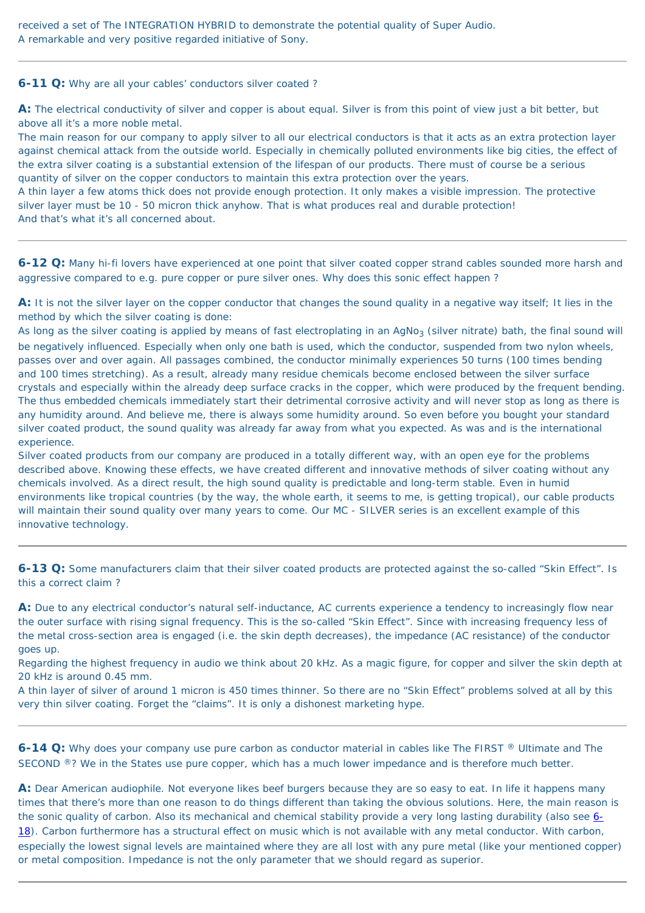received a set of The INTEGRATION HYBRID to demonstrate the potential quality of Super Audio. A remarkable and very positive regarded initiative of Sony.

**6-11 Q:** Why are all your cables' conductors silver coated ?

**A:** The electrical conductivity of silver and copper is about equal. Silver is from this point of view just a bit better, but above all it's a more noble metal.

The main reason for our company to apply silver to all our electrical conductors is that it acts as an extra protection layer against chemical attack from the outside world. Especially in chemically polluted environments like big cities, the effect of the extra silver coating is a substantial extension of the lifespan of our products. There must of course be a serious quantity of silver on the copper conductors to maintain this extra protection over the years.

A thin layer a few atoms thick does not provide enough protection. It only makes a visible impression. The protective silver layer must be 10 - 50 micron thick anyhow. That is what produces real and durable protection! And that's what it's all concerned about.

<span id="page-43-0"></span>**6-12 Q:** Many hi-fi lovers have experienced at one point that silver coated copper strand cables sounded more harsh and aggressive compared to e.g. pure copper or pure silver ones. Why does this sonic effect happen ?

As long as the silver coating is applied by means of fast electroplating in an  $AgNo<sub>3</sub>$  (silver nitrate) bath, the final sound will be negatively influenced. Especially when only one bath is used, which the conductor, suspended from two nylon wheels, passes over and over again. All passages combined, the conductor minimally experiences 50 turns (100 times bending and 100 times stretching). As a result, already many residue chemicals become enclosed between the silver surface crystals and especially within the already deep surface cracks in the copper, which were produced by the frequent bending. The thus embedded chemicals immediately start their detrimental corrosive activity and will never stop as long as there is any humidity around. And believe me, there is always some humidity around. So even before you bought your standard silver coated product, the sound quality was already far away from what you expected. As was and is the international experience.

**A:** It is not the silver layer on the copper conductor that changes the sound quality in a negative way itself; It lies in the method by which the silver coating is done:

A: Due to any electrical conductor's natural self-inductance, AC currents experience a tendency to increasingly flow near the outer surface with rising signal frequency. This is the so-called "Skin Effect". Since with increasing frequency less of the metal cross-section area is engaged (i.e. the skin depth decreases), the impedance (AC resistance) of the conductor goes up.

**6-14 Q:** Why does your company use pure carbon as conductor material in cables like The FIRST ® Ultimate and The SECOND ®? We in the States use pure copper, which has a much lower impedance and is therefore much better.

A: Dear American audiophile. Not everyone likes beef burgers because they are so easy to eat. In life it happens many times that there's more than one reason to do things different than taking the obvious solutions. Here, the main reason is the sonic quality of carbon. Also its mechanical and chemical stability provide a very long lasting durability (also see [6-](#page-44-0) [18](#page-44-0)). Carbon furthermore has a structural effect on music which is not available with any metal conductor. With carbon, especially the lowest signal levels are maintained where they are all lost with any pure metal (like your mentioned copper) or metal composition. Impedance is not the only parameter that we should regard as superior.

Silver coated products from our company are produced in a totally different way, with an open eye for the problems described above. Knowing these effects, we have created different and innovative methods of silver coating without any chemicals involved. As a direct result, the high sound quality is predictable and long-term stable. Even in humid environments like tropical countries (by the way, the whole earth, it seems to me, is getting tropical), our cable products will maintain their sound quality over many years to come. Our MC - SILVER series is an excellent example of this innovative technology.

**6-13 Q:** Some manufacturers claim that their silver coated products are protected against the so-called "Skin Effect". Is this a correct claim ?

Regarding the highest frequency in audio we think about 20 kHz. As a magic figure, for copper and silver the skin depth at 20 kHz is around 0.45 mm.

A thin layer of silver of around 1 micron is 450 times thinner. So there are no "Skin Effect" problems solved at all by this very thin silver coating. Forget the "claims". It is only a dishonest marketing hype.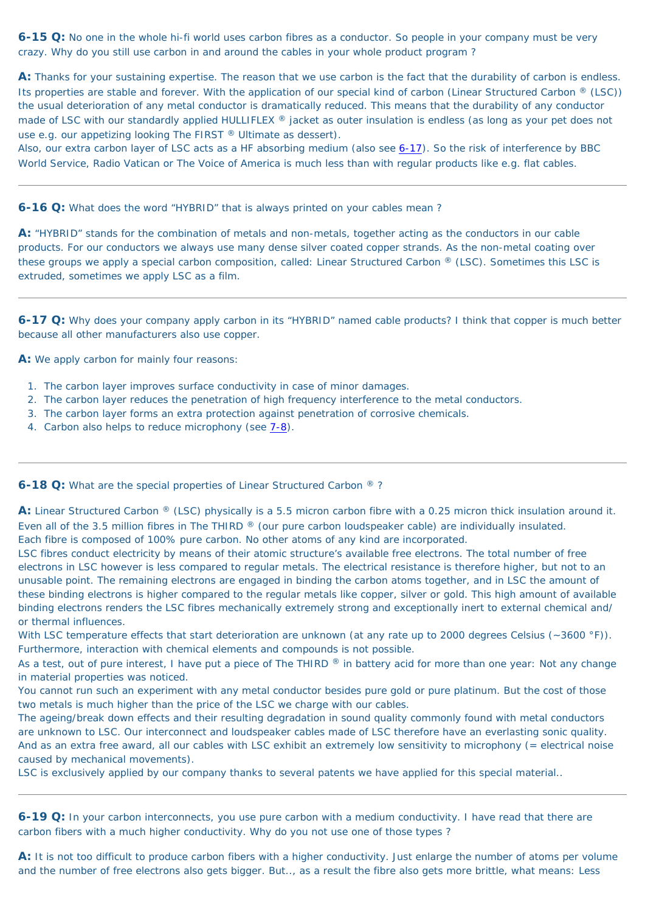**6-15 Q:** No one in the whole hi-fi world uses carbon fibres as a conductor. So people in your company must be very crazy. Why do you still use carbon in and around the cables in your whole product program ?

**A:** Thanks for your sustaining expertise. The reason that we use carbon is the fact that the durability of carbon is endless. Its properties are stable and forever. With the application of our special kind of carbon (Linear Structured Carbon  $\mathcal{R}$  (LSC)) the usual deterioration of any metal conductor is dramatically reduced. This means that the durability of any conductor made of LSC with our standardly applied HULLIFLEX ® jacket as outer insulation is endless (as long as your pet does not use e.g. our appetizing looking The FIRST ® Ultimate as dessert).

Also, our extra carbon layer of LSC acts as a HF absorbing medium (also see [6-17](#page-44-1)). So the risk of interference by BBC World Service, Radio Vatican or The Voice of America is much less than with regular products like e.g. flat cables.

- 1. The carbon layer improves surface conductivity in case of minor damages.
- 2. The carbon layer reduces the penetration of high frequency interference to the metal conductors.
- 3. The carbon layer forms an extra protection against penetration of corrosive chemicals.
- 4. Carbon also helps to reduce microphony (see  $7-8$ ).

<span id="page-44-0"></span>**6-18 Q:** What are the special properties of Linear Structured Carbon ®?

**6-16 Q:** What does the word "HYBRID" that is always printed on your cables mean ?

**A:** "HYBRID" stands for the combination of metals and non-metals, together acting as the conductors in our cable products. For our conductors we always use many dense silver coated copper strands. As the non-metal coating over these groups we apply a special carbon composition, called: Linear Structured Carbon ® (LSC). Sometimes this LSC is extruded, sometimes we apply LSC as a film.

<span id="page-44-1"></span>**6-17 Q:** Why does your company apply carbon in its "HYBRID" named cable products? I think that copper is much better because all other manufacturers also use copper.

With LSC temperature effects that start deterioration are unknown (at any rate up to 2000 degrees Celsius (~3600 °F)). Furthermore, interaction with chemical elements and compounds is not possible.

**A:** We apply carbon for mainly four reasons:

As a test, out of pure interest, I have put a piece of The THIRD  $\Omega$  in battery acid for more than one year: Not any change in material properties was noticed.

**A:** Linear Structured Carbon ® (LSC) physically is a 5.5 micron carbon fibre with a 0.25 micron thick insulation around it. Even all of the 3.5 million fibres in The THIRD ® (our pure carbon loudspeaker cable) are individually insulated. Each fibre is composed of 100% pure carbon. No other atoms of any kind are incorporated.

A: It is not too difficult to produce carbon fibers with a higher conductivity. Just enlarge the number of atoms per volume and the number of free electrons also gets bigger. But.., as a result the fibre also gets more brittle, what means: Less

LSC fibres conduct electricity by means of their atomic structure's available free electrons. The total number of free electrons in LSC however is less compared to regular metals. The electrical resistance is therefore higher, but not to an unusable point. The remaining electrons are engaged in binding the carbon atoms together, and in LSC the amount of these binding electrons is higher compared to the regular metals like copper, silver or gold. This high amount of available binding electrons renders the LSC fibres mechanically extremely strong and exceptionally inert to external chemical and/ or thermal influences.

You cannot run such an experiment with any metal conductor besides pure gold or pure platinum. But the cost of those two metals is much higher than the price of the LSC we charge with our cables.

The ageing/break down effects and their resulting degradation in sound quality commonly found with metal conductors are unknown to LSC. Our interconnect and loudspeaker cables made of LSC therefore have an everlasting sonic quality. And as an extra free award, all our cables with LSC exhibit an extremely low sensitivity to microphony (= electrical noise caused by mechanical movements).

LSC is exclusively applied by our company thanks to several patents we have applied for this special material..

**6-19 Q:** In your carbon interconnects, you use pure carbon with a medium conductivity. I have read that there are carbon fibers with a much higher conductivity. Why do you not use one of those types ?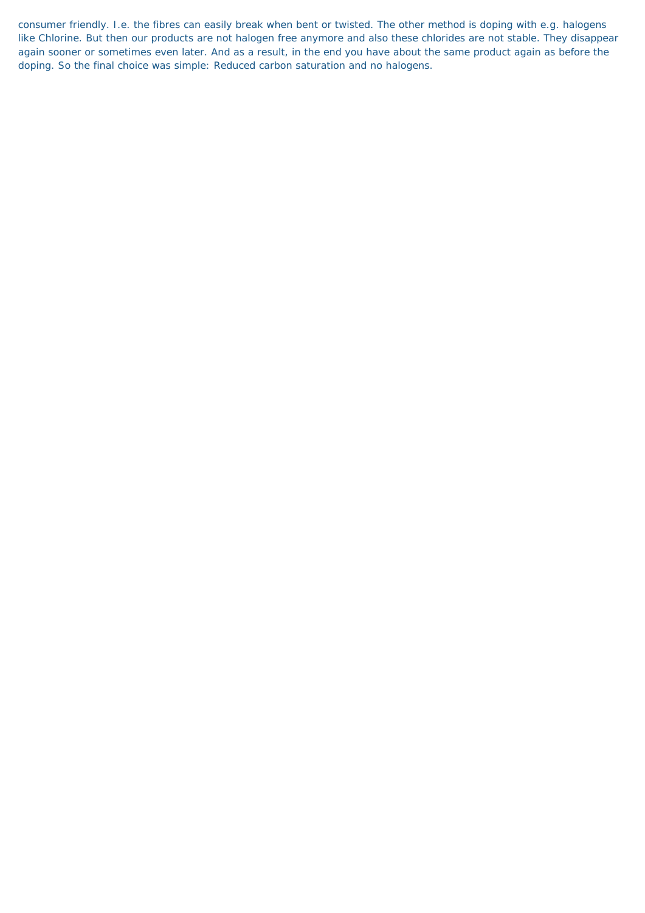consumer friendly. I.e. the fibres can easily break when bent or twisted. The other method is doping with e.g. halogens like Chlorine. But then our products are not halogen free anymore and also these chlorides are not stable. They disappear again sooner or sometimes even later. And as a result, in the end you have about the same product again as before the doping. So the final choice was simple: Reduced carbon saturation and no halogens.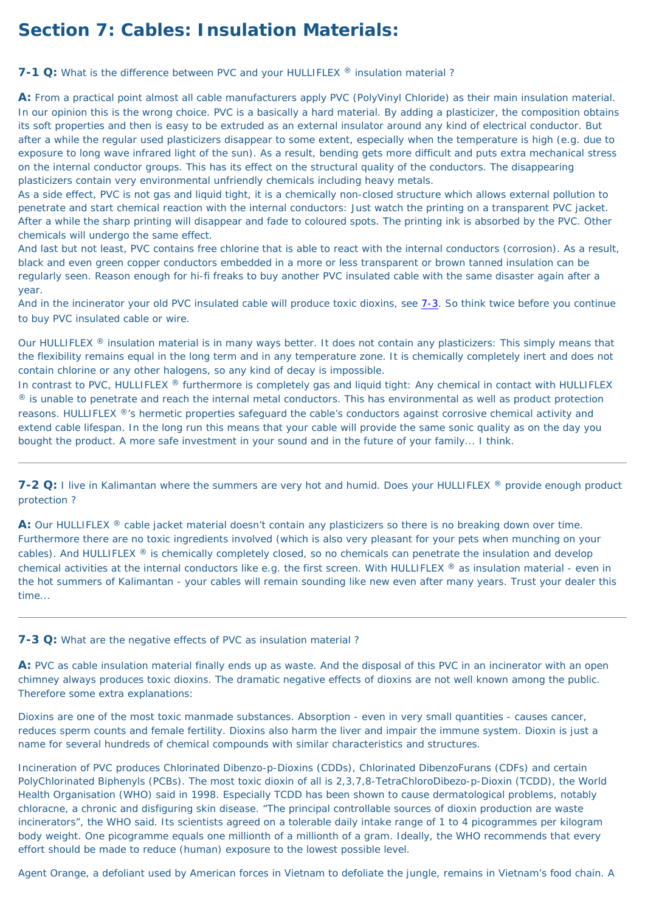# **Section 7: Cables: Insulation Materials:**

<span id="page-46-1"></span>**7-1 Q:** What is the difference between PVC and your HULLIFLEX ® insulation material?

**A:** From a practical point almost all cable manufacturers apply PVC (PolyVinyl Chloride) as their main insulation material. In our opinion this is the wrong choice. PVC is a basically a hard material. By adding a plasticizer, the composition obtains its soft properties and then is easy to be extruded as an external insulator around any kind of electrical conductor. But after a while the regular used plasticizers disappear to some extent, especially when the temperature is high (e.g. due to exposure to long wave infrared light of the sun). As a result, bending gets more difficult and puts extra mechanical stress on the internal conductor groups. This has its effect on the structural quality of the conductors. The disappearing plasticizers contain very environmental unfriendly chemicals including heavy metals.

Our HULLIFLEX ® insulation material is in many ways better. It does not contain any plasticizers: This simply means that the flexibility remains equal in the long term and in any temperature zone. It is chemically completely inert and does not contain chlorine or any other halogens, so any kind of decay is impossible.

As a side effect, PVC is not gas and liquid tight, it is a chemically non-closed structure which allows external pollution to penetrate and start chemical reaction with the internal conductors: Just watch the printing on a transparent PVC jacket. After a while the sharp printing will disappear and fade to coloured spots. The printing ink is absorbed by the PVC. Other chemicals will undergo the same effect.

In contrast to PVC, HULLIFLEX ® furthermore is completely gas and liquid tight: Any chemical in contact with HULLIFLEX ® is unable to penetrate and reach the internal metal conductors. This has environmental as well as product protection reasons. HULLIFLEX ®'s hermetic properties safeguard the cable's conductors against corrosive chemical activity and extend cable lifespan. In the long run this means that your cable will provide the same sonic quality as on the day you bought the product. A more safe investment in your sound and in the future of your family... I think.

And last but not least, PVC contains free chlorine that is able to react with the internal conductors (corrosion). As a result, black and even green copper conductors embedded in a more or less transparent or brown tanned insulation can be regularly seen. Reason enough for hi-fi freaks to buy another PVC insulated cable with the same disaster again after a year.

A: Our HULLIFLEX ® cable jacket material doesn't contain any plasticizers so there is no breaking down over time. Furthermore there are no toxic ingredients involved (which is also very pleasant for your pets when munching on your cables). And HULLIFLEX ® is chemically completely closed, so no chemicals can penetrate the insulation and develop chemical activities at the internal conductors like e.g. the first screen. With HULLIFLEX ® as insulation material - even in the hot summers of Kalimantan - your cables will remain sounding like new even after many years. Trust your dealer this time...

And in the incinerator your old PVC insulated cable will produce toxic dioxins, see [7-3](#page-46-0). So think twice before you continue to buy PVC insulated cable or wire.

**7-2 Q:** I live in Kalimantan where the summers are very hot and humid. Does your HULLIFLEX ® provide enough product protection ?

#### <span id="page-46-0"></span>**7-3 Q:** What are the negative effects of PVC as insulation material ?

**A:** PVC as cable insulation material finally ends up as waste. And the disposal of this PVC in an incinerator with an open chimney always produces toxic dioxins. The dramatic negative effects of dioxins are not well known among the public. Therefore some extra explanations:

Dioxins are one of the most toxic manmade substances. Absorption - even in very small quantities - causes cancer, reduces sperm counts and female fertility. Dioxins also harm the liver and impair the immune system. Dioxin is just a name for several hundreds of chemical compounds with similar characteristics and structures.

Incineration of PVC produces Chlorinated Dibenzo-p-Dioxins (CDDs), Chlorinated DibenzoFurans (CDFs) and certain PolyChlorinated Biphenyls (PCBs). The most toxic dioxin of all is 2,3,7,8-TetraChloroDibezo-p-Dioxin (TCDD), the World Health Organisation (WHO) said in 1998. Especially TCDD has been shown to cause dermatological problems, notably chloracne, a chronic and disfiguring skin disease. "The principal controllable sources of dioxin production are waste incinerators", the WHO said. Its scientists agreed on a tolerable daily intake range of 1 to 4 picogrammes per kilogram body weight. One picogramme equals one millionth of a millionth of a gram. Ideally, the WHO recommends that every effort should be made to reduce (human) exposure to the lowest possible level.

Agent Orange, a defoliant used by American forces in Vietnam to defoliate the jungle, remains in Vietnam's food chain. A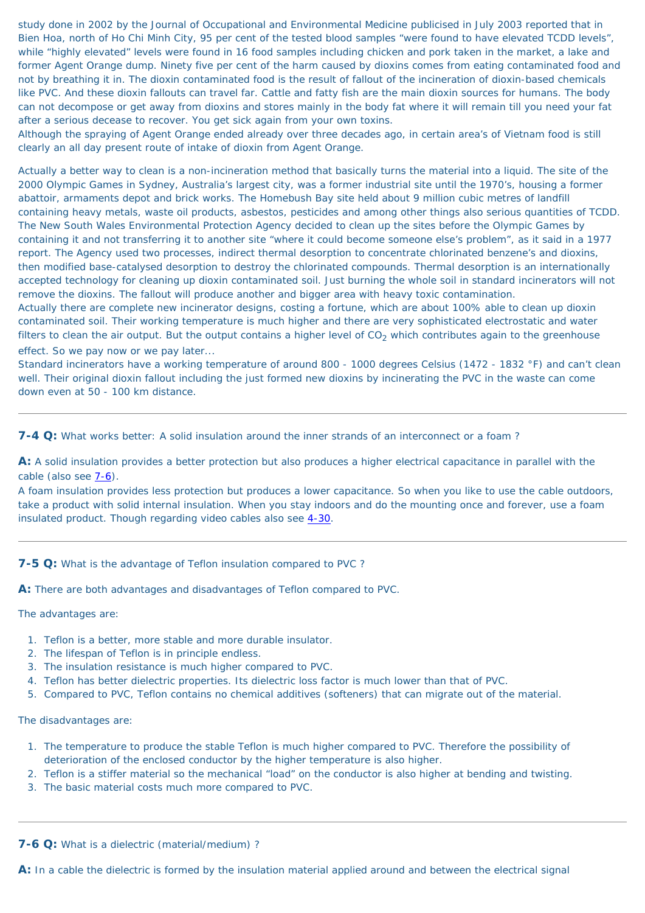study done in 2002 by the Journal of Occupational and Environmental Medicine publicised in July 2003 reported that in Bien Hoa, north of Ho Chi Minh City, 95 per cent of the tested blood samples "were found to have elevated TCDD levels", while "highly elevated" levels were found in 16 food samples including chicken and pork taken in the market, a lake and former Agent Orange dump. Ninety five per cent of the harm caused by dioxins comes from eating contaminated food and not by breathing it in. The dioxin contaminated food is the result of fallout of the incineration of dioxin-based chemicals like PVC. And these dioxin fallouts can travel far. Cattle and fatty fish are the main dioxin sources for humans. The body can not decompose or get away from dioxins and stores mainly in the body fat where it will remain till you need your fat after a serious decease to recover. You get sick again from your own toxins.

Although the spraying of Agent Orange ended already over three decades ago, in certain area's of Vietnam food is still clearly an all day present route of intake of dioxin from Agent Orange.

**A:** A solid insulation provides a better protection but also produces a higher electrical capacitance in parallel with the cable (also see  $7-6$ ).

Actually a better way to clean is a non-incineration method that basically turns the material into a liquid. The site of the 2000 Olympic Games in Sydney, Australia's largest city, was a former industrial site until the 1970's, housing a former abattoir, armaments depot and brick works. The Homebush Bay site held about 9 million cubic metres of landfill containing heavy metals, waste oil products, asbestos, pesticides and among other things also serious quantities of TCDD. The New South Wales Environmental Protection Agency decided to clean up the sites before the Olympic Games by containing it and not transferring it to another site "where it could become someone else's problem", as it said in a 1977 report. The Agency used two processes, indirect thermal desorption to concentrate chlorinated benzene's and dioxins, then modified base-catalysed desorption to destroy the chlorinated compounds. Thermal desorption is an internationally accepted technology for cleaning up dioxin contaminated soil. Just burning the whole soil in standard incinerators will not remove the dioxins. The fallout will produce another and bigger area with heavy toxic contamination. Actually there are complete new incinerator designs, costing a fortune, which are about 100% able to clean up dioxin

contaminated soil. Their working temperature is much higher and there are very sophisticated electrostatic and water filters to clean the air output. But the output contains a higher level of  $CO<sub>2</sub>$  which contributes again to the greenhouse effect. So we pay now or we pay later...

Standard incinerators have a working temperature of around 800 - 1000 degrees Celsius (1472 - 1832 °F) and can't clean well. Their original dioxin fallout including the just formed new dioxins by incinerating the PVC in the waste can come down even at 50 - 100 km distance.

<span id="page-47-1"></span>**7-4 Q:** What works better: A solid insulation around the inner strands of an interconnect or a foam ?

A foam insulation provides less protection but produces a lower capacitance. So when you like to use the cable outdoors, take a product with solid internal insulation. When you stay indoors and do the mounting once and forever, use a foam insulated product. Though regarding video cables also see [4-30.](#page-33-0)

**A:** There are both advantages and disadvantages of Teflon compared to PVC.

The advantages are:

- 1. Teflon is a better, more stable and more durable insulator.
- 2. The lifespan of Teflon is in principle endless.
- 3. The insulation resistance is much higher compared to PVC.
- 4. Teflon has better dielectric properties. Its dielectric loss factor is much lower than that of PVC.
- 5. Compared to PVC, Teflon contains no chemical additives (softeners) that can migrate out of the material.

The disadvantages are:

- 1. The temperature to produce the stable Teflon is much higher compared to PVC. Therefore the possibility of deterioration of the enclosed conductor by the higher temperature is also higher.
- 2. Teflon is a stiffer material so the mechanical "load" on the conductor is also higher at bending and twisting.
- 3. The basic material costs much more compared to PVC.

<span id="page-47-0"></span>**7-6 Q:** What is a dielectric (material/medium) ?

**A:** In a cable the dielectric is formed by the insulation material applied around and between the electrical signal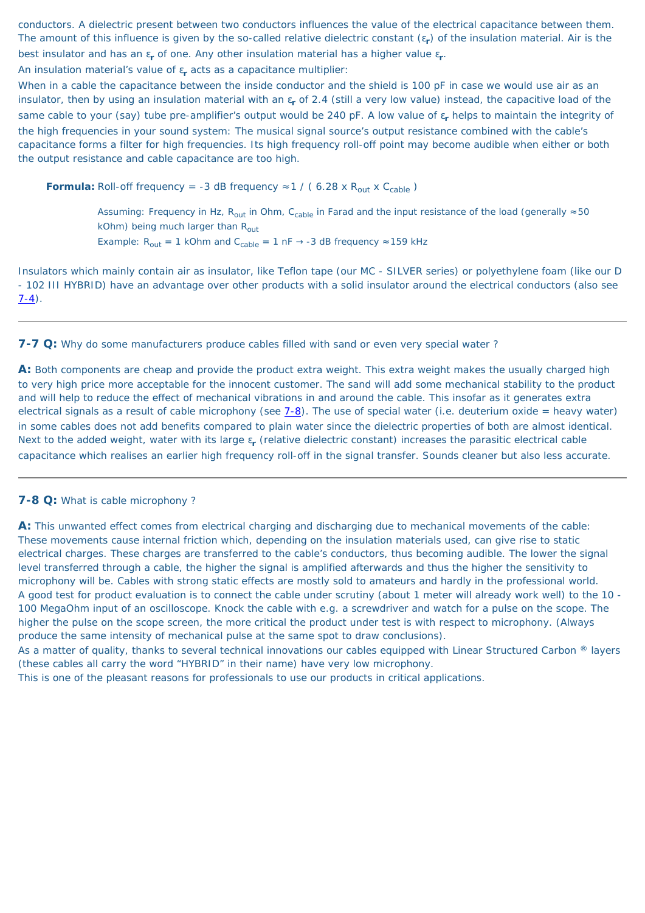conductors. A dielectric present between two conductors influences the value of the electrical capacitance between them. The amount of this influence is given by the so-called relative dielectric constant (ε**r**) of the insulation material. Air is the best insulator and has an ε**r** of one. Any other insulation material has a higher value ε**r**.

An insulation material's value of ε**r** acts as a capacitance multiplier:

Insulators which mainly contain air as insulator, like Teflon tape (our MC - SILVER series) or polyethylene foam (like our D - 102 III HYBRID) have an advantage over other products with a solid insulator around the electrical conductors (also see  $7-4)$ .

When in a cable the capacitance between the inside conductor and the shield is 100 pF in case we would use air as an insulator, then by using an insulation material with an ε**r** of 2.4 (still a very low value) instead, the capacitive load of the same cable to your (say) tube pre-amplifier's output would be 240 pF. A low value of ε**r** helps to maintain the integrity of the high frequencies in your sound system: The musical signal source's output resistance combined with the cable's capacitance forms a filter for high frequencies. Its high frequency roll-off point may become audible when either or both the output resistance and cable capacitance are too high.

**Formula:** Roll-off frequency = -3 dB frequency  $\approx$  1 / (6.28 x R<sub>out</sub> x C<sub>cable</sub>)

Assuming: Frequency in Hz, R<sub>out</sub> in Ohm, C<sub>cable</sub> in Farad and the input resistance of the load (generally  $\approx$  50 kOhm) being much larger than  $R_{\text{out}}$ Example:  $R_{out} = 1$  kOhm and  $C_{cable} = 1$  nF  $\rightarrow$  -3 dB frequency  $\approx$  159 kHz

<span id="page-48-1"></span>**7-7 Q:** Why do some manufacturers produce cables filled with sand or even very special water ?

As a matter of quality, thanks to several technical innovations our cables equipped with Linear Structured Carbon ® layers (these cables all carry the word "HYBRID" in their name) have very low microphony.

**A:** Both components are cheap and provide the product extra weight. This extra weight makes the usually charged high to very high price more acceptable for the innocent customer. The sand will add some mechanical stability to the product and will help to reduce the effect of mechanical vibrations in and around the cable. This insofar as it generates extra electrical signals as a result of cable microphony (see  $7-8$ ). The use of special water (i.e. deuterium oxide = heavy water) in some cables does not add benefits compared to plain water since the dielectric properties of both are almost identical. Next to the added weight, water with its large ε**r** (relative dielectric constant) increases the parasitic electrical cable capacitance which realises an earlier high frequency roll-off in the signal transfer. Sounds cleaner but also less accurate.

#### <span id="page-48-0"></span>**7-8 Q:** What is cable microphony ?

**A:** This unwanted effect comes from electrical charging and discharging due to mechanical movements of the cable: These movements cause internal friction which, depending on the insulation materials used, can give rise to static electrical charges. These charges are transferred to the cable's conductors, thus becoming audible. The lower the signal level transferred through a cable, the higher the signal is amplified afterwards and thus the higher the sensitivity to microphony will be. Cables with strong static effects are mostly sold to amateurs and hardly in the professional world. A good test for product evaluation is to connect the cable under scrutiny (about 1 meter will already work well) to the 10 - 100 MegaOhm input of an oscilloscope. Knock the cable with e.g. a screwdriver and watch for a pulse on the scope. The higher the pulse on the scope screen, the more critical the product under test is with respect to microphony. (Always produce the same intensity of mechanical pulse at the same spot to draw conclusions).

This is one of the pleasant reasons for professionals to use our products in critical applications.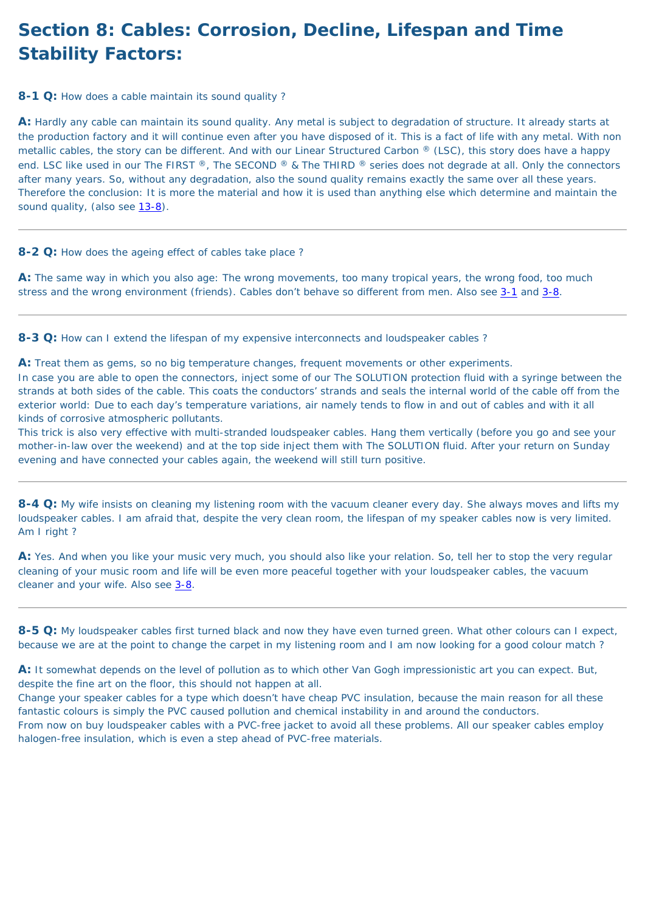# **Section 8: Cables: Corrosion, Decline, Lifespan and Time Stability Factors:**

<span id="page-49-0"></span>**8-1 Q:** How does a cable maintain its sound quality?

**A:** Hardly any cable can maintain its sound quality. Any metal is subject to degradation of structure. It already starts at the production factory and it will continue even after you have disposed of it. This is a fact of life with any metal. With non metallic cables, the story can be different. And with our Linear Structured Carbon ® (LSC), this story does have a happy end. LSC like used in our The FIRST ®, The SECOND ® & The THIRD ® series does not degrade at all. Only the connectors after many years. So, without any degradation, also the sound quality remains exactly the same over all these years. Therefore the conclusion: It is more the material and how it is used than anything else which determine and maintain the sound quality, (also see [13-8\)](#page-62-0).

**A:** The same way in which you also age: The wrong movements, too many tropical years, the wrong food, too much stress and the wrong environment (friends). Cables don't behave so different from men. Also see [3-1](#page-19-1) and [3-8](#page-20-0).

**8-2 Q:** How does the ageing effect of cables take place ?

**8-3 Q:** How can I extend the lifespan of my expensive interconnects and loudspeaker cables ?

A: Yes. And when you like your music very much, you should also like your relation. So, tell her to stop the very regular cleaning of your music room and life will be even more peaceful together with your loudspeaker cables, the vacuum cleaner and your wife. Also see [3-8](#page-20-0).

**A:** Treat them as gems, so no big temperature changes, frequent movements or other experiments. In case you are able to open the connectors, inject some of our The SOLUTION protection fluid with a syringe between the strands at both sides of the cable. This coats the conductors' strands and seals the internal world of the cable off from the exterior world: Due to each day's temperature variations, air namely tends to flow in and out of cables and with it all kinds of corrosive atmospheric pollutants.

This trick is also very effective with multi-stranded loudspeaker cables. Hang them vertically (before you go and see your mother-in-law over the weekend) and at the top side inject them with The SOLUTION fluid. After your return on Sunday evening and have connected your cables again, the weekend will still turn positive.

**8-4 Q:** My wife insists on cleaning my listening room with the vacuum cleaner every day. She always moves and lifts my loudspeaker cables. I am afraid that, despite the very clean room, the lifespan of my speaker cables now is very limited. Am I right ?

<span id="page-49-1"></span>**8-5 Q:** My loudspeaker cables first turned black and now they have even turned green. What other colours can I expect, because we are at the point to change the carpet in my listening room and I am now looking for a good colour match ?

**A:** It somewhat depends on the level of pollution as to which other Van Gogh impressionistic art you can expect. But, despite the fine art on the floor, this should not happen at all.

Change your speaker cables for a type which doesn't have cheap PVC insulation, because the main reason for all these fantastic colours is simply the PVC caused pollution and chemical instability in and around the conductors. From now on buy loudspeaker cables with a PVC-free jacket to avoid all these problems. All our speaker cables employ

halogen-free insulation, which is even a step ahead of PVC-free materials.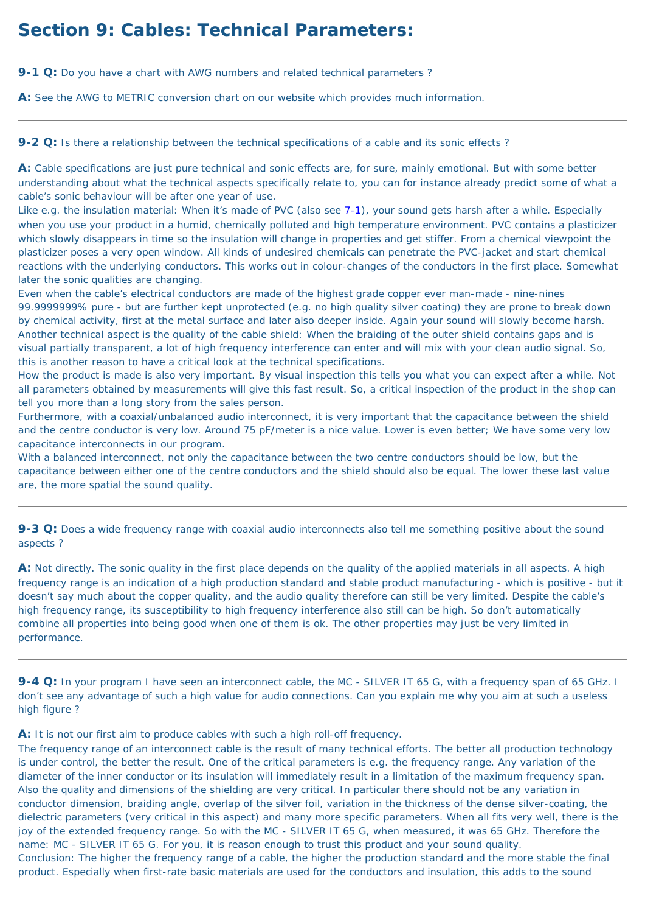# **Section 9: Cables: Technical Parameters:**

**9-1 Q:** Do you have a chart with AWG numbers and related technical parameters?

**A:** See the AWG to METRIC conversion chart on our website which provides much information.

<span id="page-50-0"></span>**9-2 Q:** Is there a relationship between the technical specifications of a cable and its sonic effects ?

**A:** Cable specifications are just pure technical and sonic effects are, for sure, mainly emotional. But with some better understanding about what the technical aspects specifically relate to, you can for instance already predict some of what a cable's sonic behaviour will be after one year of use.

Like e.g. the insulation material: When it's made of PVC (also see [7-1\)](#page-46-1), your sound gets harsh after a while. Especially when you use your product in a humid, chemically polluted and high temperature environment. PVC contains a plasticizer which slowly disappears in time so the insulation will change in properties and get stiffer. From a chemical viewpoint the plasticizer poses a very open window. All kinds of undesired chemicals can penetrate the PVC-jacket and start chemical reactions with the underlying conductors. This works out in colour-changes of the conductors in the first place. Somewhat later the sonic qualities are changing.

Even when the cable's electrical conductors are made of the highest grade copper ever man-made - nine-nines 99.9999999% pure - but are further kept unprotected (e.g. no high quality silver coating) they are prone to break down by chemical activity, first at the metal surface and later also deeper inside. Again your sound will slowly become harsh. Another technical aspect is the quality of the cable shield: When the braiding of the outer shield contains gaps and is visual partially transparent, a lot of high frequency interference can enter and will mix with your clean audio signal. So, this is another reason to have a critical look at the technical specifications.

How the product is made is also very important. By visual inspection this tells you what you can expect after a while. Not all parameters obtained by measurements will give this fast result. So, a critical inspection of the product in the shop can tell you more than a long story from the sales person.

Furthermore, with a coaxial/unbalanced audio interconnect, it is very important that the capacitance between the shield and the centre conductor is very low. Around 75 pF/meter is a nice value. Lower is even better; We have some very low capacitance interconnects in our program.

With a balanced interconnect, not only the capacitance between the two centre conductors should be low, but the capacitance between either one of the centre conductors and the shield should also be equal. The lower these last value are, the more spatial the sound quality.

**9-3 Q:** Does a wide frequency range with coaxial audio interconnects also tell me something positive about the sound aspects ?

**A:** Not directly. The sonic quality in the first place depends on the quality of the applied materials in all aspects. A high frequency range is an indication of a high production standard and stable product manufacturing - which is positive - but it doesn't say much about the copper quality, and the audio quality therefore can still be very limited. Despite the cable's high frequency range, its susceptibility to high frequency interference also still can be high. So don't automatically combine all properties into being good when one of them is ok. The other properties may just be very limited in performance.

**9-4 Q:** In your program I have seen an interconnect cable, the MC - SILVER IT 65 G, with a frequency span of 65 GHz. I don't see any advantage of such a high value for audio connections. Can you explain me why you aim at such a useless high figure ?

**A:** It is not our first aim to produce cables with such a high roll-off frequency.

The frequency range of an interconnect cable is the result of many technical efforts. The better all production technology is under control, the better the result. One of the critical parameters is e.g. the frequency range. Any variation of the diameter of the inner conductor or its insulation will immediately result in a limitation of the maximum frequency span. Also the quality and dimensions of the shielding are very critical. In particular there should not be any variation in conductor dimension, braiding angle, overlap of the silver foil, variation in the thickness of the dense silver-coating, the dielectric parameters (very critical in this aspect) and many more specific parameters. When all fits very well, there is the joy of the extended frequency range. So with the MC - SILVER IT 65 G, when measured, it was 65 GHz. Therefore the name: MC - SILVER IT 65 G. For you, it is reason enough to trust this product and your sound quality. Conclusion: The higher the frequency range of a cable, the higher the production standard and the more stable the final product. Especially when first-rate basic materials are used for the conductors and insulation, this adds to the sound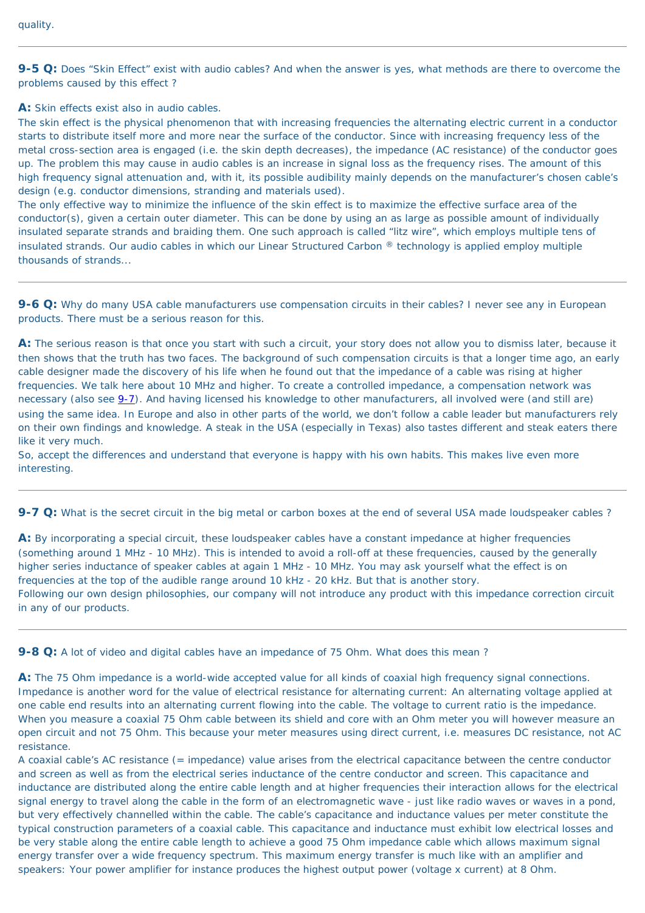**9-5 Q:** Does "Skin Effect" exist with audio cables? And when the answer is yes, what methods are there to overcome the problems caused by this effect ?

**A:** Skin effects exist also in audio cables.

The skin effect is the physical phenomenon that with increasing frequencies the alternating electric current in a conductor starts to distribute itself more and more near the surface of the conductor. Since with increasing frequency less of the metal cross-section area is engaged (i.e. the skin depth decreases), the impedance (AC resistance) of the conductor goes up. The problem this may cause in audio cables is an increase in signal loss as the frequency rises. The amount of this high frequency signal attenuation and, with it, its possible audibility mainly depends on the manufacturer's chosen cable's design (e.g. conductor dimensions, stranding and materials used).

The only effective way to minimize the influence of the skin effect is to maximize the effective surface area of the conductor(s), given a certain outer diameter. This can be done by using an as large as possible amount of individually insulated separate strands and braiding them. One such approach is called "litz wire", which employs multiple tens of insulated strands. Our audio cables in which our Linear Structured Carbon ® technology is applied employ multiple thousands of strands...

**9-6 Q:** Why do many USA cable manufacturers use compensation circuits in their cables? I never see any in European products. There must be a serious reason for this.

**A:** The serious reason is that once you start with such a circuit, your story does not allow you to dismiss later, because it then shows that the truth has two faces. The background of such compensation circuits is that a longer time ago, an early cable designer made the discovery of his life when he found out that the impedance of a cable was rising at higher frequencies. We talk here about 10 MHz and higher. To create a controlled impedance, a compensation network was necessary (also see  $9-7$ ). And having licensed his knowledge to other manufacturers, all involved were (and still are) using the same idea. In Europe and also in other parts of the world, we don't follow a cable leader but manufacturers rely on their own findings and knowledge. A steak in the USA (especially in Texas) also tastes different and steak eaters there like it very much.

So, accept the differences and understand that everyone is happy with his own habits. This makes live even more interesting.

<span id="page-51-0"></span>**9-7 Q:** What is the secret circuit in the big metal or carbon boxes at the end of several USA made loudspeaker cables ?

**A:** By incorporating a special circuit, these loudspeaker cables have a constant impedance at higher frequencies (something around 1 MHz - 10 MHz). This is intended to avoid a roll-off at these frequencies, caused by the generally higher series inductance of speaker cables at again 1 MHz - 10 MHz. You may ask yourself what the effect is on frequencies at the top of the audible range around 10 kHz - 20 kHz. But that is another story.

Following our own design philosophies, our company will not introduce any product with this impedance correction circuit in any of our products.

**9-8 Q:** A lot of video and digital cables have an impedance of 75 Ohm. What does this mean ?

**A:** The 75 Ohm impedance is a world-wide accepted value for all kinds of coaxial high frequency signal connections. Impedance is another word for the value of electrical resistance for alternating current: An alternating voltage applied at one cable end results into an alternating current flowing into the cable. The voltage to current ratio is the impedance. When you measure a coaxial 75 Ohm cable between its shield and core with an Ohm meter you will however measure an open circuit and not 75 Ohm. This because your meter measures using direct current, i.e. measures DC resistance, not AC resistance.

A coaxial cable's AC resistance (= impedance) value arises from the electrical capacitance between the centre conductor and screen as well as from the electrical series inductance of the centre conductor and screen. This capacitance and inductance are distributed along the entire cable length and at higher frequencies their interaction allows for the electrical signal energy to travel along the cable in the form of an electromagnetic wave - just like radio waves or waves in a pond, but very effectively channelled within the cable. The cable's capacitance and inductance values per meter constitute the typical construction parameters of a coaxial cable. This capacitance and inductance must exhibit low electrical losses and be very stable along the entire cable length to achieve a good 75 Ohm impedance cable which allows maximum signal energy transfer over a wide frequency spectrum. This maximum energy transfer is much like with an amplifier and speakers: Your power amplifier for instance produces the highest output power (voltage x current) at 8 Ohm.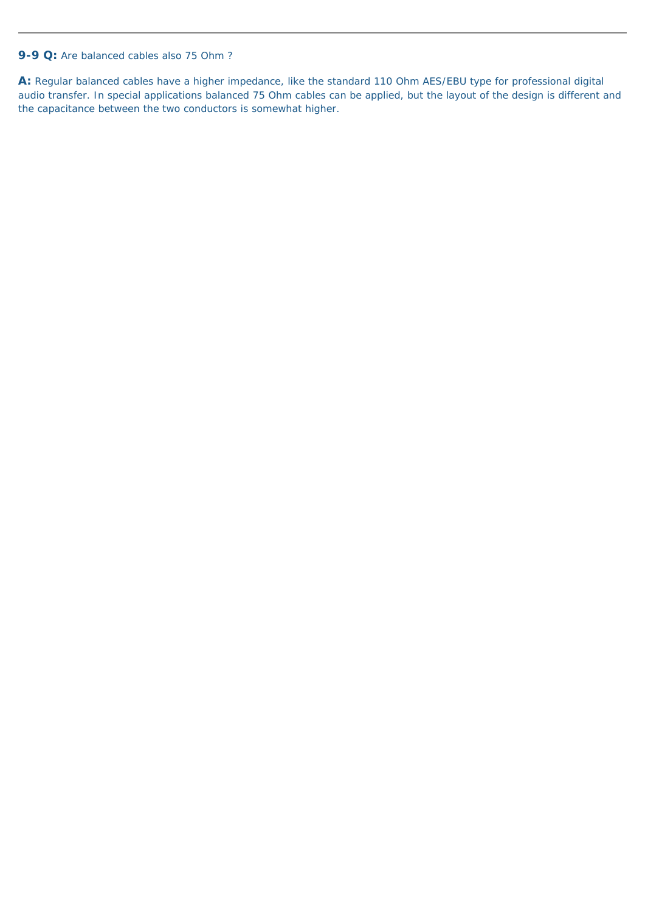### **9-9 Q:** Are balanced cables also 75 Ohm ?

**A:** Regular balanced cables have a higher impedance, like the standard 110 Ohm AES/EBU type for professional digital audio transfer. In special applications balanced 75 Ohm cables can be applied, but the layout of the design is different and the capacitance between the two conductors is somewhat higher.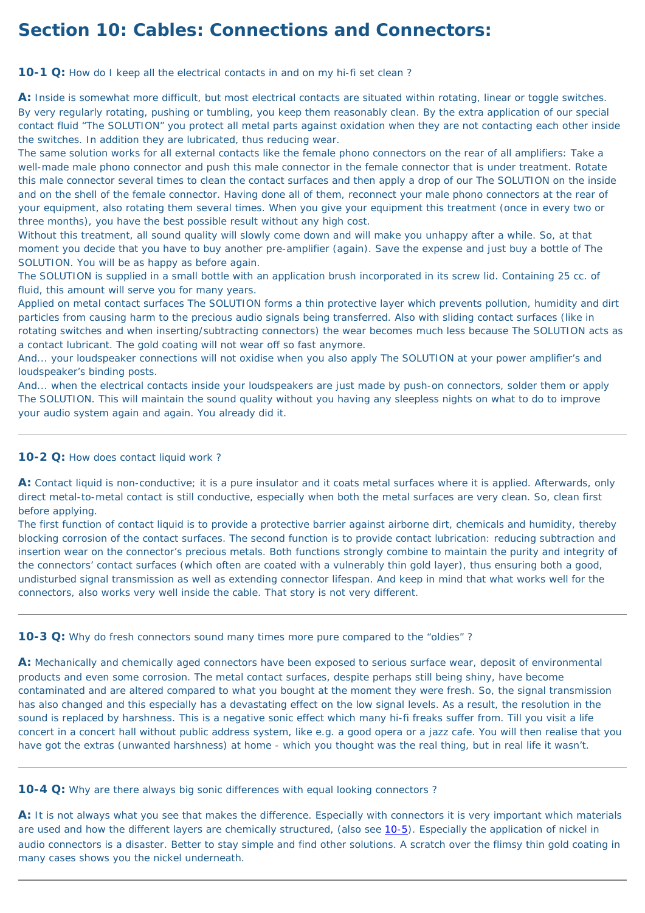# **Section 10: Cables: Connections and Connectors:**

<span id="page-53-0"></span>**10-1 Q:** How do I keep all the electrical contacts in and on my hi-fi set clean?

A: Inside is somewhat more difficult, but most electrical contacts are situated within rotating, linear or toggle switches. By very regularly rotating, pushing or tumbling, you keep them reasonably clean. By the extra application of our special contact fluid "The SOLUTION" you protect all metal parts against oxidation when they are not contacting each other inside the switches. In addition they are lubricated, thus reducing wear.

The same solution works for all external contacts like the female phono connectors on the rear of all amplifiers: Take a well-made male phono connector and push this male connector in the female connector that is under treatment. Rotate this male connector several times to clean the contact surfaces and then apply a drop of our The SOLUTION on the inside and on the shell of the female connector. Having done all of them, reconnect your male phono connectors at the rear of your equipment, also rotating them several times. When you give your equipment this treatment (once in every two or three months), you have the best possible result without any high cost.

Without this treatment, all sound quality will slowly come down and will make you unhappy after a while. So, at that moment you decide that you have to buy another pre-amplifier (again). Save the expense and just buy a bottle of The SOLUTION. You will be as happy as before again.

The SOLUTION is supplied in a small bottle with an application brush incorporated in its screw lid. Containing 25 cc. of fluid, this amount will serve you for many years.

Applied on metal contact surfaces The SOLUTION forms a thin protective layer which prevents pollution, humidity and dirt particles from causing harm to the precious audio signals being transferred. Also with sliding contact surfaces (like in rotating switches and when inserting/subtracting connectors) the wear becomes much less because The SOLUTION acts as a contact lubricant. The gold coating will not wear off so fast anymore.

And... your loudspeaker connections will not oxidise when you also apply The SOLUTION at your power amplifier's and loudspeaker's binding posts.

And... when the electrical contacts inside your loudspeakers are just made by push-on connectors, solder them or apply The SOLUTION. This will maintain the sound quality without you having any sleepless nights on what to do to improve your audio system again and again. You already did it.

A: It is not always what you see that makes the difference. Especially with connectors it is very important which materials are used and how the different layers are chemically structured, (also see [10-5](#page-54-0)). Especially the application of nickel in audio connectors is a disaster. Better to stay simple and find other solutions. A scratch over the flimsy thin gold coating in many cases shows you the nickel underneath.

### **10-2 Q:** How does contact liquid work ?

**A:** Contact liquid is non-conductive; it is a pure insulator and it coats metal surfaces where it is applied. Afterwards, only direct metal-to-metal contact is still conductive, especially when both the metal surfaces are very clean. So, clean first before applying.

The first function of contact liquid is to provide a protective barrier against airborne dirt, chemicals and humidity, thereby blocking corrosion of the contact surfaces. The second function is to provide contact lubrication: reducing subtraction and insertion wear on the connector's precious metals. Both functions strongly combine to maintain the purity and integrity of the connectors' contact surfaces (which often are coated with a vulnerably thin gold layer), thus ensuring both a good, undisturbed signal transmission as well as extending connector lifespan. And keep in mind that what works well for the

**10-3 Q:** Why do fresh connectors sound many times more pure compared to the "oldies"?

**A:** Mechanically and chemically aged connectors have been exposed to serious surface wear, deposit of environmental products and even some corrosion. The metal contact surfaces, despite perhaps still being shiny, have become contaminated and are altered compared to what you bought at the moment they were fresh. So, the signal transmission has also changed and this especially has a devastating effect on the low signal levels. As a result, the resolution in the sound is replaced by harshness. This is a negative sonic effect which many hi-fi freaks suffer from. Till you visit a life concert in a concert hall without public address system, like e.g. a good opera or a jazz cafe. You will then realise that you have got the extras (unwanted harshness) at home - which you thought was the real thing, but in real life it wasn't.

**10-4 Q:** Why are there always big sonic differences with equal looking connectors ?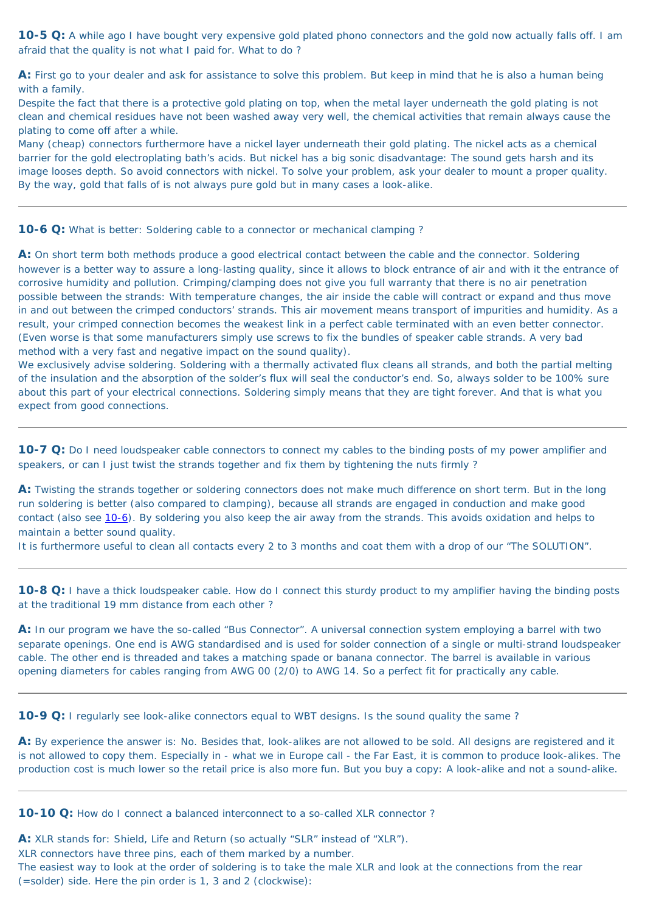<span id="page-54-0"></span>**10-5 Q:** A while ago I have bought very expensive gold plated phono connectors and the gold now actually falls off. I am afraid that the quality is not what I paid for. What to do ?

**A:** First go to your dealer and ask for assistance to solve this problem. But keep in mind that he is also a human being with a family.

Despite the fact that there is a protective gold plating on top, when the metal layer underneath the gold plating is not clean and chemical residues have not been washed away very well, the chemical activities that remain always cause the plating to come off after a while.

Many (cheap) connectors furthermore have a nickel layer underneath their gold plating. The nickel acts as a chemical barrier for the gold electroplating bath's acids. But nickel has a big sonic disadvantage: The sound gets harsh and its image looses depth. So avoid connectors with nickel. To solve your problem, ask your dealer to mount a proper quality. By the way, gold that falls of is not always pure gold but in many cases a look-alike.

<span id="page-54-1"></span>**10-6 Q:** What is better: Soldering cable to a connector or mechanical clamping?

**A:** On short term both methods produce a good electrical contact between the cable and the connector. Soldering however is a better way to assure a long-lasting quality, since it allows to block entrance of air and with it the entrance of corrosive humidity and pollution. Crimping/clamping does not give you full warranty that there is no air penetration possible between the strands: With temperature changes, the air inside the cable will contract or expand and thus move in and out between the crimped conductors' strands. This air movement means transport of impurities and humidity. As a result, your crimped connection becomes the weakest link in a perfect cable terminated with an even better connector. (Even worse is that some manufacturers simply use screws to fix the bundles of speaker cable strands. A very bad method with a very fast and negative impact on the sound quality).

<span id="page-54-2"></span>**10-8 Q:** I have a thick loudspeaker cable. How do I connect this sturdy product to my amplifier having the binding posts at the traditional 19 mm distance from each other ?

A: By experience the answer is: No. Besides that, look-alikes are not allowed to be sold. All designs are registered and it is not allowed to copy them. Especially in - what we in Europe call - the Far East, it is common to produce look-alikes. The production cost is much lower so the retail price is also more fun. But you buy a copy: A look-alike and not a sound-alike.

**10-10 Q:** How do I connect a balanced interconnect to a so-called XLR connector?

We exclusively advise soldering. Soldering with a thermally activated flux cleans all strands, and both the partial melting of the insulation and the absorption of the solder's flux will seal the conductor's end. So, always solder to be 100% sure about this part of your electrical connections. Soldering simply means that they are tight forever. And that is what you expect from good connections.

**10-7 Q:** Do I need loudspeaker cable connectors to connect my cables to the binding posts of my power amplifier and speakers, or can I just twist the strands together and fix them by tightening the nuts firmly ?

**A:** Twisting the strands together or soldering connectors does not make much difference on short term. But in the long run soldering is better (also compared to clamping), because all strands are engaged in conduction and make good contact (also see [10-6\)](#page-54-1). By soldering you also keep the air away from the strands. This avoids oxidation and helps to maintain a better sound quality.

It is furthermore useful to clean all contacts every 2 to 3 months and coat them with a drop of our "The SOLUTION".

**A:** In our program we have the so-called "Bus Connector". A universal connection system employing a barrel with two separate openings. One end is AWG standardised and is used for solder connection of a single or multi-strand loudspeaker cable. The other end is threaded and takes a matching spade or banana connector. The barrel is available in various opening diameters for cables ranging from AWG 00 (2/0) to AWG 14. So a perfect fit for practically any cable.

**10-9 Q:** I regularly see look-alike connectors equal to WBT designs. Is the sound quality the same?

**A:** XLR stands for: Shield, Life and Return (so actually "SLR" instead of "XLR"). XLR connectors have three pins, each of them marked by a number. The easiest way to look at the order of soldering is to take the male XLR and look at the connections from the rear (=solder) side. Here the pin order is 1, 3 and 2 (clockwise):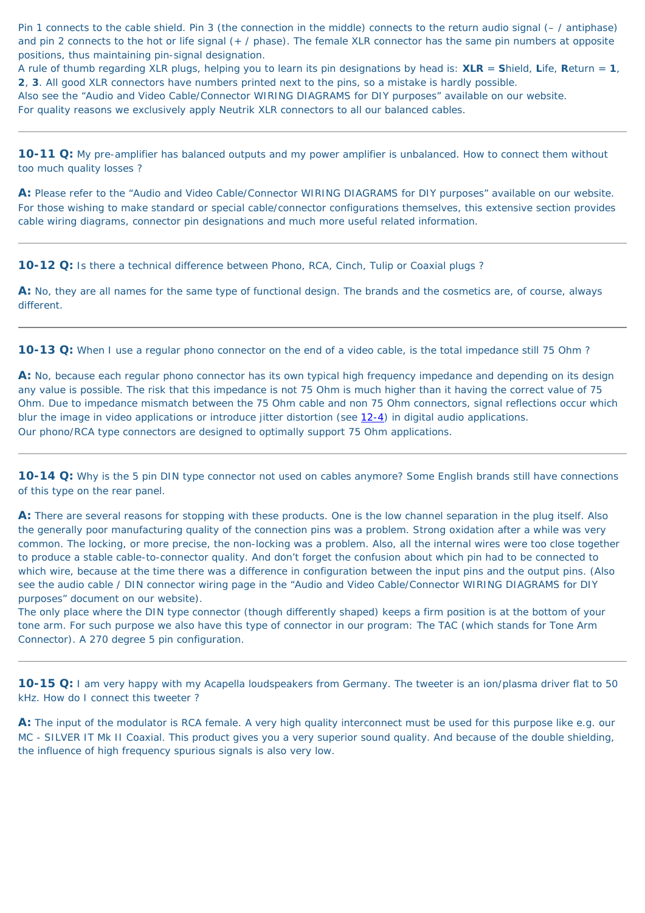Pin 1 connects to the cable shield. Pin 3 (the connection in the middle) connects to the return audio signal (– / antiphase) and pin 2 connects to the hot or life signal (+ / phase). The female XLR connector has the same pin numbers at opposite positions, thus maintaining pin-signal designation.

A rule of thumb regarding XLR plugs, helping you to learn its pin designations by head is: **XLR** = **S**hield, **L**ife, **R**eturn = **1**, **2**, **3**. All good XLR connectors have numbers printed next to the pins, so a mistake is hardly possible.

Also see the "Audio and Video Cable/Connector WIRING DIAGRAMS for DIY purposes" available on our website.

For quality reasons we exclusively apply Neutrik XLR connectors to all our balanced cables.

**10-11 Q:** My pre-amplifier has balanced outputs and my power amplifier is unbalanced. How to connect them without too much quality losses ?

**A:** Please refer to the "Audio and Video Cable/Connector WIRING DIAGRAMS for DIY purposes" available on our website. For those wishing to make standard or special cable/connector configurations themselves, this extensive section provides cable wiring diagrams, connector pin designations and much more useful related information.

**10-12 Q:** Is there a technical difference between Phono, RCA, Cinch, Tulip or Coaxial plugs ?

**A:** No, they are all names for the same type of functional design. The brands and the cosmetics are, of course, always different.

A: There are several reasons for stopping with these products. One is the low channel separation in the plug itself. Also the generally poor manufacturing quality of the connection pins was a problem. Strong oxidation after a while was very common. The locking, or more precise, the non-locking was a problem. Also, all the internal wires were too close together to produce a stable cable-to-connector quality. And don't forget the confusion about which pin had to be connected to which wire, because at the time there was a difference in configuration between the input pins and the output pins. (Also see the audio cable / DIN connector wiring page in the "Audio and Video Cable/Connector WIRING DIAGRAMS for DIY

**10-13 Q:** When I use a regular phono connector on the end of a video cable, is the total impedance still 75 Ohm ?

**A:** No, because each regular phono connector has its own typical high frequency impedance and depending on its design any value is possible. The risk that this impedance is not 75 Ohm is much higher than it having the correct value of 75 Ohm. Due to impedance mismatch between the 75 Ohm cable and non 75 Ohm connectors, signal reflections occur which blur the image in video applications or introduce jitter distortion (see [12-4\)](#page-59-0) in digital audio applications. Our phono/RCA type connectors are designed to optimally support 75 Ohm applications.

**10-14 Q:** Why is the 5 pin DIN type connector not used on cables anymore? Some English brands still have connections of this type on the rear panel.

purposes" document on our website).

The only place where the DIN type connector (though differently shaped) keeps a firm position is at the bottom of your tone arm. For such purpose we also have this type of connector in our program: The TAC (which stands for Tone Arm Connector). A 270 degree 5 pin configuration.

**10-15 Q:** I am very happy with my Acapella loudspeakers from Germany. The tweeter is an ion/plasma driver flat to 50 kHz. How do I connect this tweeter ?

**A:** The input of the modulator is RCA female. A very high quality interconnect must be used for this purpose like e.g. our MC - SILVER IT Mk II Coaxial. This product gives you a very superior sound quality. And because of the double shielding, the influence of high frequency spurious signals is also very low.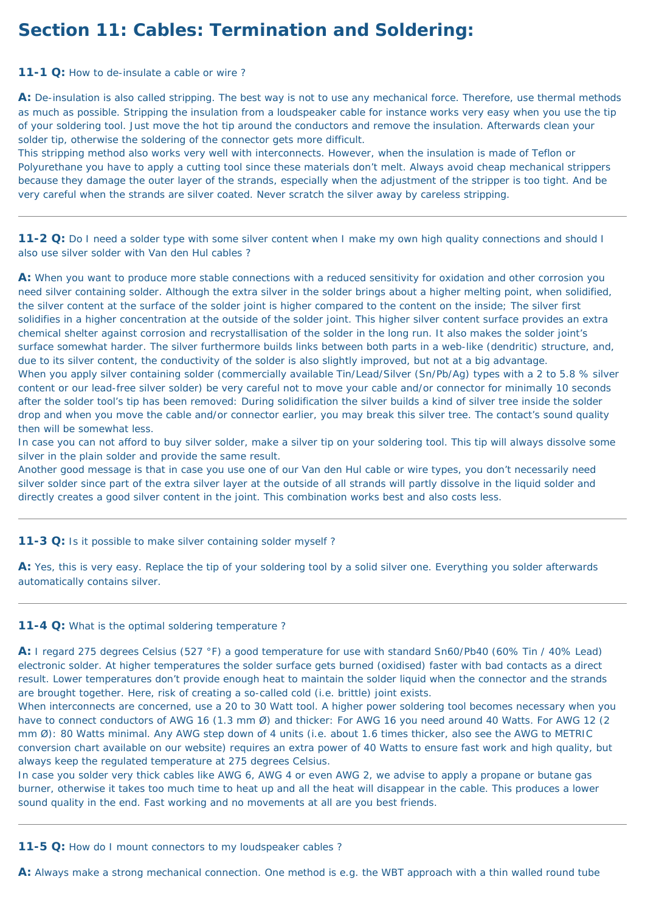# **Section 11: Cables: Termination and Soldering:**

### **11-1 Q:** How to de-insulate a cable or wire ?

**A:** De-insulation is also called stripping. The best way is not to use any mechanical force. Therefore, use thermal methods as much as possible. Stripping the insulation from a loudspeaker cable for instance works very easy when you use the tip of your soldering tool. Just move the hot tip around the conductors and remove the insulation. Afterwards clean your solder tip, otherwise the soldering of the connector gets more difficult.

This stripping method also works very well with interconnects. However, when the insulation is made of Teflon or Polyurethane you have to apply a cutting tool since these materials don't melt. Always avoid cheap mechanical strippers because they damage the outer layer of the strands, especially when the adjustment of the stripper is too tight. And be very careful when the strands are silver coated. Never scratch the silver away by careless stripping.

**11-2 Q:** Do I need a solder type with some silver content when I make my own high quality connections and should I also use silver solder with Van den Hul cables ?

A: When you want to produce more stable connections with a reduced sensitivity for oxidation and other corrosion you need silver containing solder. Although the extra silver in the solder brings about a higher melting point, when solidified, the silver content at the surface of the solder joint is higher compared to the content on the inside; The silver first solidifies in a higher concentration at the outside of the solder joint. This higher silver content surface provides an extra chemical shelter against corrosion and recrystallisation of the solder in the long run. It also makes the solder joint's surface somewhat harder. The silver furthermore builds links between both parts in a web-like (dendritic) structure, and, due to its silver content, the conductivity of the solder is also slightly improved, but not at a big advantage. When you apply silver containing solder (commercially available Tin/Lead/Silver (Sn/Pb/Ag) types with a 2 to 5.8 % silver content or our lead-free silver solder) be very careful not to move your cable and/or connector for minimally 10 seconds after the solder tool's tip has been removed: During solidification the silver builds a kind of silver tree inside the solder drop and when you move the cable and/or connector earlier, you may break this silver tree. The contact's sound quality then will be somewhat less.

A: Yes, this is very easy. Replace the tip of your soldering tool by a solid silver one. Everything you solder afterwards automatically contains silver.

In case you can not afford to buy silver solder, make a silver tip on your soldering tool. This tip will always dissolve some silver in the plain solder and provide the same result.

Another good message is that in case you use one of our Van den Hul cable or wire types, you don't necessarily need silver solder since part of the extra silver layer at the outside of all strands will partly dissolve in the liquid solder and directly creates a good silver content in the joint. This combination works best and also costs less.

### **11-3 Q:** Is it possible to make silver containing solder myself ?

#### **11-4 Q:** What is the optimal soldering temperature ?

**A:** I regard 275 degrees Celsius (527 °F) a good temperature for use with standard Sn60/Pb40 (60% Tin / 40% Lead) electronic solder. At higher temperatures the solder surface gets burned (oxidised) faster with bad contacts as a direct result. Lower temperatures don't provide enough heat to maintain the solder liquid when the connector and the strands are brought together. Here, risk of creating a so-called cold (i.e. brittle) joint exists.

When interconnects are concerned, use a 20 to 30 Watt tool. A higher power soldering tool becomes necessary when you have to connect conductors of AWG 16 (1.3 mm Ø) and thicker: For AWG 16 you need around 40 Watts. For AWG 12 (2 mm Ø): 80 Watts minimal. Any AWG step down of 4 units (i.e. about 1.6 times thicker, also see the AWG to METRIC conversion chart available on our website) requires an extra power of 40 Watts to ensure fast work and high quality, but always keep the regulated temperature at 275 degrees Celsius.

In case you solder very thick cables like AWG 6, AWG 4 or even AWG 2, we advise to apply a propane or butane gas burner, otherwise it takes too much time to heat up and all the heat will disappear in the cable. This produces a lower sound quality in the end. Fast working and no movements at all are you best friends.

**11-5 Q:** How do I mount connectors to my loudspeaker cables ?

**A:** Always make a strong mechanical connection. One method is e.g. the WBT approach with a thin walled round tube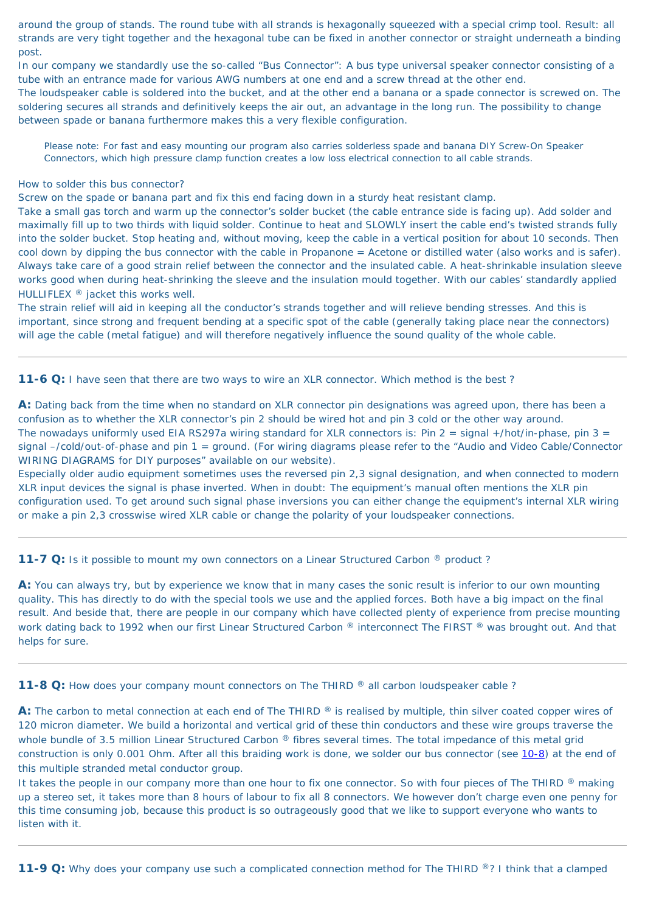around the group of stands. The round tube with all strands is hexagonally squeezed with a special crimp tool. Result: all strands are very tight together and the hexagonal tube can be fixed in another connector or straight underneath a binding post.

In our company we standardly use the so-called "Bus Connector": A bus type universal speaker connector consisting of a tube with an entrance made for various AWG numbers at one end and a screw thread at the other end.

The loudspeaker cable is soldered into the bucket, and at the other end a banana or a spade connector is screwed on. The soldering secures all strands and definitively keeps the air out, an advantage in the long run. The possibility to change between spade or banana furthermore makes this a very flexible configuration.

Please note: For fast and easy mounting our program also carries solderless spade and banana DIY Screw-On Speaker Connectors, which high pressure clamp function creates a low loss electrical connection to all cable strands.

#### How to solder this bus connector?

Screw on the spade or banana part and fix this end facing down in a sturdy heat resistant clamp.

Take a small gas torch and warm up the connector's solder bucket (the cable entrance side is facing up). Add solder and maximally fill up to two thirds with liquid solder. Continue to heat and SLOWLY insert the cable end's twisted strands fully into the solder bucket. Stop heating and, without moving, keep the cable in a vertical position for about 10 seconds. Then cool down by dipping the bus connector with the cable in Propanone = Acetone or distilled water (also works and is safer). Always take care of a good strain relief between the connector and the insulated cable. A heat-shrinkable insulation sleeve works good when during heat-shrinking the sleeve and the insulation mould together. With our cables' standardly applied HULLIFLEX ® jacket this works well.

A: You can always try, but by experience we know that in many cases the sonic result is inferior to our own mounting quality. This has directly to do with the special tools we use and the applied forces. Both have a big impact on the final result. And beside that, there are people in our company which have collected plenty of experience from precise mounting work dating back to 1992 when our first Linear Structured Carbon ® interconnect The FIRST ® was brought out. And that helps for sure.

<span id="page-57-0"></span>**11-8 Q:** How does your company mount connectors on The THIRD ® all carbon loudspeaker cable ?

The strain relief will aid in keeping all the conductor's strands together and will relieve bending stresses. And this is important, since strong and frequent bending at a specific spot of the cable (generally taking place near the connectors) will age the cable (metal fatigue) and will therefore negatively influence the sound quality of the whole cable.

**11-6 Q:** I have seen that there are two ways to wire an XLR connector. Which method is the best?

A: The carbon to metal connection at each end of The THIRD ® is realised by multiple, thin silver coated copper wires of 120 micron diameter. We build a horizontal and vertical grid of these thin conductors and these wire groups traverse the whole bundle of 3.5 million Linear Structured Carbon ® fibres several times. The total impedance of this metal grid construction is only 0.001 Ohm. After all this braiding work is done, we solder our bus connector (see [10-8](#page-54-2)) at the end of this multiple stranded metal conductor group.

It takes the people in our company more than one hour to fix one connector. So with four pieces of The THIRD ® making up a stereo set, it takes more than 8 hours of labour to fix all 8 connectors. We however don't charge even one penny for this time consuming job, because this product is so outrageously good that we like to support everyone who wants to listen with it.

**11-9 Q:** Why does your company use such a complicated connection method for The THIRD ®? I think that a clamped

**A:** Dating back from the time when no standard on XLR connector pin designations was agreed upon, there has been a confusion as to whether the XLR connector's pin 2 should be wired hot and pin 3 cold or the other way around. The nowadays uniformly used EIA RS297a wiring standard for XLR connectors is: Pin  $2 =$  signal +/hot/in-phase, pin  $3 =$ signal –/cold/out-of-phase and pin 1 = ground. (For wiring diagrams please refer to the "Audio and Video Cable/Connector WIRING DIAGRAMS for DIY purposes" available on our website).

Especially older audio equipment sometimes uses the reversed pin 2,3 signal designation, and when connected to modern XLR input devices the signal is phase inverted. When in doubt: The equipment's manual often mentions the XLR pin configuration used. To get around such signal phase inversions you can either change the equipment's internal XLR wiring or make a pin 2,3 crosswise wired XLR cable or change the polarity of your loudspeaker connections.

### **11-7 Q:** Is it possible to mount my own connectors on a Linear Structured Carbon <sup>®</sup> product?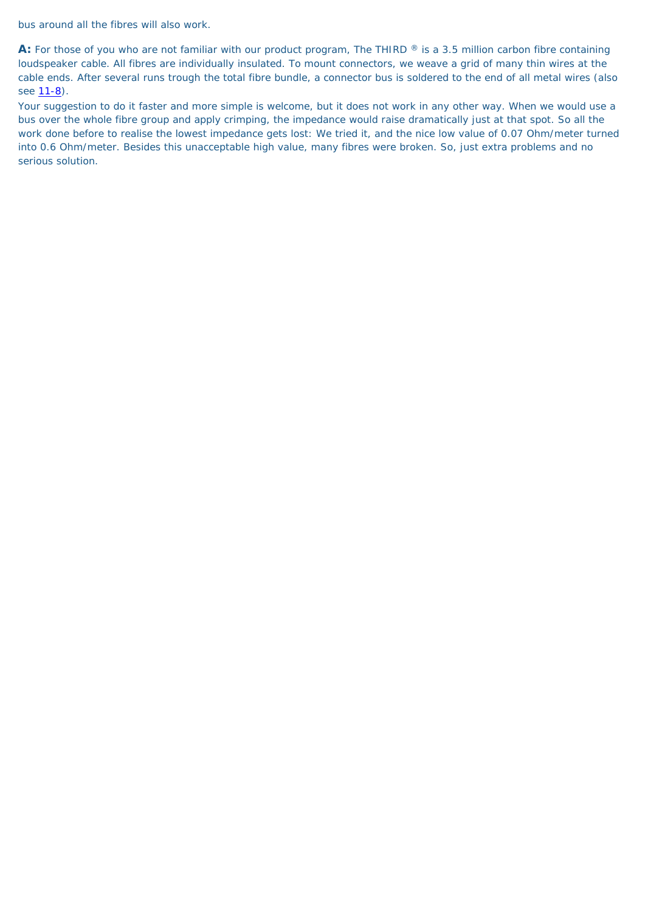bus around all the fibres will also work.

A: For those of you who are not familiar with our product program, The THIRD ® is a 3.5 million carbon fibre containing loudspeaker cable. All fibres are individually insulated. To mount connectors, we weave a grid of many thin wires at the cable ends. After several runs trough the total fibre bundle, a connector bus is soldered to the end of all metal wires (also see  $11-8$ ).

Your suggestion to do it faster and more simple is welcome, but it does not work in any other way. When we would use a bus over the whole fibre group and apply crimping, the impedance would raise dramatically just at that spot. So all the work done before to realise the lowest impedance gets lost: We tried it, and the nice low value of 0.07 Ohm/meter turned into 0.6 Ohm/meter. Besides this unacceptable high value, many fibres were broken. So, just extra problems and no serious solution.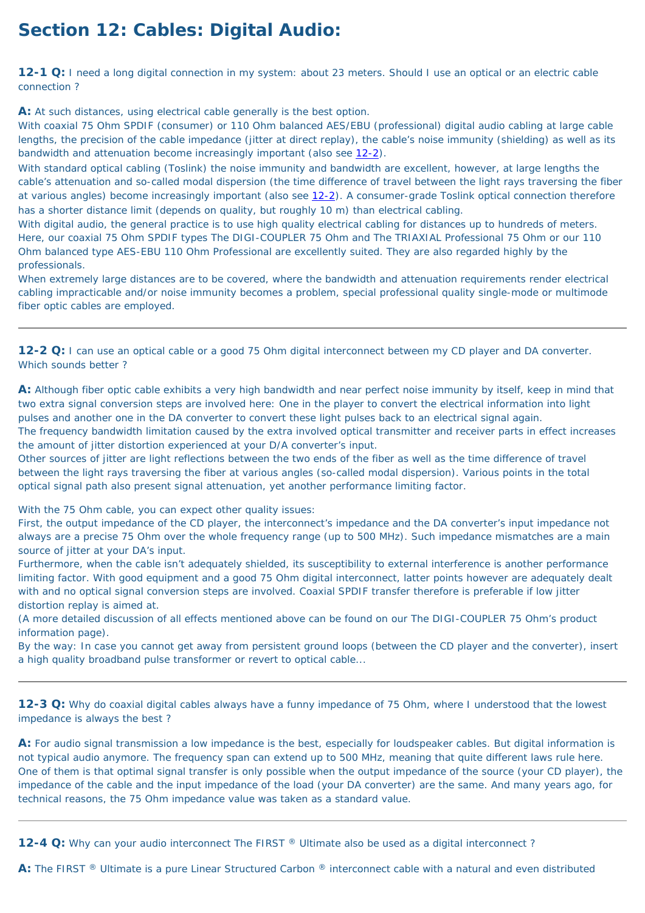# **Section 12: Cables: Digital Audio:**

**12-1 Q:** I need a long digital connection in my system: about 23 meters. Should I use an optical or an electric cable connection ?

**A:** At such distances, using electrical cable generally is the best option.

With coaxial 75 Ohm SPDIF (consumer) or 110 Ohm balanced AES/EBU (professional) digital audio cabling at large cable lengths, the precision of the cable impedance (jitter at direct replay), the cable's noise immunity (shielding) as well as its bandwidth and attenuation become increasingly important (also see [12-2\)](#page-59-1).

With standard optical cabling (Toslink) the noise immunity and bandwidth are excellent, however, at large lengths the cable's attenuation and so-called modal dispersion (the time difference of travel between the light rays traversing the fiber at various angles) become increasingly important (also see [12-2\)](#page-59-1). A consumer-grade Toslink optical connection therefore has a shorter distance limit (depends on quality, but roughly 10 m) than electrical cabling.

With digital audio, the general practice is to use high quality electrical cabling for distances up to hundreds of meters. Here, our coaxial 75 Ohm SPDIF types The DIGI-COUPLER 75 Ohm and The TRIAXIAL Professional 75 Ohm or our 110 Ohm balanced type AES-EBU 110 Ohm Professional are excellently suited. They are also regarded highly by the professionals.

When extremely large distances are to be covered, where the bandwidth and attenuation requirements render electrical cabling impracticable and/or noise immunity becomes a problem, special professional quality single-mode or multimode fiber optic cables are employed.

<span id="page-59-1"></span>**12-2 Q:** I can use an optical cable or a good 75 Ohm digital interconnect between my CD player and DA converter. Which sounds better ?

**A:** Although fiber optic cable exhibits a very high bandwidth and near perfect noise immunity by itself, keep in mind that two extra signal conversion steps are involved here: One in the player to convert the electrical information into light pulses and another one in the DA converter to convert these light pulses back to an electrical signal again. The frequency bandwidth limitation caused by the extra involved optical transmitter and receiver parts in effect increases the amount of jitter distortion experienced at your D/A converter's input.

A: For audio signal transmission a low impedance is the best, especially for loudspeaker cables. But digital information is not typical audio anymore. The frequency span can extend up to 500 MHz, meaning that quite different laws rule here. One of them is that optimal signal transfer is only possible when the output impedance of the source (your CD player), the impedance of the cable and the input impedance of the load (your DA converter) are the same. And many years ago, for technical reasons, the 75 Ohm impedance value was taken as a standard value.

<span id="page-59-0"></span>**12-4 Q:** Why can your audio interconnect The FIRST ® Ultimate also be used as a digital interconnect?

Other sources of jitter are light reflections between the two ends of the fiber as well as the time difference of travel between the light rays traversing the fiber at various angles (so-called modal dispersion). Various points in the total optical signal path also present signal attenuation, yet another performance limiting factor.

With the 75 Ohm cable, you can expect other quality issues:

First, the output impedance of the CD player, the interconnect's impedance and the DA converter's input impedance not always are a precise 75 Ohm over the whole frequency range (up to 500 MHz). Such impedance mismatches are a main source of jitter at your DA's input.

Furthermore, when the cable isn't adequately shielded, its susceptibility to external interference is another performance limiting factor. With good equipment and a good 75 Ohm digital interconnect, latter points however are adequately dealt with and no optical signal conversion steps are involved. Coaxial SPDIF transfer therefore is preferable if low jitter distortion replay is aimed at.

(A more detailed discussion of all effects mentioned above can be found on our The DIGI-COUPLER 75 Ohm's product information page).

By the way: In case you cannot get away from persistent ground loops (between the CD player and the converter), insert a high quality broadband pulse transformer or revert to optical cable...

**12-3 Q:** Why do coaxial digital cables always have a funny impedance of 75 Ohm, where I understood that the lowest impedance is always the best ?

**A:** The FIRST ® Ultimate is a pure Linear Structured Carbon ® interconnect cable with a natural and even distributed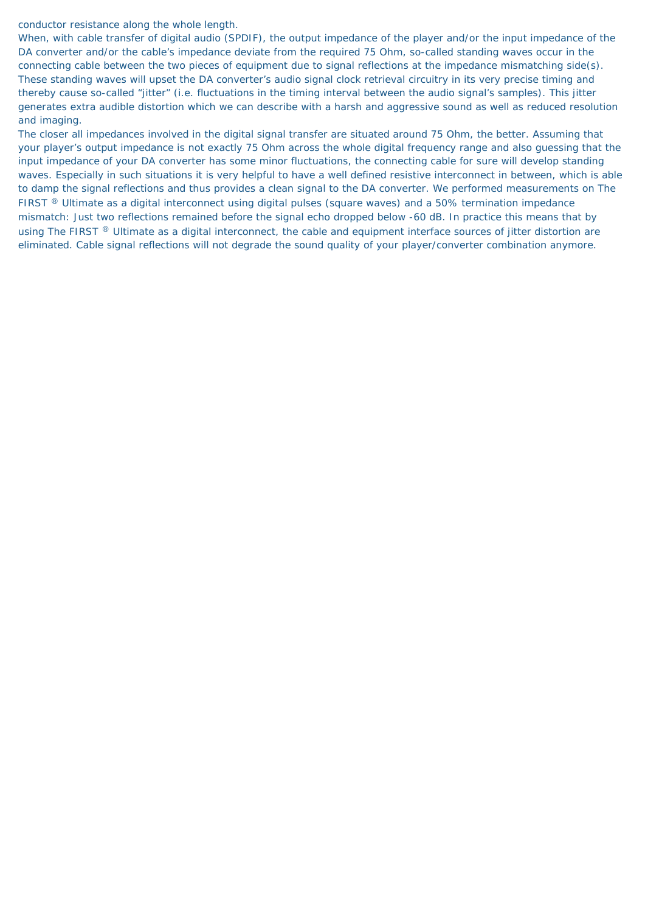conductor resistance along the whole length.

When, with cable transfer of digital audio (SPDIF), the output impedance of the player and/or the input impedance of the DA converter and/or the cable's impedance deviate from the required 75 Ohm, so-called standing waves occur in the connecting cable between the two pieces of equipment due to signal reflections at the impedance mismatching side(s). These standing waves will upset the DA converter's audio signal clock retrieval circuitry in its very precise timing and thereby cause so-called "jitter" (i.e. fluctuations in the timing interval between the audio signal's samples). This jitter generates extra audible distortion which we can describe with a harsh and aggressive sound as well as reduced resolution and imaging.

The closer all impedances involved in the digital signal transfer are situated around 75 Ohm, the better. Assuming that your player's output impedance is not exactly 75 Ohm across the whole digital frequency range and also guessing that the input impedance of your DA converter has some minor fluctuations, the connecting cable for sure will develop standing waves. Especially in such situations it is very helpful to have a well defined resistive interconnect in between, which is able to damp the signal reflections and thus provides a clean signal to the DA converter. We performed measurements on The FIRST ® Ultimate as a digital interconnect using digital pulses (square waves) and a 50% termination impedance mismatch: Just two reflections remained before the signal echo dropped below -60 dB. In practice this means that by using The FIRST ® Ultimate as a digital interconnect, the cable and equipment interface sources of jitter distortion are eliminated. Cable signal reflections will not degrade the sound quality of your player/converter combination anymore.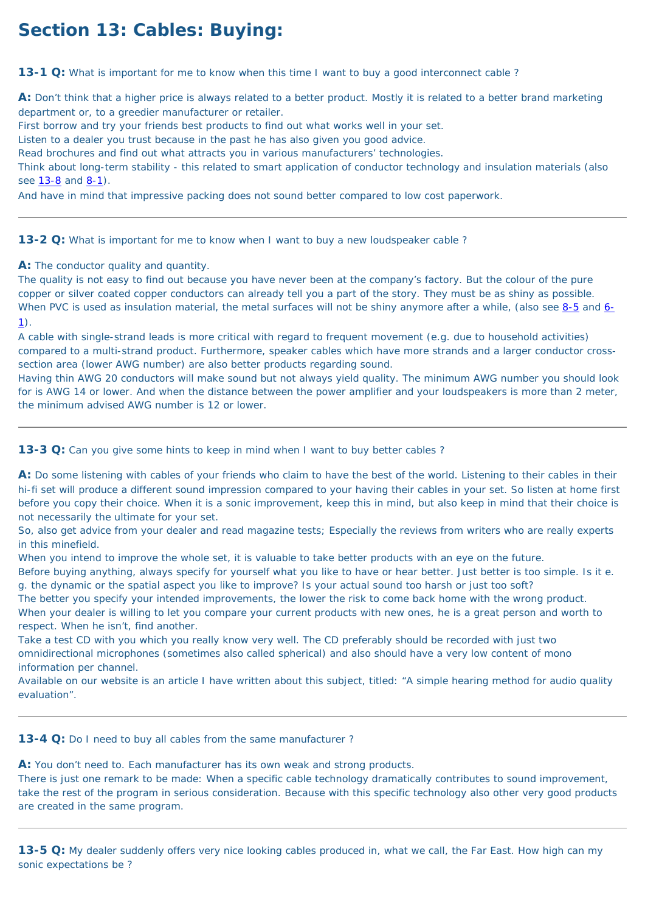# **Section 13: Cables: Buying:**

**13-1 Q:** What is important for me to know when this time I want to buy a good interconnect cable?

A: Don't think that a higher price is always related to a better product. Mostly it is related to a better brand marketing department or, to a greedier manufacturer or retailer.

Think about long-term stability - this related to smart application of conductor technology and insulation materials (also see [13-8](#page-62-0) and [8-1\)](#page-49-0).

First borrow and try your friends best products to find out what works well in your set.

Listen to a dealer you trust because in the past he has also given you good advice.

The quality is not easy to find out because you have never been at the company's factory. But the colour of the pure copper or silver coated copper conductors can already tell you a part of the story. They must be as shiny as possible. When PVC is used as insulation material, the metal surfaces will not be shiny anymore after a while, (also see [8-5](#page-49-1) and [6-](#page-40-1)  $1$ ).

Read brochures and find out what attracts you in various manufacturers' technologies.

And have in mind that impressive packing does not sound better compared to low cost paperwork.

**13-2 Q:** What is important for me to know when I want to buy a new loudspeaker cable?

**A:** The conductor quality and quantity.

A cable with single-strand leads is more critical with regard to frequent movement (e.g. due to household activities) compared to a multi-strand product. Furthermore, speaker cables which have more strands and a larger conductor crosssection area (lower AWG number) are also better products regarding sound.

Having thin AWG 20 conductors will make sound but not always yield quality. The minimum AWG number you should look for is AWG 14 or lower. And when the distance between the power amplifier and your loudspeakers is more than 2 meter, the minimum advised AWG number is 12 or lower.

**13-3 Q:** Can you give some hints to keep in mind when I want to buy better cables?

**A:** Do some listening with cables of your friends who claim to have the best of the world. Listening to their cables in their hi-fi set will produce a different sound impression compared to your having their cables in your set. So listen at home first before you copy their choice. When it is a sonic improvement, keep this in mind, but also keep in mind that their choice is not necessarily the ultimate for your set.

So, also get advice from your dealer and read magazine tests; Especially the reviews from writers who are really experts in this minefield.

When you intend to improve the whole set, it is valuable to take better products with an eye on the future.

Before buying anything, always specify for yourself what you like to have or hear better. Just better is too simple. Is it e. g. the dynamic or the spatial aspect you like to improve? Is your actual sound too harsh or just too soft? The better you specify your intended improvements, the lower the risk to come back home with the wrong product. When your dealer is willing to let you compare your current products with new ones, he is a great person and worth to respect. When he isn't, find another.

Take a test CD with you which you really know very well. The CD preferably should be recorded with just two omnidirectional microphones (sometimes also called spherical) and also should have a very low content of mono information per channel.

Available on our website is an article I have written about this subject, titled: "A simple hearing method for audio quality evaluation".

**13-4 Q:** Do I need to buy all cables from the same manufacturer ?

A: You don't need to. Each manufacturer has its own weak and strong products.

There is just one remark to be made: When a specific cable technology dramatically contributes to sound improvement, take the rest of the program in serious consideration. Because with this specific technology also other very good products are created in the same program.

**13-5 Q:** My dealer suddenly offers very nice looking cables produced in, what we call, the Far East. How high can my sonic expectations be ?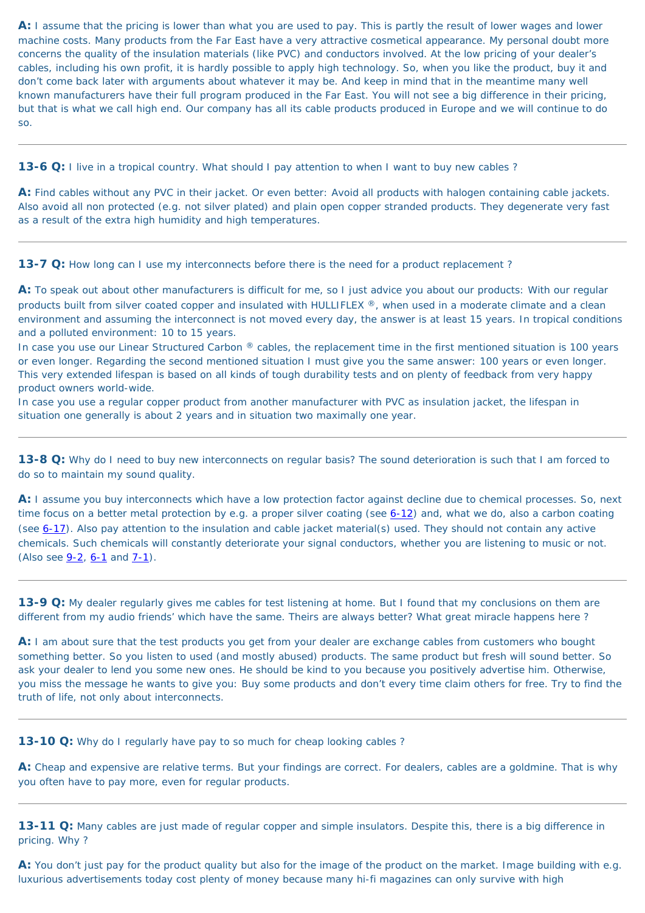**A:** I assume that the pricing is lower than what you are used to pay. This is partly the result of lower wages and lower machine costs. Many products from the Far East have a very attractive cosmetical appearance. My personal doubt more concerns the quality of the insulation materials (like PVC) and conductors involved. At the low pricing of your dealer's cables, including his own profit, it is hardly possible to apply high technology. So, when you like the product, buy it and don't come back later with arguments about whatever it may be. And keep in mind that in the meantime many well known manufacturers have their full program produced in the Far East. You will not see a big difference in their pricing, but that is what we call high end. Our company has all its cable products produced in Europe and we will continue to do so.

**13-6 Q:** I live in a tropical country. What should I pay attention to when I want to buy new cables?

In case you use our Linear Structured Carbon ® cables, the replacement time in the first mentioned situation is 100 years or even longer. Regarding the second mentioned situation I must give you the same answer: 100 years or even longer. This very extended lifespan is based on all kinds of tough durability tests and on plenty of feedback from very happy product owners world-wide.

**A:** Find cables without any PVC in their jacket. Or even better: Avoid all products with halogen containing cable jackets. Also avoid all non protected (e.g. not silver plated) and plain open copper stranded products. They degenerate very fast as a result of the extra high humidity and high temperatures.

**13-7 Q:** How long can I use my interconnects before there is the need for a product replacement?

**A:** I assume you buy interconnects which have a low protection factor against decline due to chemical processes. So, next time focus on a better metal protection by e.g. a proper silver coating (see [6-12\)](#page-43-0) and, what we do, also a carbon coating (see [6-17](#page-44-1)). Also pay attention to the insulation and cable jacket material(s) used. They should not contain any active chemicals. Such chemicals will constantly deteriorate your signal conductors, whether you are listening to music or not. (Also see  $9-2$ ,  $6-1$  and  $7-1$ ).

**A:** To speak out about other manufacturers is difficult for me, so I just advice you about our products: With our regular products built from silver coated copper and insulated with HULLIFLEX ®, when used in a moderate climate and a clean environment and assuming the interconnect is not moved every day, the answer is at least 15 years. In tropical conditions and a polluted environment: 10 to 15 years.

In case you use a regular copper product from another manufacturer with PVC as insulation jacket, the lifespan in situation one generally is about 2 years and in situation two maximally one year.

<span id="page-62-0"></span>**13-8 Q:** Why do I need to buy new interconnects on regular basis? The sound deterioration is such that I am forced to do so to maintain my sound quality.

**13-9 Q:** My dealer regularly gives me cables for test listening at home. But I found that my conclusions on them are different from my audio friends' which have the same. Theirs are always better? What great miracle happens here ?

**A:** I am about sure that the test products you get from your dealer are exchange cables from customers who bought something better. So you listen to used (and mostly abused) products. The same product but fresh will sound better. So ask your dealer to lend you some new ones. He should be kind to you because you positively advertise him. Otherwise, you miss the message he wants to give you: Buy some products and don't every time claim others for free. Try to find the truth of life, not only about interconnects.

**13-10 Q:** Why do I regularly have pay to so much for cheap looking cables?

**A:** Cheap and expensive are relative terms. But your findings are correct. For dealers, cables are a goldmine. That is why you often have to pay more, even for regular products.

**13-11 Q:** Many cables are just made of regular copper and simple insulators. Despite this, there is a big difference in pricing. Why ?

**A:** You don't just pay for the product quality but also for the image of the product on the market. Image building with e.g. luxurious advertisements today cost plenty of money because many hi-fi magazines can only survive with high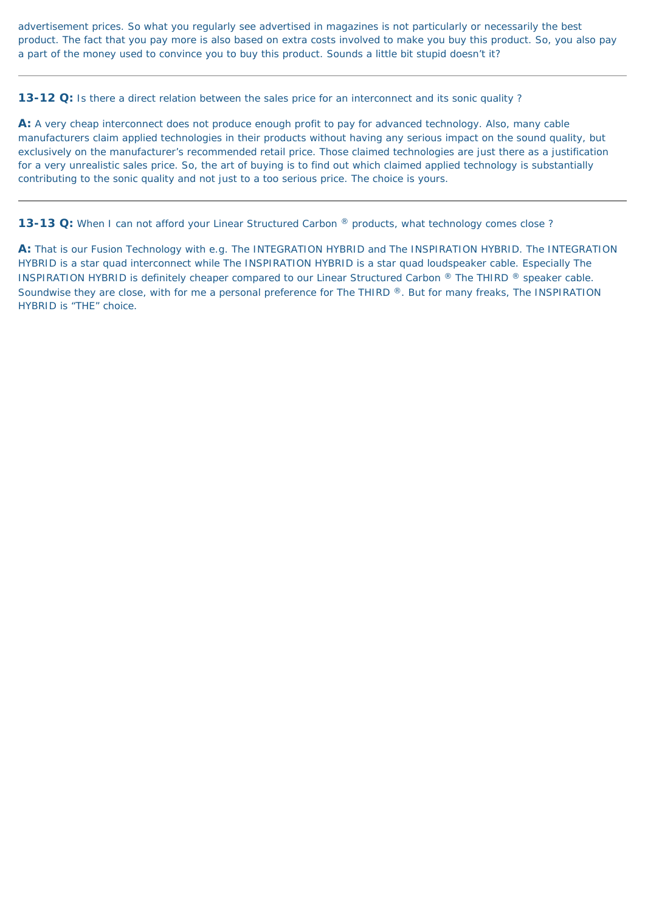advertisement prices. So what you regularly see advertised in magazines is not particularly or necessarily the best product. The fact that you pay more is also based on extra costs involved to make you buy this product. So, you also pay a part of the money used to convince you to buy this product. Sounds a little bit stupid doesn't it?

**13-12 Q:** Is there a direct relation between the sales price for an interconnect and its sonic quality?

**A:** A very cheap interconnect does not produce enough profit to pay for advanced technology. Also, many cable manufacturers claim applied technologies in their products without having any serious impact on the sound quality, but exclusively on the manufacturer's recommended retail price. Those claimed technologies are just there as a justification for a very unrealistic sales price. So, the art of buying is to find out which claimed applied technology is substantially contributing to the sonic quality and not just to a too serious price. The choice is yours.

13-13 Q: When I can not afford your Linear Structured Carbon ® products, what technology comes close?

**A:** That is our Fusion Technology with e.g. The INTEGRATION HYBRID and The INSPIRATION HYBRID. The INTEGRATION HYBRID is a star quad interconnect while The INSPIRATION HYBRID is a star quad loudspeaker cable. Especially The INSPIRATION HYBRID is definitely cheaper compared to our Linear Structured Carbon ® The THIRD ® speaker cable. Soundwise they are close, with for me a personal preference for The THIRD ®. But for many freaks, The INSPIRATION HYBRID is "THE" choice.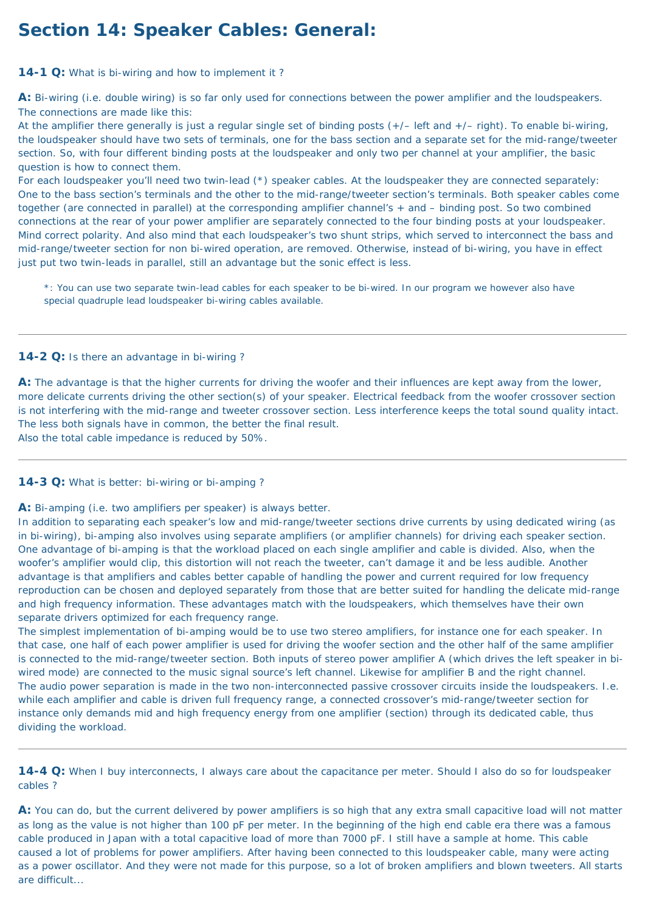# **Section 14: Speaker Cables: General:**

<span id="page-64-0"></span>**14-1 Q:** What is bi-wiring and how to implement it ?

**A:** Bi-wiring (i.e. double wiring) is so far only used for connections between the power amplifier and the loudspeakers. The connections are made like this:

For each loudspeaker you'll need two twin-lead (\*) speaker cables. At the loudspeaker they are connected separately: One to the bass section's terminals and the other to the mid-range/tweeter section's terminals. Both speaker cables come together (are connected in parallel) at the corresponding amplifier channel's + and – binding post. So two combined connections at the rear of your power amplifier are separately connected to the four binding posts at your loudspeaker. Mind correct polarity. And also mind that each loudspeaker's two shunt strips, which served to interconnect the bass and mid-range/tweeter section for non bi-wired operation, are removed. Otherwise, instead of bi-wiring, you have in effect just put two twin-leads in parallel, still an advantage but the sonic effect is less.

At the amplifier there generally is just a regular single set of binding posts (+/– left and +/– right). To enable bi-wiring, the loudspeaker should have two sets of terminals, one for the bass section and a separate set for the mid-range/tweeter section. So, with four different binding posts at the loudspeaker and only two per channel at your amplifier, the basic question is how to connect them.

\*: You can use two separate twin-lead cables for each speaker to be bi-wired. In our program we however also have special quadruple lead loudspeaker bi-wiring cables available.

### <span id="page-64-1"></span>**14-2 Q:** Is there an advantage in bi-wiring ?

**A:** The advantage is that the higher currents for driving the woofer and their influences are kept away from the lower, more delicate currents driving the other section(s) of your speaker. Electrical feedback from the woofer crossover section is not interfering with the mid-range and tweeter crossover section. Less interference keeps the total sound quality intact. The less both signals have in common, the better the final result. Also the total cable impedance is reduced by 50%.

<span id="page-64-2"></span>**14-3 Q:** What is better: bi-wiring or bi-amping ?

**A:** Bi-amping (i.e. two amplifiers per speaker) is always better.

In addition to separating each speaker's low and mid-range/tweeter sections drive currents by using dedicated wiring (as in bi-wiring), bi-amping also involves using separate amplifiers (or amplifier channels) for driving each speaker section. One advantage of bi-amping is that the workload placed on each single amplifier and cable is divided. Also, when the woofer's amplifier would clip, this distortion will not reach the tweeter, can't damage it and be less audible. Another advantage is that amplifiers and cables better capable of handling the power and current required for low frequency

reproduction can be chosen and deployed separately from those that are better suited for handling the delicate mid-range and high frequency information. These advantages match with the loudspeakers, which themselves have their own separate drivers optimized for each frequency range.

The simplest implementation of bi-amping would be to use two stereo amplifiers, for instance one for each speaker. In that case, one half of each power amplifier is used for driving the woofer section and the other half of the same amplifier is connected to the mid-range/tweeter section. Both inputs of stereo power amplifier A (which drives the left speaker in biwired mode) are connected to the music signal source's left channel. Likewise for amplifier B and the right channel. The audio power separation is made in the two non-interconnected passive crossover circuits inside the loudspeakers. I.e. while each amplifier and cable is driven full frequency range, a connected crossover's mid-range/tweeter section for instance only demands mid and high frequency energy from one amplifier (section) through its dedicated cable, thus dividing the workload.

**14-4 Q:** When I buy interconnects, I always care about the capacitance per meter. Should I also do so for loudspeaker cables ?

**A:** You can do, but the current delivered by power amplifiers is so high that any extra small capacitive load will not matter as long as the value is not higher than 100 pF per meter. In the beginning of the high end cable era there was a famous cable produced in Japan with a total capacitive load of more than 7000 pF. I still have a sample at home. This cable caused a lot of problems for power amplifiers. After having been connected to this loudspeaker cable, many were acting as a power oscillator. And they were not made for this purpose, so a lot of broken amplifiers and blown tweeters. All starts are difficult...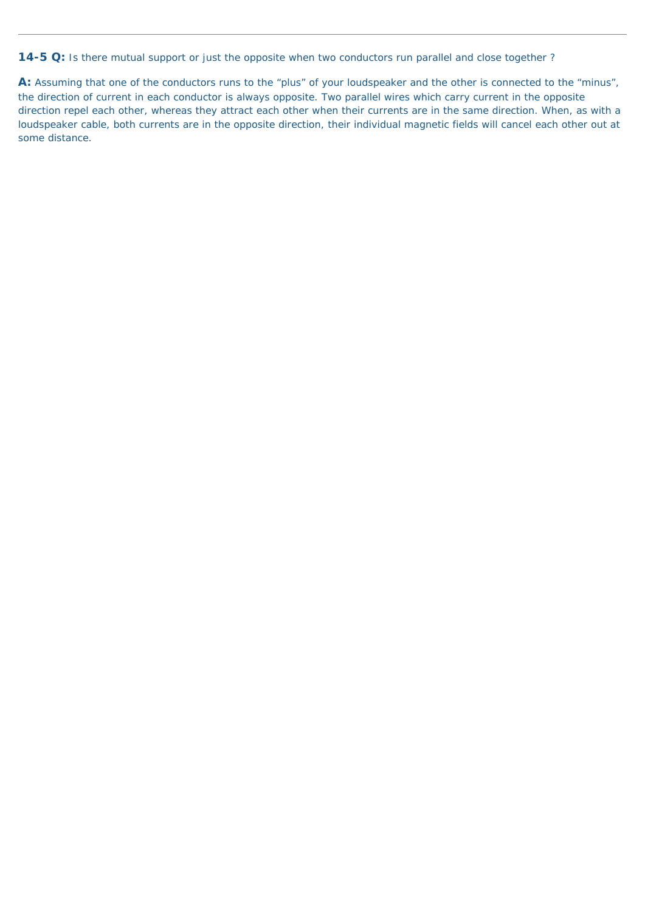**14-5 Q:** Is there mutual support or just the opposite when two conductors run parallel and close together ?

**A:** Assuming that one of the conductors runs to the "plus" of your loudspeaker and the other is connected to the "minus", the direction of current in each conductor is always opposite. Two parallel wires which carry current in the opposite direction repel each other, whereas they attract each other when their currents are in the same direction. When, as with a loudspeaker cable, both currents are in the opposite direction, their individual magnetic fields will cancel each other out at some distance.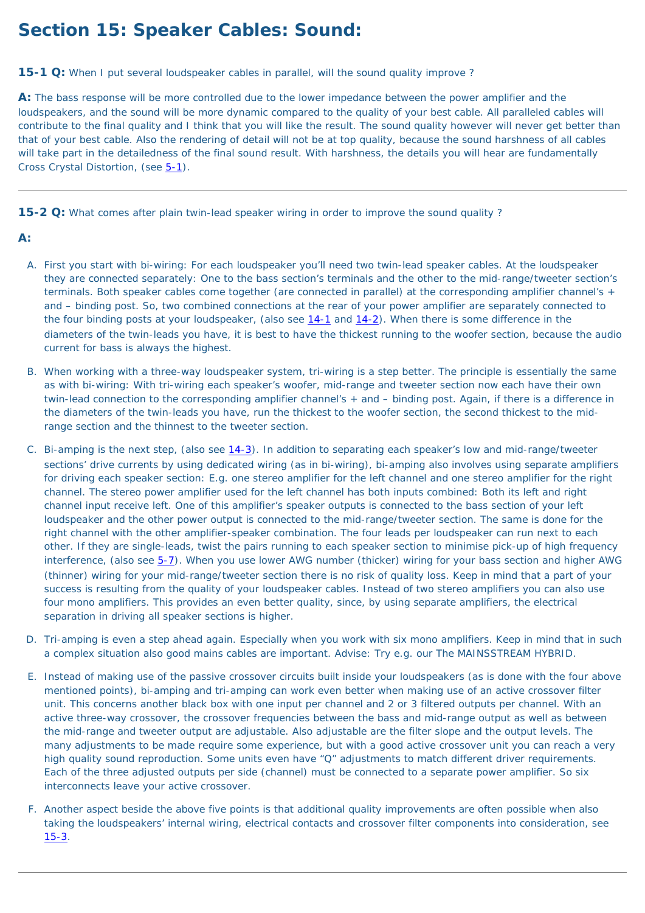# **Section 15: Speaker Cables: Sound:**

**15-1 Q:** When I put several loudspeaker cables in parallel, will the sound quality improve?

**A:** The bass response will be more controlled due to the lower impedance between the power amplifier and the loudspeakers, and the sound will be more dynamic compared to the quality of your best cable. All paralleled cables will contribute to the final quality and I think that you will like the result. The sound quality however will never get better than that of your best cable. Also the rendering of detail will not be at top quality, because the sound harshness of all cables will take part in the detailedness of the final sound result. With harshness, the details you will hear are fundamentally Cross Crystal Distortion, (see [5-1\)](#page-35-0).

<span id="page-66-0"></span>**15-2 Q:** What comes after plain twin-lead speaker wiring in order to improve the sound quality ?

### **A:**

- A. First you start with bi-wiring: For each loudspeaker you'll need two twin-lead speaker cables. At the loudspeaker they are connected separately: One to the bass section's terminals and the other to the mid-range/tweeter section's terminals. Both speaker cables come together (are connected in parallel) at the corresponding amplifier channel's + and – binding post. So, two combined connections at the rear of your power amplifier are separately connected to the four binding posts at your loudspeaker, (also see [14-1](#page-64-0) and [14-2\)](#page-64-1). When there is some difference in the diameters of the twin-leads you have, it is best to have the thickest running to the woofer section, because the audio current for bass is always the highest.
- B. When working with a three-way loudspeaker system, tri-wiring is a step better. The principle is essentially the same as with bi-wiring: With tri-wiring each speaker's woofer, mid-range and tweeter section now each have their own twin-lead connection to the corresponding amplifier channel's + and – binding post. Again, if there is a difference in the diameters of the twin-leads you have, run the thickest to the woofer section, the second thickest to the midrange section and the thinnest to the tweeter section.
- C. Bi-amping is the next step, (also see [14-3](#page-64-2)). In addition to separating each speaker's low and mid-range/tweeter sections' drive currents by using dedicated wiring (as in bi-wiring), bi-amping also involves using separate amplifiers for driving each speaker section: E.g. one stereo amplifier for the left channel and one stereo amplifier for the right channel. The stereo power amplifier used for the left channel has both inputs combined: Both its left and right channel input receive left. One of this amplifier's speaker outputs is connected to the bass section of your left loudspeaker and the other power output is connected to the mid-range/tweeter section. The same is done for the right channel with the other amplifier-speaker combination. The four leads per loudspeaker can run next to each other. If they are single-leads, twist the pairs running to each speaker section to minimise pick-up of high frequency interference, (also see [5-7](#page-36-0)). When you use lower AWG number (thicker) wiring for your bass section and higher AWG (thinner) wiring for your mid-range/tweeter section there is no risk of quality loss. Keep in mind that a part of your success is resulting from the quality of your loudspeaker cables. Instead of two stereo amplifiers you can also use four mono amplifiers. This provides an even better quality, since, by using separate amplifiers, the electrical separation in driving all speaker sections is higher.
- D. Tri-amping is even a step ahead again. Especially when you work with six mono amplifiers. Keep in mind that in such a complex situation also good mains cables are important. Advise: Try e.g. our The MAINSSTREAM HYBRID.
- E. Instead of making use of the passive crossover circuits built inside your loudspeakers (as is done with the four above mentioned points), bi-amping and tri-amping can work even better when making use of an active crossover filter unit. This concerns another black box with one input per channel and 2 or 3 filtered outputs per channel. With an active three-way crossover, the crossover frequencies between the bass and mid-range output as well as between the mid-range and tweeter output are adjustable. Also adjustable are the filter slope and the output levels. The many adjustments to be made require some experience, but with a good active crossover unit you can reach a very high quality sound reproduction. Some units even have "Q" adjustments to match different driver requirements. Each of the three adjusted outputs per side (channel) must be connected to a separate power amplifier. So six interconnects leave your active crossover.
- F. Another aspect beside the above five points is that additional quality improvements are often possible when also taking the loudspeakers' internal wiring, electrical contacts and crossover filter components into consideration, see [15-3](#page-67-0).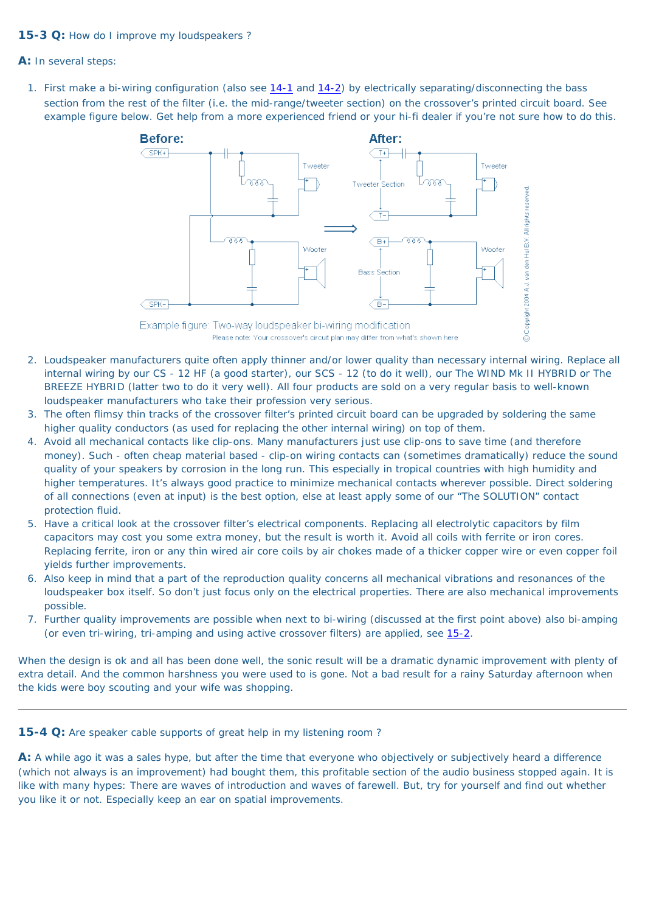### <span id="page-67-0"></span>**15-3 Q:** How do I improve my loudspeakers ?

**A:** In several steps:

1. First make a bi-wiring configuration (also see [14-1](#page-64-0) and [14-2\)](#page-64-1) by electrically separating/disconnecting the bass section from the rest of the filter (i.e. the mid-range/tweeter section) on the crossover's printed circuit board. See example figure below. Get help from a more experienced friend or your hi-fi dealer if you're not sure how to do this.

- 2. Loudspeaker manufacturers quite often apply thinner and/or lower quality than necessary internal wiring. Replace all internal wiring by our CS - 12 HF (a good starter), our SCS - 12 (to do it well), our The WIND Mk II HYBRID or The BREEZE HYBRID (latter two to do it very well). All four products are sold on a very regular basis to well-known loudspeaker manufacturers who take their profession very serious.
- 3. The often flimsy thin tracks of the crossover filter's printed circuit board can be upgraded by soldering the same higher quality conductors (as used for replacing the other internal wiring) on top of them.
- 4. Avoid all mechanical contacts like clip-ons. Many manufacturers just use clip-ons to save time (and therefore money). Such - often cheap material based - clip-on wiring contacts can (sometimes dramatically) reduce the sound quality of your speakers by corrosion in the long run. This especially in tropical countries with high humidity and higher temperatures. It's always good practice to minimize mechanical contacts wherever possible. Direct soldering of all connections (even at input) is the best option, else at least apply some of our "The SOLUTION" contact protection fluid.
- 5. Have a critical look at the crossover filter's electrical components. Replacing all electrolytic capacitors by film capacitors may cost you some extra money, but the result is worth it. Avoid all coils with ferrite or iron cores. Replacing ferrite, iron or any thin wired air core coils by air chokes made of a thicker copper wire or even copper foil yields further improvements.
- 6. Also keep in mind that a part of the reproduction quality concerns all mechanical vibrations and resonances of the
	- loudspeaker box itself. So don't just focus only on the electrical properties. There are also mechanical improvements possible.
- 7. Further quality improvements are possible when next to bi-wiring (discussed at the first point above) also bi-amping (or even tri-wiring, tri-amping and using active crossover filters) are applied, see [15-2](#page-66-0).



A: A while ago it was a sales hype, but after the time that everyone who objectively or subjectively heard a difference (which not always is an improvement) had bought them, this profitable section of the audio business stopped again. It is like with many hypes: There are waves of introduction and waves of farewell. But, try for yourself and find out whether you like it or not. Especially keep an ear on spatial improvements.

When the design is ok and all has been done well, the sonic result will be a dramatic dynamic improvement with plenty of extra detail. And the common harshness you were used to is gone. Not a bad result for a rainy Saturday afternoon when the kids were boy scouting and your wife was shopping.

**15-4 Q:** Are speaker cable supports of great help in my listening room ?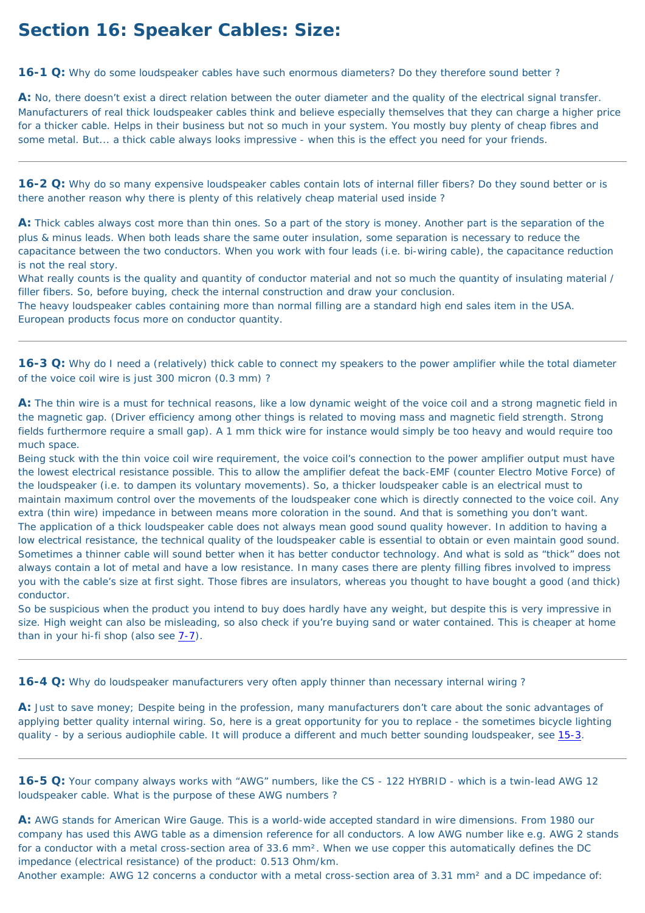# **Section 16: Speaker Cables: Size:**

<span id="page-68-1"></span>**16-1 Q:** Why do some loudspeaker cables have such enormous diameters? Do they therefore sound better ?

**A:** No, there doesn't exist a direct relation between the outer diameter and the quality of the electrical signal transfer. Manufacturers of real thick loudspeaker cables think and believe especially themselves that they can charge a higher price for a thicker cable. Helps in their business but not so much in your system. You mostly buy plenty of cheap fibres and some metal. But... a thick cable always looks impressive - when this is the effect you need for your friends.

**16-2 Q:** Why do so many expensive loudspeaker cables contain lots of internal filler fibers? Do they sound better or is there another reason why there is plenty of this relatively cheap material used inside ?

**A:** Thick cables always cost more than thin ones. So a part of the story is money. Another part is the separation of the plus & minus leads. When both leads share the same outer insulation, some separation is necessary to reduce the capacitance between the two conductors. When you work with four leads (i.e. bi-wiring cable), the capacitance reduction is not the real story.

What really counts is the quality and quantity of conductor material and not so much the quantity of insulating material / filler fibers. So, before buying, check the internal construction and draw your conclusion.

The heavy loudspeaker cables containing more than normal filling are a standard high end sales item in the USA. European products focus more on conductor quantity.

<span id="page-68-0"></span>**16-3 Q:** Why do I need a (relatively) thick cable to connect my speakers to the power amplifier while the total diameter of the voice coil wire is just 300 micron (0.3 mm) ?

**A:** Just to save money; Despite being in the profession, many manufacturers don't care about the sonic advantages of applying better quality internal wiring. So, here is a great opportunity for you to replace - the sometimes bicycle lighting quality - by a serious audiophile cable. It will produce a different and much better sounding loudspeaker, see [15-3](#page-67-0).

**A:** The thin wire is a must for technical reasons, like a low dynamic weight of the voice coil and a strong magnetic field in the magnetic gap. (Driver efficiency among other things is related to moving mass and magnetic field strength. Strong fields furthermore require a small gap). A 1 mm thick wire for instance would simply be too heavy and would require too much space.

**16-5 Q:** Your company always works with "AWG" numbers, like the CS - 122 HYBRID - which is a twin-lead AWG 12 loudspeaker cable. What is the purpose of these AWG numbers ?

Being stuck with the thin voice coil wire requirement, the voice coil's connection to the power amplifier output must have the lowest electrical resistance possible. This to allow the amplifier defeat the back-EMF (counter Electro Motive Force) of the loudspeaker (i.e. to dampen its voluntary movements). So, a thicker loudspeaker cable is an electrical must to maintain maximum control over the movements of the loudspeaker cone which is directly connected to the voice coil. Any extra (thin wire) impedance in between means more coloration in the sound. And that is something you don't want. The application of a thick loudspeaker cable does not always mean good sound quality however. In addition to having a low electrical resistance, the technical quality of the loudspeaker cable is essential to obtain or even maintain good sound. Sometimes a thinner cable will sound better when it has better conductor technology. And what is sold as "thick" does not always contain a lot of metal and have a low resistance. In many cases there are plenty filling fibres involved to impress you with the cable's size at first sight. Those fibres are insulators, whereas you thought to have bought a good (and thick) conductor.

So be suspicious when the product you intend to buy does hardly have any weight, but despite this is very impressive in size. High weight can also be misleading, so also check if you're buying sand or water contained. This is cheaper at home than in your hi-fi shop (also see [7-7](#page-48-1)).

**16-4 Q:** Why do loudspeaker manufacturers very often apply thinner than necessary internal wiring ?

**A:** AWG stands for American Wire Gauge. This is a world-wide accepted standard in wire dimensions. From 1980 our company has used this AWG table as a dimension reference for all conductors. A low AWG number like e.g. AWG 2 stands for a conductor with a metal cross-section area of 33.6 mm<sup>2</sup>. When we use copper this automatically defines the DC impedance (electrical resistance) of the product: 0.513 Ohm/km.

Another example: AWG 12 concerns a conductor with a metal cross-section area of 3.31 mm<sup>2</sup> and a DC impedance of: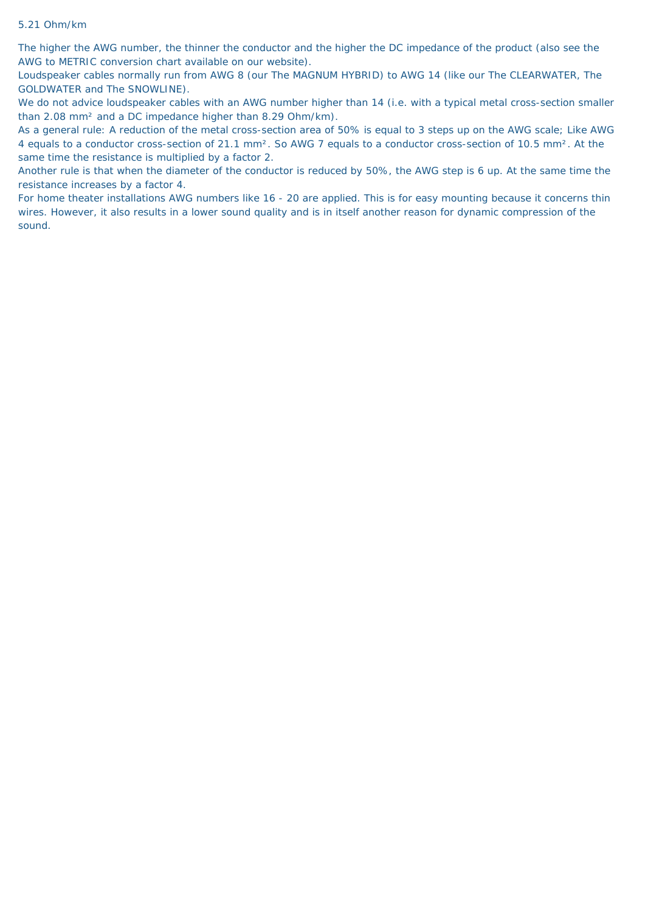#### 5.21 Ohm/km

The higher the AWG number, the thinner the conductor and the higher the DC impedance of the product (also see the AWG to METRIC conversion chart available on our website).

We do not advice loudspeaker cables with an AWG number higher than 14 (i.e. with a typical metal cross-section smaller than 2.08 mm² and a DC impedance higher than 8.29 Ohm/km).

Loudspeaker cables normally run from AWG 8 (our The MAGNUM HYBRID) to AWG 14 (like our The CLEARWATER, The GOLDWATER and The SNOWLINE).

As a general rule: A reduction of the metal cross-section area of 50% is equal to 3 steps up on the AWG scale; Like AWG 4 equals to a conductor cross-section of 21.1 mm². So AWG 7 equals to a conductor cross-section of 10.5 mm². At the same time the resistance is multiplied by a factor 2.

Another rule is that when the diameter of the conductor is reduced by 50%, the AWG step is 6 up. At the same time the resistance increases by a factor 4.

For home theater installations AWG numbers like 16 - 20 are applied. This is for easy mounting because it concerns thin wires. However, it also results in a lower sound quality and is in itself another reason for dynamic compression of the sound.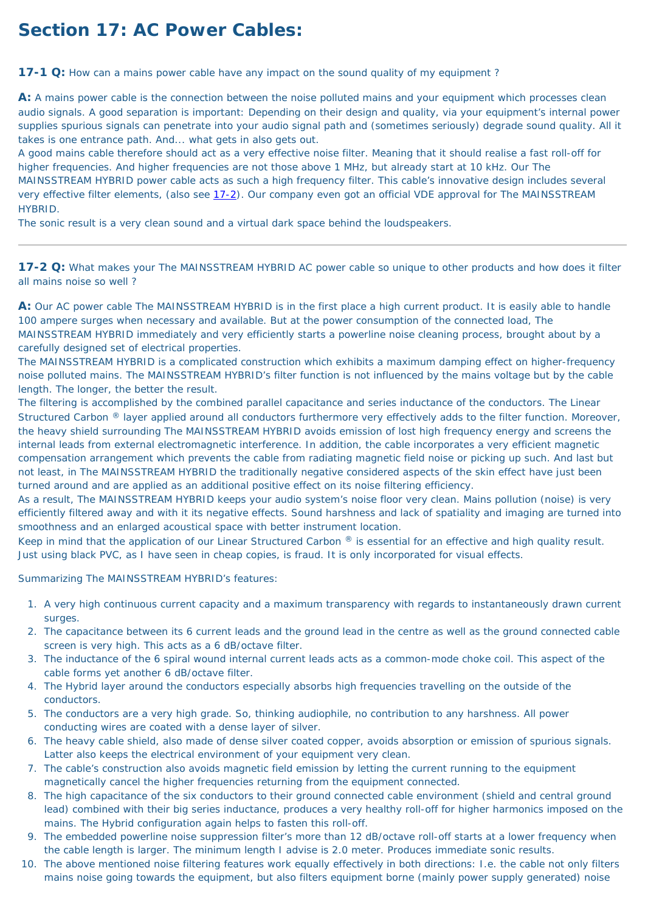# **Section 17: AC Power Cables:**

<span id="page-70-1"></span>**17-1 Q:** How can a mains power cable have any impact on the sound quality of my equipment?

**A:** A mains power cable is the connection between the noise polluted mains and your equipment which processes clean audio signals. A good separation is important: Depending on their design and quality, via your equipment's internal power supplies spurious signals can penetrate into your audio signal path and (sometimes seriously) degrade sound quality. All it takes is one entrance path. And... what gets in also gets out.

A good mains cable therefore should act as a very effective noise filter. Meaning that it should realise a fast roll-off for higher frequencies. And higher frequencies are not those above 1 MHz, but already start at 10 kHz. Our The MAINSSTREAM HYBRID power cable acts as such a high frequency filter. This cable's innovative design includes several very effective filter elements, (also see [17-2\)](#page-70-0). Our company even got an official VDE approval for The MAINSSTREAM HYBRID.

The sonic result is a very clean sound and a virtual dark space behind the loudspeakers.

<span id="page-70-0"></span>**17-2 Q:** What makes your The MAINSSTREAM HYBRID AC power cable so unique to other products and how does it filter all mains noise so well ?

**A:** Our AC power cable The MAINSSTREAM HYBRID is in the first place a high current product. It is easily able to handle 100 ampere surges when necessary and available. But at the power consumption of the connected load, The MAINSSTREAM HYBRID immediately and very efficiently starts a powerline noise cleaning process, brought about by a carefully designed set of electrical properties.

The MAINSSTREAM HYBRID is a complicated construction which exhibits a maximum damping effect on higher-frequency noise polluted mains. The MAINSSTREAM HYBRID's filter function is not influenced by the mains voltage but by the cable length. The longer, the better the result.

The filtering is accomplished by the combined parallel capacitance and series inductance of the conductors. The Linear Structured Carbon ® layer applied around all conductors furthermore very effectively adds to the filter function. Moreover, the heavy shield surrounding The MAINSSTREAM HYBRID avoids emission of lost high frequency energy and screens the internal leads from external electromagnetic interference. In addition, the cable incorporates a very efficient magnetic compensation arrangement which prevents the cable from radiating magnetic field noise or picking up such. And last but not least, in The MAINSSTREAM HYBRID the traditionally negative considered aspects of the skin effect have just been turned around and are applied as an additional positive effect on its noise filtering efficiency.

As a result, The MAINSSTREAM HYBRID keeps your audio system's noise floor very clean. Mains pollution (noise) is very efficiently filtered away and with it its negative effects. Sound harshness and lack of spatiality and imaging are turned into smoothness and an enlarged acoustical space with better instrument location.

Keep in mind that the application of our Linear Structured Carbon ® is essential for an effective and high quality result. Just using black PVC, as I have seen in cheap copies, is fraud. It is only incorporated for visual effects.

Summarizing The MAINSSTREAM HYBRID's features:

- 1. A very high continuous current capacity and a maximum transparency with regards to instantaneously drawn current surges.
- 2. The capacitance between its 6 current leads and the ground lead in the centre as well as the ground connected cable screen is very high. This acts as a 6 dB/octave filter.
- 3. The inductance of the 6 spiral wound internal current leads acts as a common-mode choke coil. This aspect of the cable forms yet another 6 dB/octave filter.
- 4. The Hybrid layer around the conductors especially absorbs high frequencies travelling on the outside of the conductors.
- 5. The conductors are a very high grade. So, thinking audiophile, no contribution to any harshness. All power conducting wires are coated with a dense layer of silver.
- 6. The heavy cable shield, also made of dense silver coated copper, avoids absorption or emission of spurious signals. Latter also keeps the electrical environment of your equipment very clean.
- 7. The cable's construction also avoids magnetic field emission by letting the current running to the equipment magnetically cancel the higher frequencies returning from the equipment connected.
- 8. The high capacitance of the six conductors to their ground connected cable environment (shield and central ground lead) combined with their big series inductance, produces a very healthy roll-off for higher harmonics imposed on the mains. The Hybrid configuration again helps to fasten this roll-off.
- 9. The embedded powerline noise suppression filter's more than 12 dB/octave roll-off starts at a lower frequency when the cable length is larger. The minimum length I advise is 2.0 meter. Produces immediate sonic results.
- 10. The above mentioned noise filtering features work equally effectively in both directions: I.e. the cable not only filters mains noise going towards the equipment, but also filters equipment borne (mainly power supply generated) noise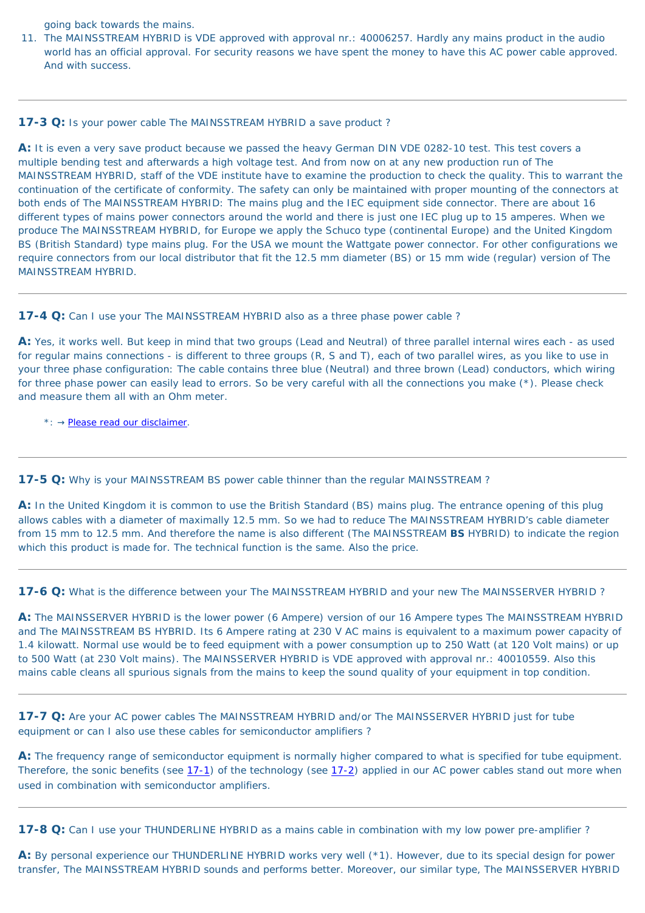going back towards the mains.

11. The MAINSSTREAM HYBRID is VDE approved with approval nr.: 40006257. Hardly any mains product in the audio world has an official approval. For security reasons we have spent the money to have this AC power cable approved. And with success.

### **17-3 Q:** Is your power cable The MAINSSTREAM HYBRID a save product?

**A:** It is even a very save product because we passed the heavy German DIN VDE 0282-10 test. This test covers a multiple bending test and afterwards a high voltage test. And from now on at any new production run of The MAINSSTREAM HYBRID, staff of the VDE institute have to examine the production to check the quality. This to warrant the continuation of the certificate of conformity. The safety can only be maintained with proper mounting of the connectors at both ends of The MAINSSTREAM HYBRID: The mains plug and the IEC equipment side connector. There are about 16 different types of mains power connectors around the world and there is just one IEC plug up to 15 amperes. When we produce The MAINSSTREAM HYBRID, for Europe we apply the Schuco type (continental Europe) and the United Kingdom BS (British Standard) type mains plug. For the USA we mount the Wattgate power connector. For other configurations we require connectors from our local distributor that fit the 12.5 mm diameter (BS) or 15 mm wide (regular) version of The MAINSSTREAM HYBRID.

### **17-4 Q:** Can I use your The MAINSSTREAM HYBRID also as a three phase power cable?

A: Yes, it works well. But keep in mind that two groups (Lead and Neutral) of three parallel internal wires each - as used for regular mains connections - is different to three groups (R, S and T), each of two parallel wires, as you like to use in your three phase configuration: The cable contains three blue (Neutral) and three brown (Lead) conductors, which wiring for three phase power can easily lead to errors. So be very careful with all the connections you make (\*). Please check and measure them all with an Ohm meter.

A: By personal experience our THUNDERLINE HYBRID works very well (\*1). However, due to its special design for power transfer, The MAINSSTREAM HYBRID sounds and performs better. Moreover, our similar type, The MAINSSERVER HYBRID

\*: → [Please read our disclaimer.](#page-72-0)

**17-5 Q:** Why is your MAINSSTREAM BS power cable thinner than the regular MAINSSTREAM?

**A:** In the United Kingdom it is common to use the British Standard (BS) mains plug. The entrance opening of this plug allows cables with a diameter of maximally 12.5 mm. So we had to reduce The MAINSSTREAM HYBRID's cable diameter from 15 mm to 12.5 mm. And therefore the name is also different (The MAINSSTREAM **BS** HYBRID) to indicate the region which this product is made for. The technical function is the same. Also the price.

**17-6 Q:** What is the difference between your The MAINSSTREAM HYBRID and your new The MAINSSERVER HYBRID ?

**A:** The MAINSSERVER HYBRID is the lower power (6 Ampere) version of our 16 Ampere types The MAINSSTREAM HYBRID and The MAINSSTREAM BS HYBRID. Its 6 Ampere rating at 230 V AC mains is equivalent to a maximum power capacity of 1.4 kilowatt. Normal use would be to feed equipment with a power consumption up to 250 Watt (at 120 Volt mains) or up to 500 Watt (at 230 Volt mains). The MAINSSERVER HYBRID is VDE approved with approval nr.: 40010559. Also this mains cable cleans all spurious signals from the mains to keep the sound quality of your equipment in top condition.

**17-7 Q:** Are your AC power cables The MAINSSTREAM HYBRID and/or The MAINSSERVER HYBRID just for tube equipment or can I also use these cables for semiconductor amplifiers ?

**A:** The frequency range of semiconductor equipment is normally higher compared to what is specified for tube equipment. Therefore, the sonic benefits (see [17-1](#page-70-1)) of the technology (see [17-2](#page-70-0)) applied in our AC power cables stand out more when used in combination with semiconductor amplifiers.

**17-8 Q:** Can I use your THUNDERLINE HYBRID as a mains cable in combination with my low power pre-amplifier?